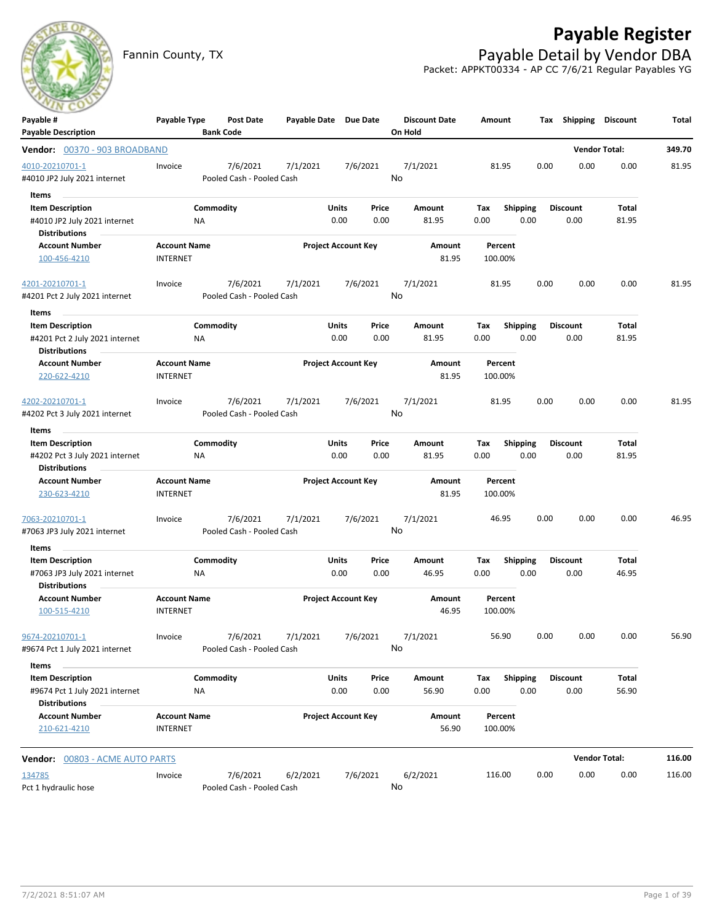

# **Payable Register**

Fannin County, TX **Payable Detail by Vendor DBA** Packet: APPKT00334 - AP CC 7/6/21 Regular Payables YG

| Payable #                       | Payable Type                           | Post Date                 | Payable Date Due Date |                            |          | <b>Discount Date</b> | Amount             |                 | Tax  | <b>Shipping</b>      | <b>Discount</b> | Total  |
|---------------------------------|----------------------------------------|---------------------------|-----------------------|----------------------------|----------|----------------------|--------------------|-----------------|------|----------------------|-----------------|--------|
| <b>Payable Description</b>      |                                        | <b>Bank Code</b>          |                       |                            |          | On Hold              |                    |                 |      |                      |                 |        |
| Vendor: 00370 - 903 BROADBAND   |                                        |                           |                       |                            |          |                      |                    |                 |      | <b>Vendor Total:</b> |                 | 349.70 |
| 4010-20210701-1                 | Invoice                                | 7/6/2021                  | 7/1/2021              |                            | 7/6/2021 | 7/1/2021             | 81.95              |                 | 0.00 | 0.00                 | 0.00            | 81.95  |
| #4010 JP2 July 2021 internet    |                                        | Pooled Cash - Pooled Cash |                       |                            |          | No                   |                    |                 |      |                      |                 |        |
| Items                           |                                        |                           |                       |                            |          |                      |                    |                 |      |                      |                 |        |
| <b>Item Description</b>         |                                        | Commodity                 |                       | Units                      | Price    | Amount               | Tax                | <b>Shipping</b> |      | <b>Discount</b>      | Total           |        |
| #4010 JP2 July 2021 internet    | ΝA                                     |                           |                       | 0.00                       | 0.00     | 81.95                | 0.00               | 0.00            |      | 0.00                 | 81.95           |        |
| <b>Distributions</b>            |                                        |                           |                       |                            |          |                      |                    |                 |      |                      |                 |        |
| <b>Account Number</b>           | <b>Account Name</b>                    |                           |                       | <b>Project Account Key</b> |          | Amount               | Percent            |                 |      |                      |                 |        |
| 100-456-4210                    | <b>INTERNET</b>                        |                           |                       |                            |          | 81.95                | 100.00%            |                 |      |                      |                 |        |
| 4201-20210701-1                 | Invoice                                | 7/6/2021                  | 7/1/2021              |                            | 7/6/2021 | 7/1/2021             | 81.95              |                 | 0.00 | 0.00                 | 0.00            | 81.95  |
| #4201 Pct 2 July 2021 internet  |                                        | Pooled Cash - Pooled Cash |                       |                            |          | No                   |                    |                 |      |                      |                 |        |
| Items                           |                                        |                           |                       |                            |          |                      |                    |                 |      |                      |                 |        |
| <b>Item Description</b>         |                                        | Commodity                 |                       | Units                      | Price    | Amount               | Tax                | <b>Shipping</b> |      | <b>Discount</b>      | Total           |        |
| #4201 Pct 2 July 2021 internet  | ΝA                                     |                           |                       | 0.00                       | 0.00     | 81.95                | 0.00               | 0.00            |      | 0.00                 | 81.95           |        |
| <b>Distributions</b>            |                                        |                           |                       |                            |          |                      |                    |                 |      |                      |                 |        |
| <b>Account Number</b>           | <b>Account Name</b>                    |                           |                       | <b>Project Account Key</b> |          | Amount               | Percent            |                 |      |                      |                 |        |
| 220-622-4210                    | <b>INTERNET</b>                        |                           |                       |                            |          | 81.95                | 100.00%            |                 |      |                      |                 |        |
|                                 |                                        |                           |                       |                            |          |                      |                    |                 |      |                      |                 |        |
| 4202-20210701-1                 | Invoice                                | 7/6/2021                  | 7/1/2021              |                            | 7/6/2021 | 7/1/2021             | 81.95              |                 | 0.00 | 0.00                 | 0.00            | 81.95  |
| #4202 Pct 3 July 2021 internet  |                                        | Pooled Cash - Pooled Cash |                       |                            |          | No                   |                    |                 |      |                      |                 |        |
| Items                           |                                        |                           |                       |                            |          |                      |                    |                 |      |                      |                 |        |
| <b>Item Description</b>         |                                        | Commodity                 |                       | Units                      | Price    | Amount               | Tax                | <b>Shipping</b> |      | <b>Discount</b>      | Total           |        |
| #4202 Pct 3 July 2021 internet  | NA                                     |                           |                       | 0.00                       | 0.00     | 81.95                | 0.00               | 0.00            |      | 0.00                 | 81.95           |        |
| <b>Distributions</b>            |                                        |                           |                       |                            |          |                      |                    |                 |      |                      |                 |        |
| <b>Account Number</b>           | <b>Account Name</b><br><b>INTERNET</b> |                           |                       | <b>Project Account Key</b> |          | Amount<br>81.95      | Percent<br>100.00% |                 |      |                      |                 |        |
| 230-623-4210                    |                                        |                           |                       |                            |          |                      |                    |                 |      |                      |                 |        |
| 7063-20210701-1                 | Invoice                                | 7/6/2021                  | 7/1/2021              |                            | 7/6/2021 | 7/1/2021             | 46.95              |                 | 0.00 | 0.00                 | 0.00            | 46.95  |
| #7063 JP3 July 2021 internet    |                                        | Pooled Cash - Pooled Cash |                       |                            |          | No                   |                    |                 |      |                      |                 |        |
| Items                           |                                        |                           |                       |                            |          |                      |                    |                 |      |                      |                 |        |
| <b>Item Description</b>         |                                        | Commodity                 |                       | Units                      | Price    | Amount               | Tax                | <b>Shipping</b> |      | <b>Discount</b>      | Total           |        |
| #7063 JP3 July 2021 internet    | ΝA                                     |                           |                       | 0.00                       | 0.00     | 46.95                | 0.00               | 0.00            |      | 0.00                 | 46.95           |        |
| <b>Distributions</b>            |                                        |                           |                       |                            |          |                      |                    |                 |      |                      |                 |        |
| <b>Account Number</b>           | <b>Account Name</b>                    |                           |                       | <b>Project Account Key</b> |          | Amount               | Percent            |                 |      |                      |                 |        |
| 100-515-4210                    | <b>INTERNET</b>                        |                           |                       |                            |          | 46.95                | 100.00%            |                 |      |                      |                 |        |
| 9674-20210701-1                 | Invoice                                |                           | 7/6/2021 7/1/2021     |                            | 7/6/2021 | 7/1/2021             | 56.90              |                 | 0.00 | 0.00                 | 0.00            | 56.90  |
| #9674 Pct 1 July 2021 internet  |                                        | Pooled Cash - Pooled Cash |                       |                            |          | No                   |                    |                 |      |                      |                 |        |
| Items                           |                                        |                           |                       |                            |          |                      |                    |                 |      |                      |                 |        |
| <b>Item Description</b>         |                                        | Commodity                 |                       | <b>Units</b>               | Price    | Amount               | Tax                | Shipping        |      | <b>Discount</b>      | Total           |        |
| #9674 Pct 1 July 2021 internet  | ΝA                                     |                           |                       | 0.00                       | 0.00     | 56.90                | 0.00               | 0.00            |      | 0.00                 | 56.90           |        |
| <b>Distributions</b>            |                                        |                           |                       |                            |          |                      |                    |                 |      |                      |                 |        |
| <b>Account Number</b>           | <b>Account Name</b>                    |                           |                       | <b>Project Account Key</b> |          | Amount               | Percent            |                 |      |                      |                 |        |
| 210-621-4210                    | <b>INTERNET</b>                        |                           |                       |                            |          | 56.90                | 100.00%            |                 |      |                      |                 |        |
| Vendor: 00803 - ACME AUTO PARTS |                                        |                           |                       |                            |          |                      |                    |                 |      | <b>Vendor Total:</b> |                 | 116.00 |
| 134785                          | Invoice                                | 7/6/2021                  | 6/2/2021              |                            | 7/6/2021 | 6/2/2021             | 116.00             |                 | 0.00 | 0.00                 | 0.00            | 116.00 |
| Pct 1 hydraulic hose            |                                        | Pooled Cash - Pooled Cash |                       |                            |          | No                   |                    |                 |      |                      |                 |        |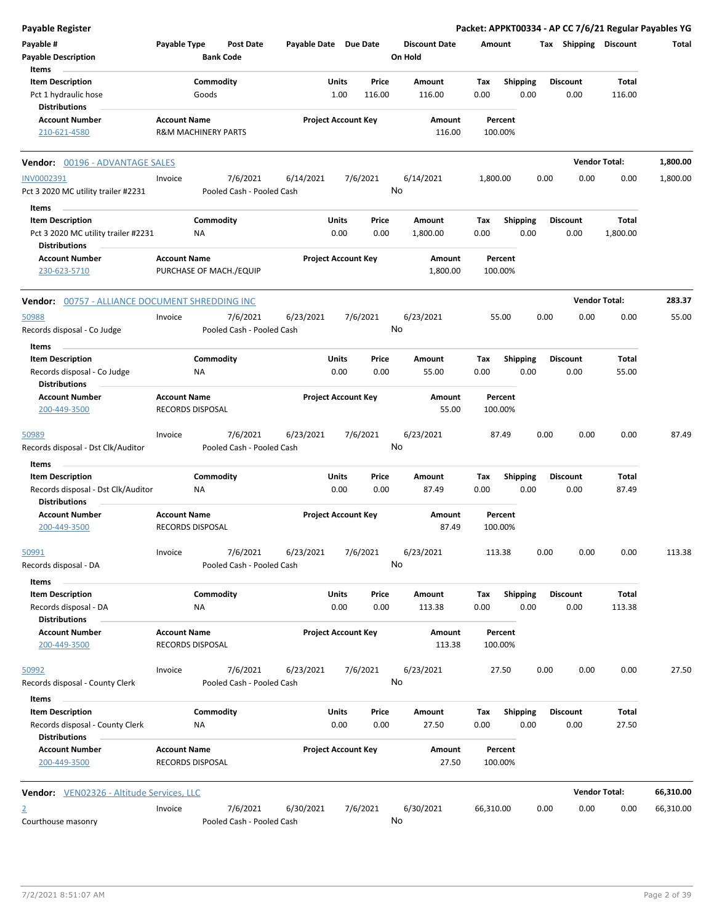| <b>Payable Register</b>                                                               |                     |                                |                  |                       |                            |               |                                 |             |                         |      |                         |                      | Packet: APPKT00334 - AP CC 7/6/21 Regular Payables YG |
|---------------------------------------------------------------------------------------|---------------------|--------------------------------|------------------|-----------------------|----------------------------|---------------|---------------------------------|-------------|-------------------------|------|-------------------------|----------------------|-------------------------------------------------------|
| Payable #<br><b>Payable Description</b>                                               | Payable Type        | <b>Bank Code</b>               | <b>Post Date</b> | Payable Date Due Date |                            |               | <b>Discount Date</b><br>On Hold | Amount      |                         |      | Tax Shipping Discount   |                      | Total                                                 |
| Items<br><b>Item Description</b>                                                      |                     | Commodity                      |                  |                       | Units                      | Price         | Amount                          | Tax         | <b>Shipping</b>         |      | <b>Discount</b>         | Total                |                                                       |
| Pct 1 hydraulic hose                                                                  |                     | Goods                          |                  |                       | 1.00                       | 116.00        | 116.00                          | 0.00        | 0.00                    |      | 0.00                    | 116.00               |                                                       |
| <b>Distributions</b>                                                                  |                     |                                |                  |                       |                            |               |                                 |             |                         |      |                         |                      |                                                       |
| <b>Account Number</b>                                                                 | <b>Account Name</b> |                                |                  |                       | <b>Project Account Key</b> |               | Amount                          |             | Percent                 |      |                         |                      |                                                       |
| 210-621-4580                                                                          |                     | <b>R&amp;M MACHINERY PARTS</b> |                  |                       |                            |               | 116.00                          |             | 100.00%                 |      |                         |                      |                                                       |
| <b>Vendor: 00196 - ADVANTAGE SALES</b>                                                |                     |                                |                  |                       |                            |               |                                 |             |                         |      |                         | <b>Vendor Total:</b> | 1,800.00                                              |
| INV0002391                                                                            | Invoice             |                                | 7/6/2021         | 6/14/2021             |                            | 7/6/2021      | 6/14/2021                       | 1,800.00    |                         | 0.00 | 0.00                    | 0.00                 | 1,800.00                                              |
| Pct 3 2020 MC utility trailer #2231                                                   |                     | Pooled Cash - Pooled Cash      |                  |                       |                            |               | No                              |             |                         |      |                         |                      |                                                       |
| Items                                                                                 |                     |                                |                  |                       |                            |               |                                 |             |                         |      |                         |                      |                                                       |
| <b>Item Description</b>                                                               |                     | Commodity                      |                  |                       | Units                      | Price         | Amount                          | Tax         | <b>Shipping</b>         |      | <b>Discount</b>         | Total                |                                                       |
| Pct 3 2020 MC utility trailer #2231<br><b>Distributions</b>                           |                     | <b>NA</b>                      |                  |                       | 0.00                       | 0.00          | 1,800.00                        | 0.00        | 0.00                    |      | 0.00                    | 1,800.00             |                                                       |
| <b>Account Number</b>                                                                 | <b>Account Name</b> |                                |                  |                       | <b>Project Account Key</b> |               | Amount                          |             | Percent                 |      |                         |                      |                                                       |
| 230-623-5710                                                                          |                     | PURCHASE OF MACH./EQUIP        |                  |                       |                            |               | 1,800.00                        |             | 100.00%                 |      |                         |                      |                                                       |
| <b>Vendor: 00757 - ALLIANCE DOCUMENT SHREDDING INC</b>                                |                     |                                |                  |                       |                            |               |                                 |             |                         |      |                         | <b>Vendor Total:</b> | 283.37                                                |
| 50988                                                                                 | Invoice             |                                | 7/6/2021         | 6/23/2021             |                            | 7/6/2021      | 6/23/2021                       |             | 55.00                   | 0.00 | 0.00                    | 0.00                 | 55.00                                                 |
| Records disposal - Co Judge                                                           |                     | Pooled Cash - Pooled Cash      |                  |                       |                            |               | No                              |             |                         |      |                         |                      |                                                       |
| Items                                                                                 |                     |                                |                  |                       |                            |               |                                 |             |                         |      |                         |                      |                                                       |
| <b>Item Description</b>                                                               |                     | Commodity                      |                  |                       | Units                      | Price         | Amount                          | Tax         | Shipping                |      | <b>Discount</b>         | Total                |                                                       |
| Records disposal - Co Judge                                                           |                     | ΝA                             |                  |                       | 0.00                       | 0.00          | 55.00                           | 0.00        | 0.00                    |      | 0.00                    | 55.00                |                                                       |
| <b>Distributions</b><br><b>Account Number</b>                                         | <b>Account Name</b> |                                |                  |                       | <b>Project Account Key</b> |               | Amount                          |             | Percent                 |      |                         |                      |                                                       |
| 200-449-3500                                                                          |                     | <b>RECORDS DISPOSAL</b>        |                  |                       |                            |               | 55.00                           |             | 100.00%                 |      |                         |                      |                                                       |
| 50989                                                                                 | Invoice             |                                | 7/6/2021         | 6/23/2021             |                            | 7/6/2021      | 6/23/2021                       |             | 87.49                   | 0.00 | 0.00                    | 0.00                 | 87.49                                                 |
| Records disposal - Dst Clk/Auditor                                                    |                     | Pooled Cash - Pooled Cash      |                  |                       |                            |               | No                              |             |                         |      |                         |                      |                                                       |
| Items                                                                                 |                     |                                |                  |                       |                            |               |                                 |             |                         |      |                         |                      |                                                       |
| <b>Item Description</b><br>Records disposal - Dst Clk/Auditor<br><b>Distributions</b> |                     | Commodity<br>NA                |                  |                       | Units<br>0.00              | Price<br>0.00 | Amount<br>87.49                 | Tax<br>0.00 | <b>Shipping</b><br>0.00 |      | <b>Discount</b><br>0.00 | Total<br>87.49       |                                                       |
| <b>Account Number</b>                                                                 | <b>Account Name</b> |                                |                  |                       | <b>Project Account Key</b> |               | Amount                          |             | Percent                 |      |                         |                      |                                                       |
| 200-449-3500                                                                          |                     | <b>RECORDS DISPOSAL</b>        |                  |                       |                            |               | 87.49                           |             | 100.00%                 |      |                         |                      |                                                       |
| 50991                                                                                 | Invoice             |                                | 7/6/2021         | 6/23/2021             |                            | 7/6/2021      | 6/23/2021                       |             | 113.38                  | 0.00 | 0.00                    | 0.00                 | 113.38                                                |
| Records disposal - DA                                                                 |                     | Pooled Cash - Pooled Cash      |                  |                       |                            |               | No                              |             |                         |      |                         |                      |                                                       |
| Items                                                                                 |                     |                                |                  |                       |                            |               |                                 |             |                         |      |                         |                      |                                                       |
| <b>Item Description</b>                                                               |                     | Commodity                      |                  |                       | Units                      | Price         | Amount                          | Tax         | <b>Shipping</b>         |      | <b>Discount</b>         | <b>Total</b>         |                                                       |
| Records disposal - DA<br><b>Distributions</b>                                         |                     | NA                             |                  |                       | 0.00                       | 0.00          | 113.38                          | 0.00        | 0.00                    |      | 0.00                    | 113.38               |                                                       |
| <b>Account Number</b>                                                                 | <b>Account Name</b> |                                |                  |                       | <b>Project Account Key</b> |               | <b>Amount</b>                   |             | Percent                 |      |                         |                      |                                                       |
| 200-449-3500                                                                          |                     | RECORDS DISPOSAL               |                  |                       |                            |               | 113.38                          |             | 100.00%                 |      |                         |                      |                                                       |
| 50992                                                                                 | Invoice             |                                | 7/6/2021         | 6/23/2021             |                            | 7/6/2021      | 6/23/2021                       |             | 27.50                   | 0.00 | 0.00                    | 0.00                 | 27.50                                                 |
| Records disposal - County Clerk                                                       |                     | Pooled Cash - Pooled Cash      |                  |                       |                            |               | No                              |             |                         |      |                         |                      |                                                       |
| Items                                                                                 |                     |                                |                  |                       |                            |               |                                 |             |                         |      |                         |                      |                                                       |
| <b>Item Description</b>                                                               |                     | Commodity                      |                  |                       | Units                      | Price         | Amount                          | Tax         | <b>Shipping</b>         |      | <b>Discount</b>         | Total                |                                                       |
| Records disposal - County Clerk<br><b>Distributions</b>                               |                     | NA                             |                  |                       | 0.00                       | 0.00          | 27.50                           | 0.00        | 0.00                    |      | 0.00                    | 27.50                |                                                       |
| <b>Account Number</b>                                                                 | <b>Account Name</b> |                                |                  |                       | <b>Project Account Key</b> |               | Amount                          |             | Percent                 |      |                         |                      |                                                       |
| 200-449-3500                                                                          |                     | RECORDS DISPOSAL               |                  |                       |                            |               | 27.50                           |             | 100.00%                 |      |                         |                      |                                                       |
| <b>Vendor:</b> VEN02326 - Altitude Services, LLC                                      |                     |                                |                  |                       |                            |               |                                 |             |                         |      |                         | <b>Vendor Total:</b> | 66,310.00                                             |
| $\overline{2}$                                                                        | Invoice             |                                | 7/6/2021         | 6/30/2021             |                            | 7/6/2021      | 6/30/2021                       | 66,310.00   |                         | 0.00 | 0.00                    | 0.00                 | 66,310.00                                             |
| Courthouse masonry                                                                    |                     | Pooled Cash - Pooled Cash      |                  |                       |                            |               | No                              |             |                         |      |                         |                      |                                                       |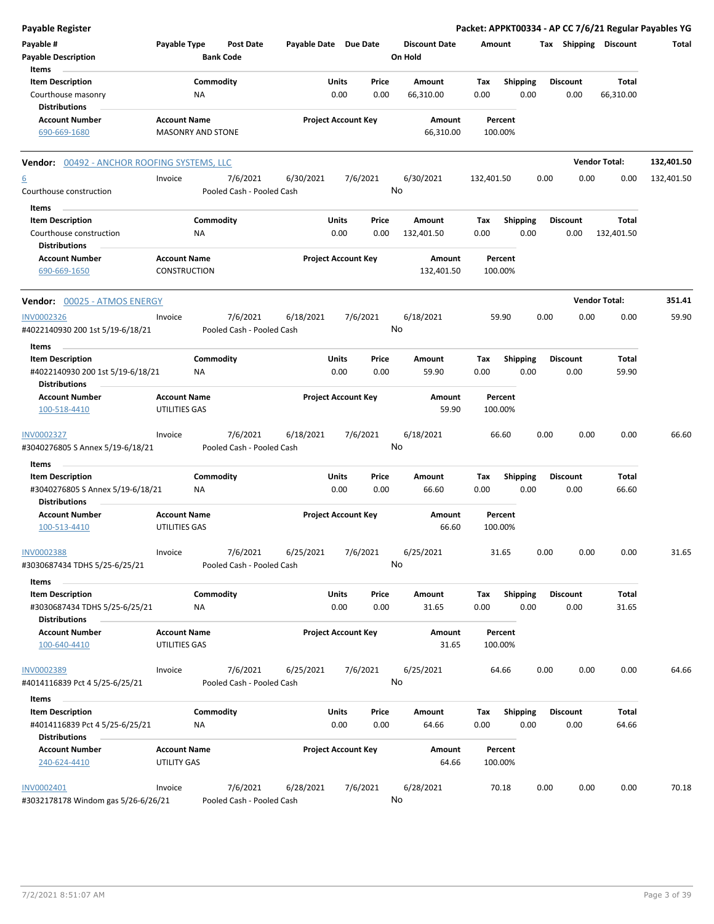| Payable #<br>Payable Type<br><b>Post Date</b><br>Payable Date Due Date<br><b>Discount Date</b><br>Tax Shipping Discount<br>Total<br>Amount<br><b>Payable Description</b><br><b>Bank Code</b><br>On Hold<br>Items<br><b>Item Description</b><br>Commodity<br>Units<br>Price<br><b>Shipping</b><br>Total<br>Amount<br>Tax<br><b>Discount</b><br>0.00<br>0.00<br>0.00<br>Courthouse masonry<br>NA<br>66,310.00<br>0.00<br>0.00<br>66,310.00<br><b>Distributions</b><br><b>Account Number</b><br><b>Project Account Key</b><br><b>Account Name</b><br>Amount<br>Percent<br><b>MASONRY AND STONE</b><br>66,310.00<br>690-669-1680<br>100.00%<br><b>Vendor Total:</b><br>132,401.50<br><b>Vendor: 00492 - ANCHOR ROOFING SYSTEMS, LLC</b><br>7/6/2021<br>7/6/2021<br>6/30/2021<br>6/30/2021<br>132,401.50<br>0.00<br>0.00<br>0.00<br>132,401.50<br>Invoice<br>No<br>Courthouse construction<br>Pooled Cash - Pooled Cash<br>Items<br>Commodity<br>Units<br><b>Shipping</b><br><b>Item Description</b><br>Price<br>Amount<br>Tax<br><b>Discount</b><br>Total<br>0.00<br>0.00<br>0.00<br>0.00<br>132,401.50<br>0.00<br>132,401.50<br>Courthouse construction<br>ΝA<br><b>Distributions</b><br><b>Project Account Key</b><br><b>Account Number</b><br><b>Account Name</b><br>Amount<br>Percent<br>690-669-1650<br>CONSTRUCTION<br>132,401.50<br>100.00%<br><b>Vendor Total:</b><br>351.41<br>Vendor: 00025 - ATMOS ENERGY<br>7/6/2021<br>7/6/2021<br>6/18/2021<br>59.90<br><b>INV0002326</b><br>6/18/2021<br>59.90<br>0.00<br>0.00<br>0.00<br>Invoice<br>No<br>#4022140930 200 1st 5/19-6/18/21<br>Pooled Cash - Pooled Cash<br>Items<br>Commodity<br>Units<br><b>Shipping</b><br><b>Discount</b><br><b>Item Description</b><br>Price<br>Amount<br>Tax<br>Total<br>0.00<br>0.00<br>#4022140930 200 1st 5/19-6/18/21<br>0.00<br>59.90<br>0.00<br>0.00<br>59.90<br>ΝA<br><b>Distributions</b><br><b>Account Number</b><br><b>Account Name</b><br><b>Project Account Key</b><br>Amount<br>Percent<br>59.90<br>100-518-4410<br>UTILITIES GAS<br>100.00%<br>7/6/2021<br>7/6/2021<br>6/18/2021<br>6/18/2021<br>0.00<br>0.00<br>0.00<br>66.60<br>Invoice<br>66.60<br>No<br>#3040276805 S Annex 5/19-6/18/21<br>Pooled Cash - Pooled Cash<br>Items<br><b>Item Description</b><br>Commodity<br>Units<br>Price<br>Total<br>Amount<br>Tax<br><b>Shipping</b><br><b>Discount</b><br>#3040276805 S Annex 5/19-6/18/21<br>0.00<br>0.00<br>66.60<br>0.00<br>0.00<br>0.00<br>66.60<br>NA<br><b>Distributions</b><br><b>Account Number</b><br><b>Account Name</b><br><b>Project Account Key</b><br>Amount<br>Percent<br>100-513-4410<br>UTILITIES GAS<br>66.60<br>100.00%<br>0.00<br>0.00<br>0.00<br>31.65<br>INV0002388<br>7/6/2021<br>6/25/2021<br>7/6/2021<br>6/25/2021<br>31.65<br>Invoice<br>No<br>#3030687434 TDHS 5/25-6/25/21<br>Pooled Cash - Pooled Cash<br>Items<br>Commodity<br>Units<br>Total<br><b>Item Description</b><br>Price<br>Amount<br>Tax<br><b>Shipping</b><br><b>Discount</b><br>#3030687434 TDHS 5/25-6/25/21<br>0.00<br>0.00<br>31.65<br>0.00<br>0.00<br>0.00<br>31.65<br>ΝA<br><b>Distributions</b><br><b>Project Account Key</b><br><b>Account Number</b><br><b>Account Name</b><br>Amount<br>Percent<br>UTILITIES GAS<br>31.65<br>100-640-4410<br>100.00%<br>7/6/2021<br>6/25/2021<br>7/6/2021<br>6/25/2021<br>0.00<br>0.00<br>0.00<br>64.66<br>Invoice<br>64.66<br>No<br>#4014116839 Pct 4 5/25-6/25/21<br>Pooled Cash - Pooled Cash<br>Items<br><b>Item Description</b><br>Commodity<br>Units<br>Price<br><b>Shipping</b><br><b>Discount</b><br>Total<br>Amount<br>Tax<br>0.00<br>0.00<br>0.00<br>64.66<br>#4014116839 Pct 4 5/25-6/25/21<br>NA<br>64.66<br>0.00<br>0.00<br><b>Distributions</b><br><b>Account Name</b><br><b>Project Account Key</b><br><b>Account Number</b><br>Amount<br>Percent<br>UTILITY GAS<br>240-624-4410<br>64.66<br>100.00%<br>7/6/2021<br>7/6/2021<br>6/28/2021<br>70.18<br>0.00<br>0.00<br>0.00<br>70.18<br>Invoice<br>6/28/2021<br>No<br>#3032178178 Windom gas 5/26-6/26/21<br>Pooled Cash - Pooled Cash | Payable Register  |  |  |  |  |  | Packet: APPKT00334 - AP CC 7/6/21 Regular Payables YG |
|----------------------------------------------------------------------------------------------------------------------------------------------------------------------------------------------------------------------------------------------------------------------------------------------------------------------------------------------------------------------------------------------------------------------------------------------------------------------------------------------------------------------------------------------------------------------------------------------------------------------------------------------------------------------------------------------------------------------------------------------------------------------------------------------------------------------------------------------------------------------------------------------------------------------------------------------------------------------------------------------------------------------------------------------------------------------------------------------------------------------------------------------------------------------------------------------------------------------------------------------------------------------------------------------------------------------------------------------------------------------------------------------------------------------------------------------------------------------------------------------------------------------------------------------------------------------------------------------------------------------------------------------------------------------------------------------------------------------------------------------------------------------------------------------------------------------------------------------------------------------------------------------------------------------------------------------------------------------------------------------------------------------------------------------------------------------------------------------------------------------------------------------------------------------------------------------------------------------------------------------------------------------------------------------------------------------------------------------------------------------------------------------------------------------------------------------------------------------------------------------------------------------------------------------------------------------------------------------------------------------------------------------------------------------------------------------------------------------------------------------------------------------------------------------------------------------------------------------------------------------------------------------------------------------------------------------------------------------------------------------------------------------------------------------------------------------------------------------------------------------------------------------------------------------------------------------------------------------------------------------------------------------------------------------------------------------------------------------------------------------------------------------------------------------------------------------------------------------------------------------------------------------------------------------------------------------------------------------------------------------------------------------------------------------------------------------------------------------------------------------------------------------------------------------------------------------------------------------------------------------------------------------------------------------------------------------------------------------------------------------------------------------------------------------|-------------------|--|--|--|--|--|-------------------------------------------------------|
|                                                                                                                                                                                                                                                                                                                                                                                                                                                                                                                                                                                                                                                                                                                                                                                                                                                                                                                                                                                                                                                                                                                                                                                                                                                                                                                                                                                                                                                                                                                                                                                                                                                                                                                                                                                                                                                                                                                                                                                                                                                                                                                                                                                                                                                                                                                                                                                                                                                                                                                                                                                                                                                                                                                                                                                                                                                                                                                                                                                                                                                                                                                                                                                                                                                                                                                                                                                                                                                                                                                                                                                                                                                                                                                                                                                                                                                                                                                                                                                                                                              |                   |  |  |  |  |  |                                                       |
|                                                                                                                                                                                                                                                                                                                                                                                                                                                                                                                                                                                                                                                                                                                                                                                                                                                                                                                                                                                                                                                                                                                                                                                                                                                                                                                                                                                                                                                                                                                                                                                                                                                                                                                                                                                                                                                                                                                                                                                                                                                                                                                                                                                                                                                                                                                                                                                                                                                                                                                                                                                                                                                                                                                                                                                                                                                                                                                                                                                                                                                                                                                                                                                                                                                                                                                                                                                                                                                                                                                                                                                                                                                                                                                                                                                                                                                                                                                                                                                                                                              |                   |  |  |  |  |  |                                                       |
|                                                                                                                                                                                                                                                                                                                                                                                                                                                                                                                                                                                                                                                                                                                                                                                                                                                                                                                                                                                                                                                                                                                                                                                                                                                                                                                                                                                                                                                                                                                                                                                                                                                                                                                                                                                                                                                                                                                                                                                                                                                                                                                                                                                                                                                                                                                                                                                                                                                                                                                                                                                                                                                                                                                                                                                                                                                                                                                                                                                                                                                                                                                                                                                                                                                                                                                                                                                                                                                                                                                                                                                                                                                                                                                                                                                                                                                                                                                                                                                                                                              |                   |  |  |  |  |  |                                                       |
|                                                                                                                                                                                                                                                                                                                                                                                                                                                                                                                                                                                                                                                                                                                                                                                                                                                                                                                                                                                                                                                                                                                                                                                                                                                                                                                                                                                                                                                                                                                                                                                                                                                                                                                                                                                                                                                                                                                                                                                                                                                                                                                                                                                                                                                                                                                                                                                                                                                                                                                                                                                                                                                                                                                                                                                                                                                                                                                                                                                                                                                                                                                                                                                                                                                                                                                                                                                                                                                                                                                                                                                                                                                                                                                                                                                                                                                                                                                                                                                                                                              |                   |  |  |  |  |  |                                                       |
|                                                                                                                                                                                                                                                                                                                                                                                                                                                                                                                                                                                                                                                                                                                                                                                                                                                                                                                                                                                                                                                                                                                                                                                                                                                                                                                                                                                                                                                                                                                                                                                                                                                                                                                                                                                                                                                                                                                                                                                                                                                                                                                                                                                                                                                                                                                                                                                                                                                                                                                                                                                                                                                                                                                                                                                                                                                                                                                                                                                                                                                                                                                                                                                                                                                                                                                                                                                                                                                                                                                                                                                                                                                                                                                                                                                                                                                                                                                                                                                                                                              |                   |  |  |  |  |  |                                                       |
|                                                                                                                                                                                                                                                                                                                                                                                                                                                                                                                                                                                                                                                                                                                                                                                                                                                                                                                                                                                                                                                                                                                                                                                                                                                                                                                                                                                                                                                                                                                                                                                                                                                                                                                                                                                                                                                                                                                                                                                                                                                                                                                                                                                                                                                                                                                                                                                                                                                                                                                                                                                                                                                                                                                                                                                                                                                                                                                                                                                                                                                                                                                                                                                                                                                                                                                                                                                                                                                                                                                                                                                                                                                                                                                                                                                                                                                                                                                                                                                                                                              |                   |  |  |  |  |  |                                                       |
|                                                                                                                                                                                                                                                                                                                                                                                                                                                                                                                                                                                                                                                                                                                                                                                                                                                                                                                                                                                                                                                                                                                                                                                                                                                                                                                                                                                                                                                                                                                                                                                                                                                                                                                                                                                                                                                                                                                                                                                                                                                                                                                                                                                                                                                                                                                                                                                                                                                                                                                                                                                                                                                                                                                                                                                                                                                                                                                                                                                                                                                                                                                                                                                                                                                                                                                                                                                                                                                                                                                                                                                                                                                                                                                                                                                                                                                                                                                                                                                                                                              | 6                 |  |  |  |  |  |                                                       |
|                                                                                                                                                                                                                                                                                                                                                                                                                                                                                                                                                                                                                                                                                                                                                                                                                                                                                                                                                                                                                                                                                                                                                                                                                                                                                                                                                                                                                                                                                                                                                                                                                                                                                                                                                                                                                                                                                                                                                                                                                                                                                                                                                                                                                                                                                                                                                                                                                                                                                                                                                                                                                                                                                                                                                                                                                                                                                                                                                                                                                                                                                                                                                                                                                                                                                                                                                                                                                                                                                                                                                                                                                                                                                                                                                                                                                                                                                                                                                                                                                                              |                   |  |  |  |  |  |                                                       |
|                                                                                                                                                                                                                                                                                                                                                                                                                                                                                                                                                                                                                                                                                                                                                                                                                                                                                                                                                                                                                                                                                                                                                                                                                                                                                                                                                                                                                                                                                                                                                                                                                                                                                                                                                                                                                                                                                                                                                                                                                                                                                                                                                                                                                                                                                                                                                                                                                                                                                                                                                                                                                                                                                                                                                                                                                                                                                                                                                                                                                                                                                                                                                                                                                                                                                                                                                                                                                                                                                                                                                                                                                                                                                                                                                                                                                                                                                                                                                                                                                                              |                   |  |  |  |  |  |                                                       |
|                                                                                                                                                                                                                                                                                                                                                                                                                                                                                                                                                                                                                                                                                                                                                                                                                                                                                                                                                                                                                                                                                                                                                                                                                                                                                                                                                                                                                                                                                                                                                                                                                                                                                                                                                                                                                                                                                                                                                                                                                                                                                                                                                                                                                                                                                                                                                                                                                                                                                                                                                                                                                                                                                                                                                                                                                                                                                                                                                                                                                                                                                                                                                                                                                                                                                                                                                                                                                                                                                                                                                                                                                                                                                                                                                                                                                                                                                                                                                                                                                                              |                   |  |  |  |  |  |                                                       |
|                                                                                                                                                                                                                                                                                                                                                                                                                                                                                                                                                                                                                                                                                                                                                                                                                                                                                                                                                                                                                                                                                                                                                                                                                                                                                                                                                                                                                                                                                                                                                                                                                                                                                                                                                                                                                                                                                                                                                                                                                                                                                                                                                                                                                                                                                                                                                                                                                                                                                                                                                                                                                                                                                                                                                                                                                                                                                                                                                                                                                                                                                                                                                                                                                                                                                                                                                                                                                                                                                                                                                                                                                                                                                                                                                                                                                                                                                                                                                                                                                                              |                   |  |  |  |  |  |                                                       |
|                                                                                                                                                                                                                                                                                                                                                                                                                                                                                                                                                                                                                                                                                                                                                                                                                                                                                                                                                                                                                                                                                                                                                                                                                                                                                                                                                                                                                                                                                                                                                                                                                                                                                                                                                                                                                                                                                                                                                                                                                                                                                                                                                                                                                                                                                                                                                                                                                                                                                                                                                                                                                                                                                                                                                                                                                                                                                                                                                                                                                                                                                                                                                                                                                                                                                                                                                                                                                                                                                                                                                                                                                                                                                                                                                                                                                                                                                                                                                                                                                                              |                   |  |  |  |  |  |                                                       |
|                                                                                                                                                                                                                                                                                                                                                                                                                                                                                                                                                                                                                                                                                                                                                                                                                                                                                                                                                                                                                                                                                                                                                                                                                                                                                                                                                                                                                                                                                                                                                                                                                                                                                                                                                                                                                                                                                                                                                                                                                                                                                                                                                                                                                                                                                                                                                                                                                                                                                                                                                                                                                                                                                                                                                                                                                                                                                                                                                                                                                                                                                                                                                                                                                                                                                                                                                                                                                                                                                                                                                                                                                                                                                                                                                                                                                                                                                                                                                                                                                                              |                   |  |  |  |  |  |                                                       |
|                                                                                                                                                                                                                                                                                                                                                                                                                                                                                                                                                                                                                                                                                                                                                                                                                                                                                                                                                                                                                                                                                                                                                                                                                                                                                                                                                                                                                                                                                                                                                                                                                                                                                                                                                                                                                                                                                                                                                                                                                                                                                                                                                                                                                                                                                                                                                                                                                                                                                                                                                                                                                                                                                                                                                                                                                                                                                                                                                                                                                                                                                                                                                                                                                                                                                                                                                                                                                                                                                                                                                                                                                                                                                                                                                                                                                                                                                                                                                                                                                                              |                   |  |  |  |  |  |                                                       |
|                                                                                                                                                                                                                                                                                                                                                                                                                                                                                                                                                                                                                                                                                                                                                                                                                                                                                                                                                                                                                                                                                                                                                                                                                                                                                                                                                                                                                                                                                                                                                                                                                                                                                                                                                                                                                                                                                                                                                                                                                                                                                                                                                                                                                                                                                                                                                                                                                                                                                                                                                                                                                                                                                                                                                                                                                                                                                                                                                                                                                                                                                                                                                                                                                                                                                                                                                                                                                                                                                                                                                                                                                                                                                                                                                                                                                                                                                                                                                                                                                                              |                   |  |  |  |  |  |                                                       |
|                                                                                                                                                                                                                                                                                                                                                                                                                                                                                                                                                                                                                                                                                                                                                                                                                                                                                                                                                                                                                                                                                                                                                                                                                                                                                                                                                                                                                                                                                                                                                                                                                                                                                                                                                                                                                                                                                                                                                                                                                                                                                                                                                                                                                                                                                                                                                                                                                                                                                                                                                                                                                                                                                                                                                                                                                                                                                                                                                                                                                                                                                                                                                                                                                                                                                                                                                                                                                                                                                                                                                                                                                                                                                                                                                                                                                                                                                                                                                                                                                                              |                   |  |  |  |  |  |                                                       |
|                                                                                                                                                                                                                                                                                                                                                                                                                                                                                                                                                                                                                                                                                                                                                                                                                                                                                                                                                                                                                                                                                                                                                                                                                                                                                                                                                                                                                                                                                                                                                                                                                                                                                                                                                                                                                                                                                                                                                                                                                                                                                                                                                                                                                                                                                                                                                                                                                                                                                                                                                                                                                                                                                                                                                                                                                                                                                                                                                                                                                                                                                                                                                                                                                                                                                                                                                                                                                                                                                                                                                                                                                                                                                                                                                                                                                                                                                                                                                                                                                                              |                   |  |  |  |  |  |                                                       |
|                                                                                                                                                                                                                                                                                                                                                                                                                                                                                                                                                                                                                                                                                                                                                                                                                                                                                                                                                                                                                                                                                                                                                                                                                                                                                                                                                                                                                                                                                                                                                                                                                                                                                                                                                                                                                                                                                                                                                                                                                                                                                                                                                                                                                                                                                                                                                                                                                                                                                                                                                                                                                                                                                                                                                                                                                                                                                                                                                                                                                                                                                                                                                                                                                                                                                                                                                                                                                                                                                                                                                                                                                                                                                                                                                                                                                                                                                                                                                                                                                                              |                   |  |  |  |  |  |                                                       |
|                                                                                                                                                                                                                                                                                                                                                                                                                                                                                                                                                                                                                                                                                                                                                                                                                                                                                                                                                                                                                                                                                                                                                                                                                                                                                                                                                                                                                                                                                                                                                                                                                                                                                                                                                                                                                                                                                                                                                                                                                                                                                                                                                                                                                                                                                                                                                                                                                                                                                                                                                                                                                                                                                                                                                                                                                                                                                                                                                                                                                                                                                                                                                                                                                                                                                                                                                                                                                                                                                                                                                                                                                                                                                                                                                                                                                                                                                                                                                                                                                                              | INV0002327        |  |  |  |  |  |                                                       |
|                                                                                                                                                                                                                                                                                                                                                                                                                                                                                                                                                                                                                                                                                                                                                                                                                                                                                                                                                                                                                                                                                                                                                                                                                                                                                                                                                                                                                                                                                                                                                                                                                                                                                                                                                                                                                                                                                                                                                                                                                                                                                                                                                                                                                                                                                                                                                                                                                                                                                                                                                                                                                                                                                                                                                                                                                                                                                                                                                                                                                                                                                                                                                                                                                                                                                                                                                                                                                                                                                                                                                                                                                                                                                                                                                                                                                                                                                                                                                                                                                                              |                   |  |  |  |  |  |                                                       |
|                                                                                                                                                                                                                                                                                                                                                                                                                                                                                                                                                                                                                                                                                                                                                                                                                                                                                                                                                                                                                                                                                                                                                                                                                                                                                                                                                                                                                                                                                                                                                                                                                                                                                                                                                                                                                                                                                                                                                                                                                                                                                                                                                                                                                                                                                                                                                                                                                                                                                                                                                                                                                                                                                                                                                                                                                                                                                                                                                                                                                                                                                                                                                                                                                                                                                                                                                                                                                                                                                                                                                                                                                                                                                                                                                                                                                                                                                                                                                                                                                                              |                   |  |  |  |  |  |                                                       |
|                                                                                                                                                                                                                                                                                                                                                                                                                                                                                                                                                                                                                                                                                                                                                                                                                                                                                                                                                                                                                                                                                                                                                                                                                                                                                                                                                                                                                                                                                                                                                                                                                                                                                                                                                                                                                                                                                                                                                                                                                                                                                                                                                                                                                                                                                                                                                                                                                                                                                                                                                                                                                                                                                                                                                                                                                                                                                                                                                                                                                                                                                                                                                                                                                                                                                                                                                                                                                                                                                                                                                                                                                                                                                                                                                                                                                                                                                                                                                                                                                                              |                   |  |  |  |  |  |                                                       |
|                                                                                                                                                                                                                                                                                                                                                                                                                                                                                                                                                                                                                                                                                                                                                                                                                                                                                                                                                                                                                                                                                                                                                                                                                                                                                                                                                                                                                                                                                                                                                                                                                                                                                                                                                                                                                                                                                                                                                                                                                                                                                                                                                                                                                                                                                                                                                                                                                                                                                                                                                                                                                                                                                                                                                                                                                                                                                                                                                                                                                                                                                                                                                                                                                                                                                                                                                                                                                                                                                                                                                                                                                                                                                                                                                                                                                                                                                                                                                                                                                                              |                   |  |  |  |  |  |                                                       |
|                                                                                                                                                                                                                                                                                                                                                                                                                                                                                                                                                                                                                                                                                                                                                                                                                                                                                                                                                                                                                                                                                                                                                                                                                                                                                                                                                                                                                                                                                                                                                                                                                                                                                                                                                                                                                                                                                                                                                                                                                                                                                                                                                                                                                                                                                                                                                                                                                                                                                                                                                                                                                                                                                                                                                                                                                                                                                                                                                                                                                                                                                                                                                                                                                                                                                                                                                                                                                                                                                                                                                                                                                                                                                                                                                                                                                                                                                                                                                                                                                                              |                   |  |  |  |  |  |                                                       |
|                                                                                                                                                                                                                                                                                                                                                                                                                                                                                                                                                                                                                                                                                                                                                                                                                                                                                                                                                                                                                                                                                                                                                                                                                                                                                                                                                                                                                                                                                                                                                                                                                                                                                                                                                                                                                                                                                                                                                                                                                                                                                                                                                                                                                                                                                                                                                                                                                                                                                                                                                                                                                                                                                                                                                                                                                                                                                                                                                                                                                                                                                                                                                                                                                                                                                                                                                                                                                                                                                                                                                                                                                                                                                                                                                                                                                                                                                                                                                                                                                                              |                   |  |  |  |  |  |                                                       |
|                                                                                                                                                                                                                                                                                                                                                                                                                                                                                                                                                                                                                                                                                                                                                                                                                                                                                                                                                                                                                                                                                                                                                                                                                                                                                                                                                                                                                                                                                                                                                                                                                                                                                                                                                                                                                                                                                                                                                                                                                                                                                                                                                                                                                                                                                                                                                                                                                                                                                                                                                                                                                                                                                                                                                                                                                                                                                                                                                                                                                                                                                                                                                                                                                                                                                                                                                                                                                                                                                                                                                                                                                                                                                                                                                                                                                                                                                                                                                                                                                                              |                   |  |  |  |  |  |                                                       |
|                                                                                                                                                                                                                                                                                                                                                                                                                                                                                                                                                                                                                                                                                                                                                                                                                                                                                                                                                                                                                                                                                                                                                                                                                                                                                                                                                                                                                                                                                                                                                                                                                                                                                                                                                                                                                                                                                                                                                                                                                                                                                                                                                                                                                                                                                                                                                                                                                                                                                                                                                                                                                                                                                                                                                                                                                                                                                                                                                                                                                                                                                                                                                                                                                                                                                                                                                                                                                                                                                                                                                                                                                                                                                                                                                                                                                                                                                                                                                                                                                                              |                   |  |  |  |  |  |                                                       |
|                                                                                                                                                                                                                                                                                                                                                                                                                                                                                                                                                                                                                                                                                                                                                                                                                                                                                                                                                                                                                                                                                                                                                                                                                                                                                                                                                                                                                                                                                                                                                                                                                                                                                                                                                                                                                                                                                                                                                                                                                                                                                                                                                                                                                                                                                                                                                                                                                                                                                                                                                                                                                                                                                                                                                                                                                                                                                                                                                                                                                                                                                                                                                                                                                                                                                                                                                                                                                                                                                                                                                                                                                                                                                                                                                                                                                                                                                                                                                                                                                                              |                   |  |  |  |  |  |                                                       |
|                                                                                                                                                                                                                                                                                                                                                                                                                                                                                                                                                                                                                                                                                                                                                                                                                                                                                                                                                                                                                                                                                                                                                                                                                                                                                                                                                                                                                                                                                                                                                                                                                                                                                                                                                                                                                                                                                                                                                                                                                                                                                                                                                                                                                                                                                                                                                                                                                                                                                                                                                                                                                                                                                                                                                                                                                                                                                                                                                                                                                                                                                                                                                                                                                                                                                                                                                                                                                                                                                                                                                                                                                                                                                                                                                                                                                                                                                                                                                                                                                                              |                   |  |  |  |  |  |                                                       |
|                                                                                                                                                                                                                                                                                                                                                                                                                                                                                                                                                                                                                                                                                                                                                                                                                                                                                                                                                                                                                                                                                                                                                                                                                                                                                                                                                                                                                                                                                                                                                                                                                                                                                                                                                                                                                                                                                                                                                                                                                                                                                                                                                                                                                                                                                                                                                                                                                                                                                                                                                                                                                                                                                                                                                                                                                                                                                                                                                                                                                                                                                                                                                                                                                                                                                                                                                                                                                                                                                                                                                                                                                                                                                                                                                                                                                                                                                                                                                                                                                                              | <b>INV0002389</b> |  |  |  |  |  |                                                       |
|                                                                                                                                                                                                                                                                                                                                                                                                                                                                                                                                                                                                                                                                                                                                                                                                                                                                                                                                                                                                                                                                                                                                                                                                                                                                                                                                                                                                                                                                                                                                                                                                                                                                                                                                                                                                                                                                                                                                                                                                                                                                                                                                                                                                                                                                                                                                                                                                                                                                                                                                                                                                                                                                                                                                                                                                                                                                                                                                                                                                                                                                                                                                                                                                                                                                                                                                                                                                                                                                                                                                                                                                                                                                                                                                                                                                                                                                                                                                                                                                                                              |                   |  |  |  |  |  |                                                       |
|                                                                                                                                                                                                                                                                                                                                                                                                                                                                                                                                                                                                                                                                                                                                                                                                                                                                                                                                                                                                                                                                                                                                                                                                                                                                                                                                                                                                                                                                                                                                                                                                                                                                                                                                                                                                                                                                                                                                                                                                                                                                                                                                                                                                                                                                                                                                                                                                                                                                                                                                                                                                                                                                                                                                                                                                                                                                                                                                                                                                                                                                                                                                                                                                                                                                                                                                                                                                                                                                                                                                                                                                                                                                                                                                                                                                                                                                                                                                                                                                                                              |                   |  |  |  |  |  |                                                       |
|                                                                                                                                                                                                                                                                                                                                                                                                                                                                                                                                                                                                                                                                                                                                                                                                                                                                                                                                                                                                                                                                                                                                                                                                                                                                                                                                                                                                                                                                                                                                                                                                                                                                                                                                                                                                                                                                                                                                                                                                                                                                                                                                                                                                                                                                                                                                                                                                                                                                                                                                                                                                                                                                                                                                                                                                                                                                                                                                                                                                                                                                                                                                                                                                                                                                                                                                                                                                                                                                                                                                                                                                                                                                                                                                                                                                                                                                                                                                                                                                                                              |                   |  |  |  |  |  |                                                       |
|                                                                                                                                                                                                                                                                                                                                                                                                                                                                                                                                                                                                                                                                                                                                                                                                                                                                                                                                                                                                                                                                                                                                                                                                                                                                                                                                                                                                                                                                                                                                                                                                                                                                                                                                                                                                                                                                                                                                                                                                                                                                                                                                                                                                                                                                                                                                                                                                                                                                                                                                                                                                                                                                                                                                                                                                                                                                                                                                                                                                                                                                                                                                                                                                                                                                                                                                                                                                                                                                                                                                                                                                                                                                                                                                                                                                                                                                                                                                                                                                                                              |                   |  |  |  |  |  |                                                       |
|                                                                                                                                                                                                                                                                                                                                                                                                                                                                                                                                                                                                                                                                                                                                                                                                                                                                                                                                                                                                                                                                                                                                                                                                                                                                                                                                                                                                                                                                                                                                                                                                                                                                                                                                                                                                                                                                                                                                                                                                                                                                                                                                                                                                                                                                                                                                                                                                                                                                                                                                                                                                                                                                                                                                                                                                                                                                                                                                                                                                                                                                                                                                                                                                                                                                                                                                                                                                                                                                                                                                                                                                                                                                                                                                                                                                                                                                                                                                                                                                                                              |                   |  |  |  |  |  |                                                       |
|                                                                                                                                                                                                                                                                                                                                                                                                                                                                                                                                                                                                                                                                                                                                                                                                                                                                                                                                                                                                                                                                                                                                                                                                                                                                                                                                                                                                                                                                                                                                                                                                                                                                                                                                                                                                                                                                                                                                                                                                                                                                                                                                                                                                                                                                                                                                                                                                                                                                                                                                                                                                                                                                                                                                                                                                                                                                                                                                                                                                                                                                                                                                                                                                                                                                                                                                                                                                                                                                                                                                                                                                                                                                                                                                                                                                                                                                                                                                                                                                                                              | <b>INV0002401</b> |  |  |  |  |  |                                                       |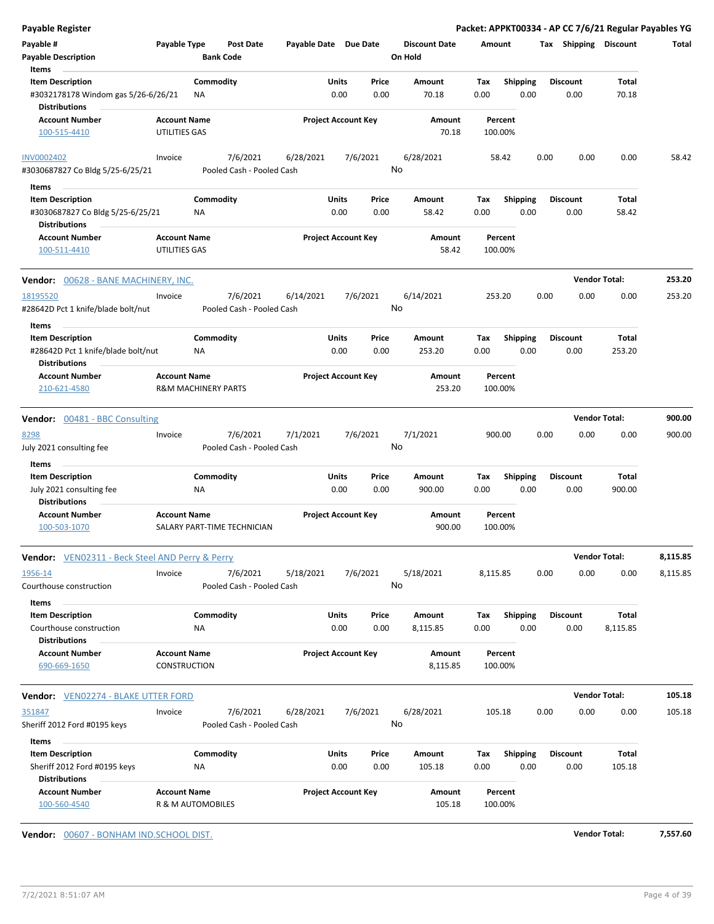| Payable Register                                       |                                                       |                  |                             |                       |                            |          |                      |          |                    |      |                 |                       | Packet: APPKT00334 - AP CC 7/6/21 Regular Payables YG |
|--------------------------------------------------------|-------------------------------------------------------|------------------|-----------------------------|-----------------------|----------------------------|----------|----------------------|----------|--------------------|------|-----------------|-----------------------|-------------------------------------------------------|
| Payable #                                              | Payable Type                                          |                  | <b>Post Date</b>            | Payable Date Due Date |                            |          | <b>Discount Date</b> | Amount   |                    |      |                 | Tax Shipping Discount | Total                                                 |
| <b>Payable Description</b>                             |                                                       | <b>Bank Code</b> |                             |                       |                            |          | On Hold              |          |                    |      |                 |                       |                                                       |
| Items                                                  |                                                       |                  |                             |                       |                            |          |                      |          |                    |      |                 |                       |                                                       |
| <b>Item Description</b>                                |                                                       | Commodity        |                             |                       | Units                      | Price    | Amount               | Tax      | <b>Shipping</b>    |      | <b>Discount</b> | <b>Total</b>          |                                                       |
| #3032178178 Windom gas 5/26-6/26/21                    |                                                       | NA               |                             |                       | 0.00                       | 0.00     | 70.18                | 0.00     | 0.00               |      | 0.00            | 70.18                 |                                                       |
| <b>Distributions</b>                                   |                                                       |                  |                             |                       |                            |          |                      |          |                    |      |                 |                       |                                                       |
| <b>Account Number</b>                                  | <b>Account Name</b>                                   |                  |                             |                       | <b>Project Account Key</b> |          | Amount               |          | Percent            |      |                 |                       |                                                       |
| 100-515-4410                                           | UTILITIES GAS                                         |                  |                             |                       |                            |          | 70.18                |          | 100.00%            |      |                 |                       |                                                       |
| <b>INV0002402</b>                                      | Invoice                                               |                  | 7/6/2021                    | 6/28/2021             |                            | 7/6/2021 | 6/28/2021            |          | 58.42              | 0.00 | 0.00            | 0.00                  | 58.42                                                 |
| #3030687827 Co Bldg 5/25-6/25/21                       |                                                       |                  | Pooled Cash - Pooled Cash   |                       |                            |          | No                   |          |                    |      |                 |                       |                                                       |
| Items                                                  |                                                       |                  |                             |                       |                            |          |                      |          |                    |      |                 |                       |                                                       |
| <b>Item Description</b>                                |                                                       | Commodity        |                             |                       | Units                      | Price    | Amount               | Tax      | <b>Shipping</b>    |      | <b>Discount</b> | Total                 |                                                       |
| #3030687827 Co Bldg 5/25-6/25/21                       |                                                       | NA               |                             |                       | 0.00                       | 0.00     | 58.42                | 0.00     | 0.00               |      | 0.00            | 58.42                 |                                                       |
| <b>Distributions</b>                                   |                                                       |                  |                             |                       |                            |          |                      |          |                    |      |                 |                       |                                                       |
| <b>Account Number</b>                                  | <b>Account Name</b>                                   |                  |                             |                       | <b>Project Account Key</b> |          | Amount               |          | Percent            |      |                 |                       |                                                       |
| 100-511-4410                                           | UTILITIES GAS                                         |                  |                             |                       |                            |          | 58.42                |          | 100.00%            |      |                 |                       |                                                       |
| Vendor: 00628 - BANE MACHINERY, INC.                   |                                                       |                  |                             |                       |                            |          |                      |          |                    |      |                 | <b>Vendor Total:</b>  | 253.20                                                |
| 18195520                                               | Invoice                                               |                  | 7/6/2021                    | 6/14/2021             |                            | 7/6/2021 | 6/14/2021            | 253.20   |                    | 0.00 | 0.00            | 0.00                  | 253.20                                                |
| #28642D Pct 1 knife/blade bolt/nut                     |                                                       |                  | Pooled Cash - Pooled Cash   |                       |                            |          | No                   |          |                    |      |                 |                       |                                                       |
|                                                        |                                                       |                  |                             |                       |                            |          |                      |          |                    |      |                 |                       |                                                       |
| Items                                                  |                                                       |                  |                             |                       |                            |          |                      |          |                    |      |                 |                       |                                                       |
| <b>Item Description</b>                                |                                                       | Commodity        |                             |                       | Units                      | Price    | Amount               | Tax      | Shipping           |      | <b>Discount</b> | Total                 |                                                       |
| #28642D Pct 1 knife/blade bolt/nut                     |                                                       | ΝA               |                             |                       | 0.00                       | 0.00     | 253.20               | 0.00     | 0.00               |      | 0.00            | 253.20                |                                                       |
| <b>Distributions</b>                                   |                                                       |                  |                             |                       |                            |          |                      |          |                    |      |                 |                       |                                                       |
| <b>Account Number</b><br>210-621-4580                  | <b>Account Name</b><br><b>R&amp;M MACHINERY PARTS</b> |                  |                             |                       | <b>Project Account Key</b> |          | Amount<br>253.20     |          | Percent<br>100.00% |      |                 |                       |                                                       |
| <b>Vendor:</b> 00481 - BBC Consulting                  |                                                       |                  |                             |                       |                            |          |                      |          |                    |      |                 | <b>Vendor Total:</b>  | 900.00                                                |
| 8298                                                   | Invoice                                               |                  | 7/6/2021                    | 7/1/2021              |                            | 7/6/2021 | 7/1/2021             | 900.00   |                    | 0.00 | 0.00            | 0.00                  | 900.00                                                |
| July 2021 consulting fee                               |                                                       |                  | Pooled Cash - Pooled Cash   |                       |                            |          | No                   |          |                    |      |                 |                       |                                                       |
| Items                                                  |                                                       |                  |                             |                       |                            |          |                      |          |                    |      |                 |                       |                                                       |
| <b>Item Description</b>                                |                                                       | Commodity        |                             |                       | Units                      | Price    | Amount               | Tax      | <b>Shipping</b>    |      | <b>Discount</b> | Total                 |                                                       |
| July 2021 consulting fee                               |                                                       | ΝA               |                             |                       | 0.00                       | 0.00     | 900.00               | 0.00     | 0.00               |      | 0.00            | 900.00                |                                                       |
| <b>Distributions</b>                                   |                                                       |                  |                             |                       |                            |          |                      |          |                    |      |                 |                       |                                                       |
| <b>Account Number</b><br>100-503-1070                  | <b>Account Name</b>                                   |                  | SALARY PART-TIME TECHNICIAN |                       | <b>Project Account Key</b> |          | Amount<br>900.00     |          | Percent<br>100.00% |      |                 |                       |                                                       |
| <b>Vendor:</b> VEN02311 - Beck Steel AND Perry & Perry |                                                       |                  |                             |                       |                            |          |                      |          |                    |      |                 | <b>Vendor Total:</b>  | 8,115.85                                              |
| 1956-14                                                | Invoice                                               |                  | 7/6/2021                    | 5/18/2021             |                            | 7/6/2021 | 5/18/2021            | 8,115.85 |                    | 0.00 | 0.00            | 0.00                  | 8,115.85                                              |
| Courthouse construction                                |                                                       |                  | Pooled Cash - Pooled Cash   |                       |                            |          | No                   |          |                    |      |                 |                       |                                                       |
| Items                                                  |                                                       |                  |                             |                       |                            |          |                      |          |                    |      |                 |                       |                                                       |
| <b>Item Description</b>                                |                                                       | Commodity        |                             |                       | Units                      | Price    | Amount               | Tax      | <b>Shipping</b>    |      | <b>Discount</b> | Total                 |                                                       |
| Courthouse construction<br><b>Distributions</b>        |                                                       | ΝA               |                             |                       | 0.00                       | 0.00     | 8,115.85             | 0.00     | 0.00               |      | 0.00            | 8,115.85              |                                                       |
| <b>Account Number</b>                                  | <b>Account Name</b>                                   |                  |                             |                       | <b>Project Account Key</b> |          | Amount               |          | Percent            |      |                 |                       |                                                       |
| 690-669-1650                                           | <b>CONSTRUCTION</b>                                   |                  |                             |                       |                            |          | 8,115.85             |          | 100.00%            |      |                 |                       |                                                       |
| Vendor: VEN02274 - BLAKE UTTER FORD                    |                                                       |                  |                             |                       |                            |          |                      |          |                    |      |                 | <b>Vendor Total:</b>  | 105.18                                                |
|                                                        | Invoice                                               |                  | 7/6/2021                    | 6/28/2021             |                            | 7/6/2021 | 6/28/2021            | 105.18   |                    | 0.00 | 0.00            | 0.00                  | 105.18                                                |
|                                                        |                                                       |                  | Pooled Cash - Pooled Cash   |                       |                            |          | No                   |          |                    |      |                 |                       |                                                       |
| 351847                                                 |                                                       |                  |                             |                       |                            |          |                      |          |                    |      |                 |                       |                                                       |
| Sheriff 2012 Ford #0195 keys                           |                                                       |                  |                             |                       |                            |          |                      |          |                    |      |                 |                       |                                                       |
| Items                                                  |                                                       |                  |                             |                       |                            |          |                      |          |                    |      |                 |                       |                                                       |
| <b>Item Description</b>                                |                                                       | Commodity        |                             |                       | Units                      | Price    | Amount               | Tax      | Shipping           |      | <b>Discount</b> | Total                 |                                                       |
| Sheriff 2012 Ford #0195 keys<br><b>Distributions</b>   |                                                       | NA               |                             |                       | 0.00                       | 0.00     | 105.18               | 0.00     | 0.00               |      | 0.00            | 105.18                |                                                       |

**Vendor:** 00607 - BONHAM IND.SCHOOL DIST. **Vendor Total: 7,557.60**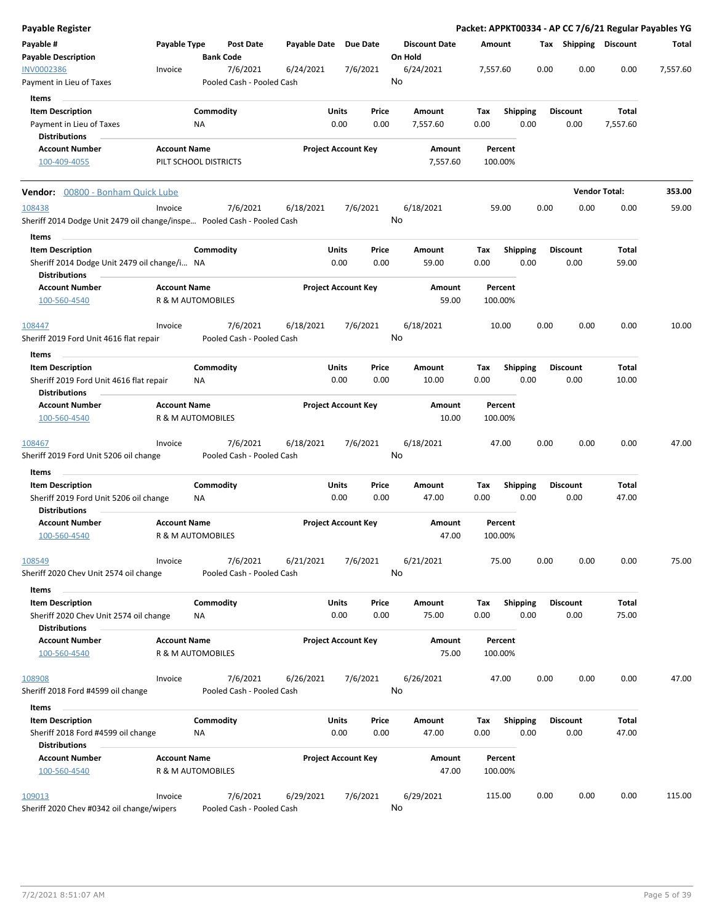| <b>Payable Register</b>                                                 |                     |                       |                                       |                       |               |                            |    |                                 |             |         |                         |      |                         |                | Packet: APPKT00334 - AP CC 7/6/21 Regular Payables YG |
|-------------------------------------------------------------------------|---------------------|-----------------------|---------------------------------------|-----------------------|---------------|----------------------------|----|---------------------------------|-------------|---------|-------------------------|------|-------------------------|----------------|-------------------------------------------------------|
| Payable #<br><b>Payable Description</b>                                 | Payable Type        | <b>Bank Code</b>      | <b>Post Date</b>                      | Payable Date Due Date |               |                            |    | <b>Discount Date</b><br>On Hold | Amount      |         |                         |      | Tax Shipping Discount   |                | Total                                                 |
| <b>INV0002386</b><br>Payment in Lieu of Taxes                           | Invoice             |                       | 7/6/2021<br>Pooled Cash - Pooled Cash | 6/24/2021             |               | 7/6/2021                   | No | 6/24/2021                       | 7,557.60    |         |                         | 0.00 | 0.00                    | 0.00           | 7,557.60                                              |
| Items                                                                   |                     |                       |                                       |                       |               |                            |    |                                 |             |         |                         |      |                         |                |                                                       |
| <b>Item Description</b>                                                 |                     | Commodity             |                                       |                       | Units         | Price                      |    | Amount                          | Tax         |         | <b>Shipping</b>         |      | <b>Discount</b>         | Total          |                                                       |
| Payment in Lieu of Taxes                                                |                     | ΝA                    |                                       |                       | 0.00          | 0.00                       |    | 7,557.60                        | 0.00        |         | 0.00                    |      | 0.00                    | 7,557.60       |                                                       |
| <b>Distributions</b>                                                    |                     |                       |                                       |                       |               |                            |    |                                 |             |         |                         |      |                         |                |                                                       |
| <b>Account Number</b>                                                   | <b>Account Name</b> |                       |                                       |                       |               | <b>Project Account Key</b> |    | Amount                          |             | Percent |                         |      |                         |                |                                                       |
| 100-409-4055                                                            |                     | PILT SCHOOL DISTRICTS |                                       |                       |               |                            |    | 7,557.60                        | 100.00%     |         |                         |      |                         |                |                                                       |
| Vendor: 00800 - Bonham Quick Lube                                       |                     |                       |                                       |                       |               |                            |    |                                 |             |         |                         |      | <b>Vendor Total:</b>    |                | 353.00                                                |
| 108438                                                                  | Invoice             |                       | 7/6/2021                              | 6/18/2021             |               | 7/6/2021                   |    | 6/18/2021                       |             | 59.00   |                         | 0.00 | 0.00                    | 0.00           | 59.00                                                 |
| Sheriff 2014 Dodge Unit 2479 oil change/inspe Pooled Cash - Pooled Cash |                     |                       |                                       |                       |               |                            | No |                                 |             |         |                         |      |                         |                |                                                       |
| Items<br><b>Item Description</b>                                        |                     | Commodity             |                                       |                       | Units         | Price                      |    | Amount                          | Tax         |         | <b>Shipping</b>         |      | <b>Discount</b>         | Total          |                                                       |
| Sheriff 2014 Dodge Unit 2479 oil change/i NA<br><b>Distributions</b>    |                     |                       |                                       |                       | 0.00          | 0.00                       |    | 59.00                           | 0.00        |         | 0.00                    |      | 0.00                    | 59.00          |                                                       |
| <b>Account Number</b><br>100-560-4540                                   | <b>Account Name</b> | R & M AUTOMOBILES     |                                       |                       |               | <b>Project Account Key</b> |    | Amount<br>59.00                 | 100.00%     | Percent |                         |      |                         |                |                                                       |
| 108447                                                                  | Invoice             |                       | 7/6/2021                              | 6/18/2021             |               | 7/6/2021                   |    | 6/18/2021                       |             | 10.00   |                         | 0.00 | 0.00                    | 0.00           | 10.00                                                 |
| Sheriff 2019 Ford Unit 4616 flat repair                                 |                     |                       | Pooled Cash - Pooled Cash             |                       |               |                            | No |                                 |             |         |                         |      |                         |                |                                                       |
| Items                                                                   |                     |                       |                                       |                       |               |                            |    |                                 |             |         |                         |      |                         |                |                                                       |
| <b>Item Description</b>                                                 |                     | Commodity             |                                       |                       | Units         | Price                      |    | Amount                          | Tax         |         | <b>Shipping</b>         |      | <b>Discount</b>         | Total          |                                                       |
| Sheriff 2019 Ford Unit 4616 flat repair<br><b>Distributions</b>         |                     | ΝA                    |                                       |                       | 0.00          | 0.00                       |    | 10.00                           | 0.00        |         | 0.00                    |      | 0.00                    | 10.00          |                                                       |
| <b>Account Number</b><br>100-560-4540                                   | <b>Account Name</b> | R & M AUTOMOBILES     |                                       |                       |               | <b>Project Account Key</b> |    | Amount<br>10.00                 | 100.00%     | Percent |                         |      |                         |                |                                                       |
| 108467                                                                  | Invoice             |                       | 7/6/2021                              | 6/18/2021             |               | 7/6/2021                   |    | 6/18/2021                       |             | 47.00   |                         | 0.00 | 0.00                    | 0.00           | 47.00                                                 |
| Sheriff 2019 Ford Unit 5206 oil change                                  |                     |                       | Pooled Cash - Pooled Cash             |                       |               |                            | No |                                 |             |         |                         |      |                         |                |                                                       |
| Items                                                                   |                     |                       |                                       |                       |               |                            |    |                                 |             |         |                         |      |                         |                |                                                       |
| <b>Item Description</b>                                                 |                     | Commodity             |                                       |                       | <b>Units</b>  | Price                      |    | Amount                          | Tax         |         | <b>Shipping</b>         |      | <b>Discount</b>         | Total          |                                                       |
| Sheriff 2019 Ford Unit 5206 oil change<br><b>Distributions</b>          |                     | NA                    |                                       |                       | 0.00          | 0.00                       |    | 47.00                           | 0.00        |         | 0.00                    |      | 0.00                    | 47.00          |                                                       |
| <b>Account Number</b>                                                   | <b>Account Name</b> |                       |                                       |                       |               | <b>Project Account Key</b> |    | Amount                          |             | Percent |                         |      |                         |                |                                                       |
| 100-560-4540                                                            |                     | R & M AUTOMOBILES     |                                       |                       |               |                            |    | 47.00                           | 100.00%     |         |                         |      |                         |                |                                                       |
| 108549<br>Sheriff 2020 Chev Unit 2574 oil change                        | Invoice             |                       | 7/6/2021<br>Pooled Cash - Pooled Cash | 6/21/2021             |               | 7/6/2021                   | No | 6/21/2021                       |             | 75.00   |                         | 0.00 | 0.00                    | 0.00           | 75.00                                                 |
|                                                                         |                     |                       |                                       |                       |               |                            |    |                                 |             |         |                         |      |                         |                |                                                       |
| Items                                                                   |                     |                       |                                       |                       |               |                            |    |                                 |             |         |                         |      |                         |                |                                                       |
| <b>Item Description</b><br>Sheriff 2020 Chev Unit 2574 oil change       |                     | Commodity<br>ΝA       |                                       |                       | Units<br>0.00 | Price<br>0.00              |    | Amount<br>75.00                 | Tax<br>0.00 |         | <b>Shipping</b><br>0.00 |      | <b>Discount</b><br>0.00 | Total<br>75.00 |                                                       |
| <b>Distributions</b>                                                    |                     |                       |                                       |                       |               |                            |    |                                 |             |         |                         |      |                         |                |                                                       |
| <b>Account Number</b><br>100-560-4540                                   | <b>Account Name</b> | R & M AUTOMOBILES     |                                       |                       |               | <b>Project Account Key</b> |    | Amount<br>75.00                 | 100.00%     | Percent |                         |      |                         |                |                                                       |
| 108908                                                                  | Invoice             |                       | 7/6/2021                              | 6/26/2021             |               | 7/6/2021                   |    | 6/26/2021                       |             | 47.00   |                         | 0.00 | 0.00                    | 0.00           | 47.00                                                 |
| Sheriff 2018 Ford #4599 oil change                                      |                     |                       | Pooled Cash - Pooled Cash             |                       |               |                            | No |                                 |             |         |                         |      |                         |                |                                                       |
| Items                                                                   |                     |                       |                                       |                       |               |                            |    |                                 |             |         |                         |      |                         |                |                                                       |
| <b>Item Description</b><br>Sheriff 2018 Ford #4599 oil change           |                     | Commodity<br>ΝA       |                                       |                       | Units<br>0.00 | Price<br>0.00              |    | Amount<br>47.00                 | Tax<br>0.00 |         | <b>Shipping</b><br>0.00 |      | <b>Discount</b><br>0.00 | Total<br>47.00 |                                                       |
| <b>Distributions</b>                                                    |                     |                       |                                       |                       |               |                            |    |                                 |             |         |                         |      |                         |                |                                                       |
| <b>Account Number</b><br>100-560-4540                                   | <b>Account Name</b> | R & M AUTOMOBILES     |                                       |                       |               | <b>Project Account Key</b> |    | Amount<br>47.00                 | 100.00%     | Percent |                         |      |                         |                |                                                       |
| 109013                                                                  | Invoice             |                       | 7/6/2021                              | 6/29/2021             |               | 7/6/2021                   |    | 6/29/2021                       | 115.00      |         |                         | 0.00 | 0.00                    | 0.00           | 115.00                                                |
| Sheriff 2020 Chev #0342 oil change/wipers                               |                     |                       | Pooled Cash - Pooled Cash             |                       |               |                            | No |                                 |             |         |                         |      |                         |                |                                                       |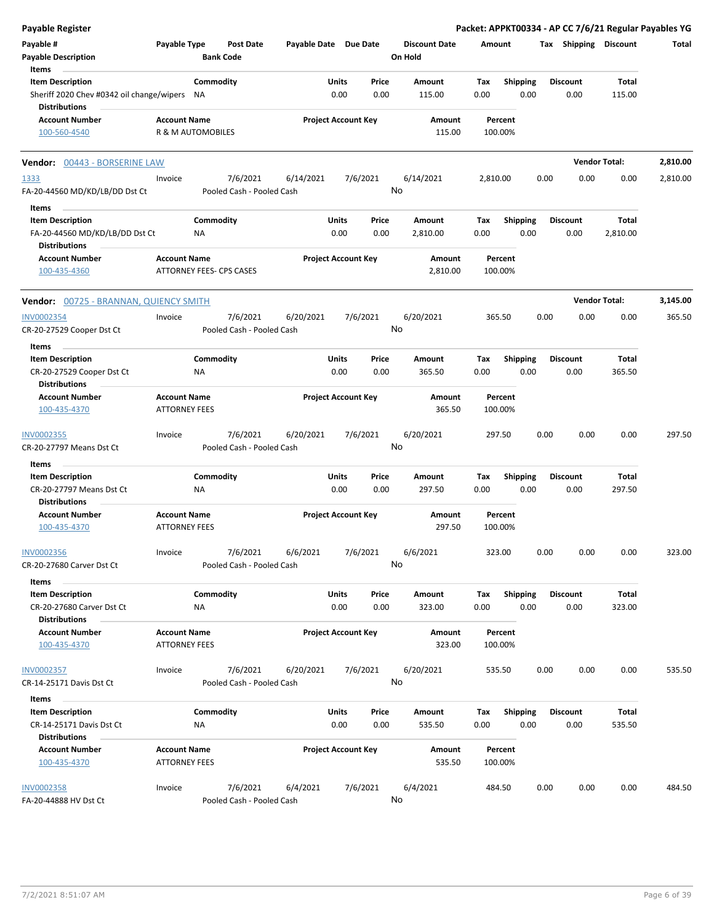| Payable Register                                  |                                             |                  |                           |                       |       |                            |                      |          |                    |      |                       |                      | Packet: APPKT00334 - AP CC 7/6/21 Regular Payables YG |
|---------------------------------------------------|---------------------------------------------|------------------|---------------------------|-----------------------|-------|----------------------------|----------------------|----------|--------------------|------|-----------------------|----------------------|-------------------------------------------------------|
| Payable #                                         | Payable Type                                |                  | <b>Post Date</b>          | Payable Date Due Date |       |                            | <b>Discount Date</b> | Amount   |                    |      | Tax Shipping Discount |                      | Total                                                 |
| <b>Payable Description</b>                        |                                             | <b>Bank Code</b> |                           |                       |       |                            | On Hold              |          |                    |      |                       |                      |                                                       |
| Items                                             |                                             |                  |                           |                       |       |                            |                      |          |                    |      |                       |                      |                                                       |
| <b>Item Description</b>                           |                                             | Commodity        |                           |                       | Units | Price                      | Amount               | Tax      | <b>Shipping</b>    |      | <b>Discount</b>       | Total                |                                                       |
| Sheriff 2020 Chev #0342 oil change/wipers NA      |                                             |                  |                           |                       | 0.00  | 0.00                       | 115.00               | 0.00     | 0.00               |      | 0.00                  | 115.00               |                                                       |
| <b>Distributions</b>                              |                                             |                  |                           |                       |       |                            |                      |          |                    |      |                       |                      |                                                       |
| <b>Account Number</b>                             | <b>Account Name</b>                         |                  |                           |                       |       | <b>Project Account Key</b> | Amount               |          | Percent            |      |                       |                      |                                                       |
| 100-560-4540                                      | R & M AUTOMOBILES                           |                  |                           |                       |       |                            | 115.00               |          | 100.00%            |      |                       |                      |                                                       |
| Vendor: 00443 - BORSERINE LAW                     |                                             |                  |                           |                       |       |                            |                      |          |                    |      |                       | <b>Vendor Total:</b> | 2,810.00                                              |
| 1333                                              | Invoice                                     |                  | 7/6/2021                  | 6/14/2021             |       | 7/6/2021                   | 6/14/2021            | 2,810.00 |                    | 0.00 | 0.00                  | 0.00                 | 2,810.00                                              |
| FA-20-44560 MD/KD/LB/DD Dst Ct                    |                                             |                  | Pooled Cash - Pooled Cash |                       |       |                            | No                   |          |                    |      |                       |                      |                                                       |
| Items                                             |                                             |                  |                           |                       |       |                            |                      |          |                    |      |                       |                      |                                                       |
| <b>Item Description</b>                           |                                             | Commodity        |                           |                       | Units | Price                      | Amount               | Тах      | <b>Shipping</b>    |      | <b>Discount</b>       | Total                |                                                       |
| FA-20-44560 MD/KD/LB/DD Dst Ct                    |                                             | ΝA               |                           |                       | 0.00  | 0.00                       | 2,810.00             | 0.00     | 0.00               |      | 0.00                  | 2,810.00             |                                                       |
| <b>Distributions</b>                              |                                             |                  |                           |                       |       |                            |                      |          |                    |      |                       |                      |                                                       |
| <b>Account Number</b>                             | <b>Account Name</b>                         |                  |                           |                       |       | <b>Project Account Key</b> | Amount               |          | Percent            |      |                       |                      |                                                       |
| 100-435-4360                                      | ATTORNEY FEES- CPS CASES                    |                  |                           |                       |       |                            | 2,810.00             |          | 100.00%            |      |                       |                      |                                                       |
|                                                   |                                             |                  |                           |                       |       |                            |                      |          |                    |      |                       |                      |                                                       |
| Vendor: 00725 - BRANNAN, QUIENCY SMITH            |                                             |                  |                           |                       |       |                            |                      |          |                    |      |                       | <b>Vendor Total:</b> | 3,145.00                                              |
| <b>INV0002354</b>                                 | Invoice                                     |                  | 7/6/2021                  | 6/20/2021             |       | 7/6/2021                   | 6/20/2021            |          | 365.50             | 0.00 | 0.00                  | 0.00                 | 365.50                                                |
| CR-20-27529 Cooper Dst Ct                         |                                             |                  | Pooled Cash - Pooled Cash |                       |       | No                         |                      |          |                    |      |                       |                      |                                                       |
| Items                                             |                                             |                  |                           |                       |       |                            |                      |          |                    |      |                       |                      |                                                       |
| <b>Item Description</b>                           |                                             | Commodity        |                           |                       | Units | Price                      | Amount               | Tax      | <b>Shipping</b>    |      | <b>Discount</b>       | Total                |                                                       |
| CR-20-27529 Cooper Dst Ct                         |                                             | ΝA               |                           |                       | 0.00  | 0.00                       | 365.50               | 0.00     | 0.00               |      | 0.00                  | 365.50               |                                                       |
| <b>Distributions</b>                              |                                             |                  |                           |                       |       |                            |                      |          |                    |      |                       |                      |                                                       |
| <b>Account Number</b>                             | <b>Account Name</b>                         |                  |                           |                       |       | <b>Project Account Key</b> | Amount               |          | Percent            |      |                       |                      |                                                       |
| 100-435-4370                                      | <b>ATTORNEY FEES</b>                        |                  |                           |                       |       |                            | 365.50               |          | 100.00%            |      |                       |                      |                                                       |
|                                                   |                                             |                  |                           |                       |       |                            |                      |          |                    |      |                       |                      |                                                       |
| INV0002355                                        | Invoice                                     |                  | 7/6/2021                  | 6/20/2021             |       | 7/6/2021                   | 6/20/2021            |          | 297.50             | 0.00 | 0.00                  | 0.00                 | 297.50                                                |
| CR-20-27797 Means Dst Ct                          |                                             |                  | Pooled Cash - Pooled Cash |                       |       | No                         |                      |          |                    |      |                       |                      |                                                       |
| Items                                             |                                             |                  |                           |                       |       |                            |                      |          |                    |      |                       |                      |                                                       |
| <b>Item Description</b>                           |                                             | Commodity        |                           |                       | Units | Price                      | Amount               | Tax      | <b>Shipping</b>    |      | <b>Discount</b>       | Total                |                                                       |
| CR-20-27797 Means Dst Ct                          |                                             | <b>NA</b>        |                           |                       | 0.00  | 0.00                       | 297.50               | 0.00     | 0.00               |      | 0.00                  | 297.50               |                                                       |
| <b>Distributions</b>                              |                                             |                  |                           |                       |       |                            |                      |          |                    |      |                       |                      |                                                       |
| <b>Account Number</b>                             | <b>Account Name</b>                         |                  |                           |                       |       | <b>Project Account Key</b> | Amount               |          | Percent            |      |                       |                      |                                                       |
| 100-435-4370                                      | <b>ATTORNEY FEES</b>                        |                  |                           |                       |       |                            | 297.50               |          | 100.00%            |      |                       |                      |                                                       |
| INV0002356                                        | Invoice                                     |                  | 7/6/2021                  | 6/6/2021              |       | 7/6/2021                   | 6/6/2021             |          | 323.00             | 0.00 | 0.00                  | 0.00                 | 323.00                                                |
| CR-20-27680 Carver Dst Ct                         |                                             |                  | Pooled Cash - Pooled Cash |                       |       |                            | No                   |          |                    |      |                       |                      |                                                       |
|                                                   |                                             |                  |                           |                       |       |                            |                      |          |                    |      |                       |                      |                                                       |
| Items                                             |                                             | Commodity        |                           |                       | Units |                            | Amount               |          |                    |      |                       |                      |                                                       |
| <b>Item Description</b>                           |                                             |                  |                           |                       |       | Price                      |                      | Tax      | <b>Shipping</b>    |      | <b>Discount</b>       | Total                |                                                       |
| CR-20-27680 Carver Dst Ct<br><b>Distributions</b> |                                             | ΝA               |                           |                       | 0.00  | 0.00                       | 323.00               | 0.00     | 0.00               |      | 0.00                  | 323.00               |                                                       |
| <b>Account Number</b>                             |                                             |                  |                           |                       |       |                            |                      |          |                    |      |                       |                      |                                                       |
| 100-435-4370                                      | <b>Account Name</b><br><b>ATTORNEY FEES</b> |                  |                           |                       |       | <b>Project Account Key</b> | Amount<br>323.00     |          | Percent<br>100.00% |      |                       |                      |                                                       |
|                                                   |                                             |                  |                           |                       |       |                            |                      |          |                    |      |                       |                      |                                                       |
| <b>INV0002357</b>                                 | Invoice                                     |                  | 7/6/2021                  | 6/20/2021             |       | 7/6/2021                   | 6/20/2021            |          | 535.50             | 0.00 | 0.00                  | 0.00                 | 535.50                                                |
| CR-14-25171 Davis Dst Ct                          |                                             |                  | Pooled Cash - Pooled Cash |                       |       |                            | No                   |          |                    |      |                       |                      |                                                       |
|                                                   |                                             |                  |                           |                       |       |                            |                      |          |                    |      |                       |                      |                                                       |
| Items<br><b>Item Description</b>                  |                                             | Commodity        |                           |                       | Units | Price                      | Amount               | Tax      | <b>Shipping</b>    |      | <b>Discount</b>       | Total                |                                                       |
| CR-14-25171 Davis Dst Ct                          |                                             | NA               |                           |                       | 0.00  | 0.00                       | 535.50               | 0.00     | 0.00               |      | 0.00                  | 535.50               |                                                       |
| <b>Distributions</b>                              |                                             |                  |                           |                       |       |                            |                      |          |                    |      |                       |                      |                                                       |
| <b>Account Number</b>                             | <b>Account Name</b>                         |                  |                           |                       |       | <b>Project Account Key</b> | Amount               |          | Percent            |      |                       |                      |                                                       |
| 100-435-4370                                      | <b>ATTORNEY FEES</b>                        |                  |                           |                       |       |                            | 535.50               |          | 100.00%            |      |                       |                      |                                                       |
|                                                   |                                             |                  |                           |                       |       |                            |                      |          |                    |      |                       |                      |                                                       |
| <b>INV0002358</b>                                 | Invoice                                     |                  | 7/6/2021                  | 6/4/2021              |       | 7/6/2021                   | 6/4/2021             | 484.50   |                    | 0.00 | 0.00                  | 0.00                 | 484.50                                                |
| FA-20-44888 HV Dst Ct                             |                                             |                  | Pooled Cash - Pooled Cash |                       |       | No                         |                      |          |                    |      |                       |                      |                                                       |
|                                                   |                                             |                  |                           |                       |       |                            |                      |          |                    |      |                       |                      |                                                       |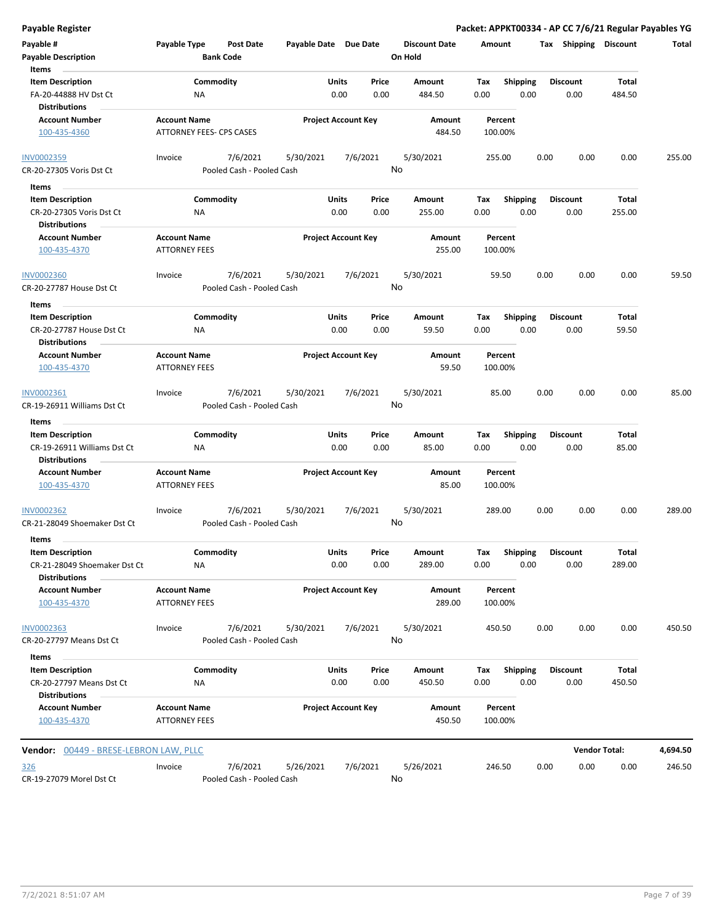| Payable Register |  |
|------------------|--|
|------------------|--|

| Payable #<br><b>Payable Description</b><br>Items                                | Payable Type                                    | Post Date<br><b>Bank Code</b>         | Payable Date Due Date      |               |               | <b>Discount Date</b><br>On Hold | Amount             |                         |      | Tax Shipping Discount   |                      | Total    |
|---------------------------------------------------------------------------------|-------------------------------------------------|---------------------------------------|----------------------------|---------------|---------------|---------------------------------|--------------------|-------------------------|------|-------------------------|----------------------|----------|
| <b>Item Description</b><br>FA-20-44888 HV Dst Ct                                | ΝA                                              | Commodity                             |                            | Units<br>0.00 | Price<br>0.00 | Amount<br>484.50                | Tax<br>0.00        | <b>Shipping</b><br>0.00 |      | <b>Discount</b><br>0.00 | Total<br>484.50      |          |
| <b>Distributions</b><br><b>Account Number</b><br>100-435-4360                   | <b>Account Name</b><br>ATTORNEY FEES- CPS CASES |                                       | <b>Project Account Key</b> |               |               | Amount<br>484.50                | Percent<br>100.00% |                         |      |                         |                      |          |
| INV0002359<br>CR-20-27305 Voris Dst Ct                                          | Invoice                                         | 7/6/2021<br>Pooled Cash - Pooled Cash | 5/30/2021                  |               | 7/6/2021      | 5/30/2021<br>No                 | 255.00             |                         | 0.00 | 0.00                    | 0.00                 | 255.00   |
| Items                                                                           |                                                 |                                       |                            |               |               |                                 |                    |                         |      |                         |                      |          |
| <b>Item Description</b>                                                         |                                                 | Commodity                             |                            | Units         | Price         | Amount                          | Tax                | <b>Shipping</b>         |      | <b>Discount</b>         | Total                |          |
| CR-20-27305 Voris Dst Ct<br><b>Distributions</b>                                | ΝA                                              |                                       |                            | 0.00          | 0.00          | 255.00                          | 0.00               | 0.00                    |      | 0.00                    | 255.00               |          |
| <b>Account Number</b>                                                           | <b>Account Name</b>                             |                                       | <b>Project Account Key</b> |               |               | Amount                          | Percent            |                         |      |                         |                      |          |
| 100-435-4370                                                                    | <b>ATTORNEY FEES</b>                            |                                       |                            |               |               | 255.00                          | 100.00%            |                         |      |                         |                      |          |
| <b>INV0002360</b><br>CR-20-27787 House Dst Ct                                   | Invoice                                         | 7/6/2021<br>Pooled Cash - Pooled Cash | 5/30/2021                  |               | 7/6/2021      | 5/30/2021<br>No                 | 59.50              |                         | 0.00 | 0.00                    | 0.00                 | 59.50    |
|                                                                                 |                                                 |                                       |                            |               |               |                                 |                    |                         |      |                         |                      |          |
| Items<br><b>Item Description</b>                                                |                                                 | Commodity                             |                            | Units         | Price         | Amount                          | Tax                | <b>Shipping</b>         |      | <b>Discount</b>         | Total                |          |
| CR-20-27787 House Dst Ct<br><b>Distributions</b>                                | ΝA                                              |                                       |                            | 0.00          | 0.00          | 59.50                           | 0.00               | 0.00                    |      | 0.00                    | 59.50                |          |
| <b>Account Number</b><br>100-435-4370                                           | <b>Account Name</b><br><b>ATTORNEY FEES</b>     |                                       | <b>Project Account Key</b> |               |               | Amount<br>59.50                 | Percent<br>100.00% |                         |      |                         |                      |          |
| INV0002361<br>CR-19-26911 Williams Dst Ct                                       | Invoice                                         | 7/6/2021<br>Pooled Cash - Pooled Cash | 5/30/2021                  |               | 7/6/2021      | 5/30/2021<br>No                 | 85.00              |                         | 0.00 | 0.00                    | 0.00                 | 85.00    |
| Items                                                                           |                                                 |                                       |                            |               |               |                                 |                    |                         |      |                         |                      |          |
| <b>Item Description</b><br>CR-19-26911 Williams Dst Ct                          | ΝA                                              | Commodity                             |                            | Units<br>0.00 | Price<br>0.00 | Amount<br>85.00                 | Tax<br>0.00        | <b>Shipping</b><br>0.00 |      | <b>Discount</b><br>0.00 | Total<br>85.00       |          |
| <b>Distributions</b>                                                            |                                                 |                                       |                            |               |               |                                 |                    |                         |      |                         |                      |          |
| <b>Account Number</b><br>100-435-4370                                           | <b>Account Name</b><br><b>ATTORNEY FEES</b>     |                                       | <b>Project Account Key</b> |               |               | Amount<br>85.00                 | Percent<br>100.00% |                         |      |                         |                      |          |
| INV0002362<br>CR-21-28049 Shoemaker Dst Ct                                      | Invoice                                         | 7/6/2021<br>Pooled Cash - Pooled Cash | 5/30/2021                  |               | 7/6/2021      | 5/30/2021<br>No                 | 289.00             |                         | 0.00 | 0.00                    | 0.00                 | 289.00   |
| Items                                                                           |                                                 |                                       |                            |               |               |                                 |                    |                         |      |                         |                      |          |
| <b>Item Description</b><br>CR-21-28049 Shoemaker Dst Ct<br><b>Distributions</b> | NA                                              | Commodity                             |                            | Units<br>0.00 | Price<br>0.00 | <b>Amount</b><br>289.00         | Tax<br>0.00        | <b>Shipping</b><br>0.00 |      | <b>Discount</b><br>0.00 | Total<br>289.00      |          |
| <b>Account Number</b><br>100-435-4370                                           | <b>Account Name</b><br><b>ATTORNEY FEES</b>     |                                       | <b>Project Account Key</b> |               |               | Amount<br>289.00                | Percent<br>100.00% |                         |      |                         |                      |          |
| <b>INV0002363</b><br>CR-20-27797 Means Dst Ct                                   | Invoice                                         | 7/6/2021<br>Pooled Cash - Pooled Cash | 5/30/2021                  |               | 7/6/2021      | 5/30/2021<br>No                 | 450.50             |                         | 0.00 | 0.00                    | 0.00                 | 450.50   |
| Items                                                                           |                                                 |                                       |                            |               |               |                                 |                    |                         |      |                         |                      |          |
| <b>Item Description</b>                                                         |                                                 | Commodity                             |                            | Units         | Price         | Amount                          | Тах                | <b>Shipping</b>         |      | <b>Discount</b>         | Total                |          |
| CR-20-27797 Means Dst Ct<br><b>Distributions</b>                                | ΝA                                              |                                       |                            | 0.00          | 0.00          | 450.50                          | 0.00               | 0.00                    |      | 0.00                    | 450.50               |          |
| <b>Account Number</b><br>100-435-4370                                           | <b>Account Name</b><br><b>ATTORNEY FEES</b>     |                                       | <b>Project Account Key</b> |               |               | Amount<br>450.50                | Percent<br>100.00% |                         |      |                         |                      |          |
| Vendor: 00449 - BRESE-LEBRON LAW, PLLC                                          |                                                 |                                       |                            |               |               |                                 |                    |                         |      |                         | <b>Vendor Total:</b> | 4,694.50 |
| <u>326</u><br>CR-19-27079 Morel Dst Ct                                          | Invoice                                         | 7/6/2021<br>Pooled Cash - Pooled Cash | 5/26/2021                  |               | 7/6/2021      | 5/26/2021<br>No                 | 246.50             |                         | 0.00 | 0.00                    | 0.00                 | 246.50   |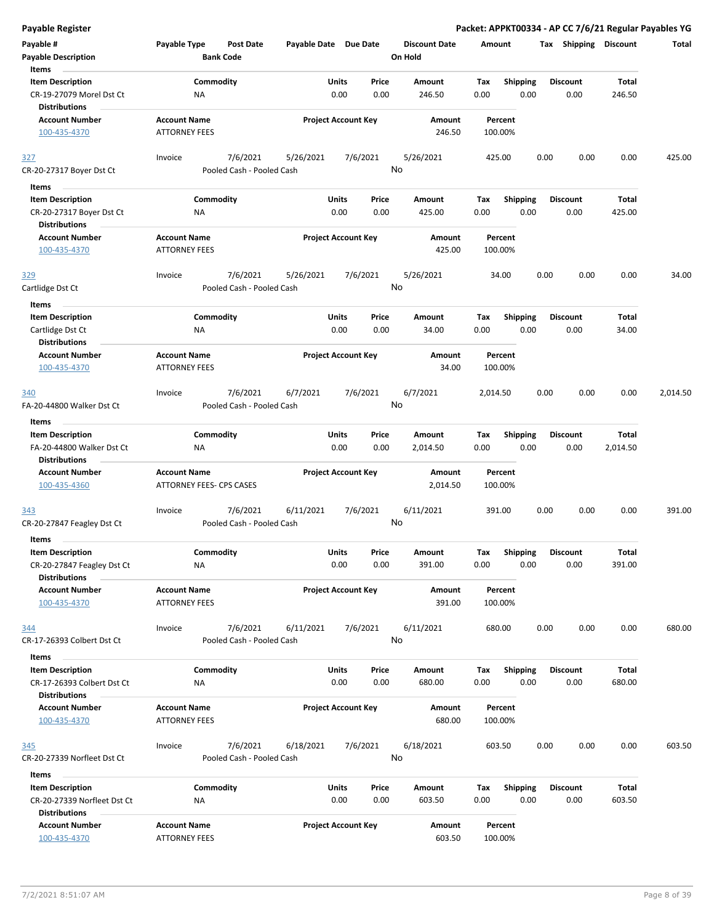| <b>Payable Register</b>                                                        |                                             |                                       |                            |                            |               |                                 |             |                         |      |                         |                        | Packet: APPKT00334 - AP CC 7/6/21 Regular Payables YG |
|--------------------------------------------------------------------------------|---------------------------------------------|---------------------------------------|----------------------------|----------------------------|---------------|---------------------------------|-------------|-------------------------|------|-------------------------|------------------------|-------------------------------------------------------|
| Payable #<br><b>Payable Description</b>                                        | Payable Type                                | <b>Post Date</b><br><b>Bank Code</b>  | Payable Date Due Date      |                            |               | <b>Discount Date</b><br>On Hold | Amount      |                         |      | Tax Shipping Discount   |                        | Total                                                 |
| Items<br><b>Item Description</b><br>CR-19-27079 Morel Dst Ct                   | ΝA                                          | Commodity                             |                            | Units<br>0.00              | Price<br>0.00 | Amount<br>246.50                | Tax<br>0.00 | <b>Shipping</b><br>0.00 |      | <b>Discount</b><br>0.00 | <b>Total</b><br>246.50 |                                                       |
| <b>Distributions</b><br><b>Account Number</b><br>100-435-4370                  | <b>Account Name</b><br><b>ATTORNEY FEES</b> |                                       |                            | <b>Project Account Key</b> |               | Amount<br>246.50                |             | Percent<br>100.00%      |      |                         |                        |                                                       |
| 327<br>CR-20-27317 Boyer Dst Ct                                                | Invoice                                     | 7/6/2021<br>Pooled Cash - Pooled Cash | 5/26/2021                  |                            | 7/6/2021      | 5/26/2021<br>No                 |             | 425.00                  | 0.00 | 0.00                    | 0.00                   | 425.00                                                |
| Items                                                                          |                                             |                                       |                            |                            |               |                                 |             |                         |      |                         |                        |                                                       |
| <b>Item Description</b>                                                        |                                             | Commodity                             |                            | Units                      | Price         | Amount                          | Tax         | <b>Shipping</b>         |      | <b>Discount</b>         | Total                  |                                                       |
| CR-20-27317 Boyer Dst Ct<br><b>Distributions</b>                               | ΝA                                          |                                       |                            | 0.00                       | 0.00          | 425.00                          | 0.00        | 0.00                    |      | 0.00                    | 425.00                 |                                                       |
| <b>Account Number</b><br>100-435-4370                                          | <b>Account Name</b><br><b>ATTORNEY FEES</b> |                                       | <b>Project Account Key</b> |                            |               | Amount<br>425.00                |             | Percent<br>100.00%      |      |                         |                        |                                                       |
| 329<br>Cartlidge Dst Ct                                                        | Invoice                                     | 7/6/2021<br>Pooled Cash - Pooled Cash | 5/26/2021                  |                            | 7/6/2021      | 5/26/2021<br>No                 |             | 34.00                   | 0.00 | 0.00                    | 0.00                   | 34.00                                                 |
| Items                                                                          |                                             |                                       |                            |                            |               |                                 |             |                         |      |                         |                        |                                                       |
| <b>Item Description</b><br>Cartlidge Dst Ct<br><b>Distributions</b>            | NA                                          | Commodity                             |                            | Units<br>0.00              | Price<br>0.00 | <b>Amount</b><br>34.00          | Tax<br>0.00 | <b>Shipping</b><br>0.00 |      | <b>Discount</b><br>0.00 | Total<br>34.00         |                                                       |
| <b>Account Number</b><br>100-435-4370                                          | <b>Account Name</b><br><b>ATTORNEY FEES</b> |                                       | <b>Project Account Key</b> |                            |               | Amount<br>34.00                 |             | Percent<br>100.00%      |      |                         |                        |                                                       |
| 340                                                                            | Invoice                                     | 7/6/2021                              | 6/7/2021                   |                            | 7/6/2021      | 6/7/2021                        | 2,014.50    |                         | 0.00 | 0.00                    | 0.00                   | 2,014.50                                              |
| FA-20-44800 Walker Dst Ct                                                      |                                             | Pooled Cash - Pooled Cash             |                            |                            |               | No                              |             |                         |      |                         |                        |                                                       |
| Items                                                                          |                                             |                                       |                            |                            |               |                                 |             |                         |      |                         |                        |                                                       |
| <b>Item Description</b>                                                        |                                             | Commodity                             |                            | Units                      | Price         | Amount                          | Tax         | <b>Shipping</b>         |      | <b>Discount</b>         | Total                  |                                                       |
| FA-20-44800 Walker Dst Ct<br><b>Distributions</b>                              | ΝA                                          |                                       |                            | 0.00                       | 0.00          | 2,014.50                        | 0.00        | 0.00                    |      | 0.00                    | 2,014.50               |                                                       |
| <b>Account Number</b>                                                          | <b>Account Name</b>                         |                                       | <b>Project Account Key</b> |                            |               | Amount                          |             | Percent                 |      |                         |                        |                                                       |
| 100-435-4360                                                                   | ATTORNEY FEES- CPS CASES                    |                                       |                            |                            |               | 2,014.50                        |             | 100.00%                 |      |                         |                        |                                                       |
| <u>343</u>                                                                     | Invoice                                     | 7/6/2021                              | 6/11/2021                  |                            | 7/6/2021      | 6/11/2021                       |             | 391.00                  | 0.00 | 0.00                    | 0.00                   | 391.00                                                |
| CR-20-27847 Feagley Dst Ct                                                     |                                             | Pooled Cash - Pooled Cash             |                            |                            |               | No                              |             |                         |      |                         |                        |                                                       |
| Items                                                                          |                                             |                                       |                            |                            |               |                                 |             |                         |      |                         |                        |                                                       |
| <b>Item Description</b>                                                        |                                             | Commodity                             |                            | Units                      | Price         | Amount                          | Tax         | Shipping                |      | <b>Discount</b>         | <b>Total</b>           |                                                       |
| CR-20-27847 Feagley Dst Ct<br><b>Distributions</b>                             | NA                                          |                                       |                            | 0.00                       | 0.00          | 391.00                          | 0.00        | 0.00                    |      | 0.00                    | 391.00                 |                                                       |
| <b>Account Number</b><br>100-435-4370                                          | <b>Account Name</b><br><b>ATTORNEY FEES</b> |                                       | <b>Project Account Key</b> |                            |               | Amount<br>391.00                |             | Percent<br>100.00%      |      |                         |                        |                                                       |
| 344<br>CR-17-26393 Colbert Dst Ct                                              | Invoice                                     | 7/6/2021<br>Pooled Cash - Pooled Cash | 6/11/2021                  |                            | 7/6/2021      | 6/11/2021<br>No                 |             | 680.00                  | 0.00 | 0.00                    | 0.00                   | 680.00                                                |
| Items                                                                          |                                             |                                       |                            |                            |               |                                 |             |                         |      |                         |                        |                                                       |
| <b>Item Description</b>                                                        |                                             | Commodity                             |                            | Units                      | Price         | Amount                          | Тах         | <b>Shipping</b>         |      | <b>Discount</b>         | Total                  |                                                       |
| CR-17-26393 Colbert Dst Ct<br><b>Distributions</b>                             | ΝA                                          |                                       |                            | 0.00                       | 0.00          | 680.00                          | 0.00        | 0.00                    |      | 0.00                    | 680.00                 |                                                       |
| <b>Account Number</b><br>100-435-4370                                          | <b>Account Name</b><br><b>ATTORNEY FEES</b> |                                       |                            | <b>Project Account Key</b> |               | Amount<br>680.00                |             | Percent<br>100.00%      |      |                         |                        |                                                       |
| <u>345</u>                                                                     | Invoice                                     | 7/6/2021                              | 6/18/2021                  |                            | 7/6/2021      | 6/18/2021                       |             | 603.50                  | 0.00 | 0.00                    | 0.00                   | 603.50                                                |
| CR-20-27339 Norfleet Dst Ct                                                    |                                             | Pooled Cash - Pooled Cash             |                            |                            |               | No                              |             |                         |      |                         |                        |                                                       |
| Items                                                                          |                                             |                                       |                            |                            |               |                                 |             |                         |      |                         |                        |                                                       |
| <b>Item Description</b><br>CR-20-27339 Norfleet Dst Ct<br><b>Distributions</b> | ΝA                                          | Commodity                             |                            | Units<br>0.00              | Price<br>0.00 | Amount<br>603.50                | Tax<br>0.00 | <b>Shipping</b><br>0.00 |      | <b>Discount</b><br>0.00 | Total<br>603.50        |                                                       |
| <b>Account Number</b><br>100-435-4370                                          | <b>Account Name</b><br><b>ATTORNEY FEES</b> |                                       | <b>Project Account Key</b> |                            |               | Amount<br>603.50                |             | Percent<br>100.00%      |      |                         |                        |                                                       |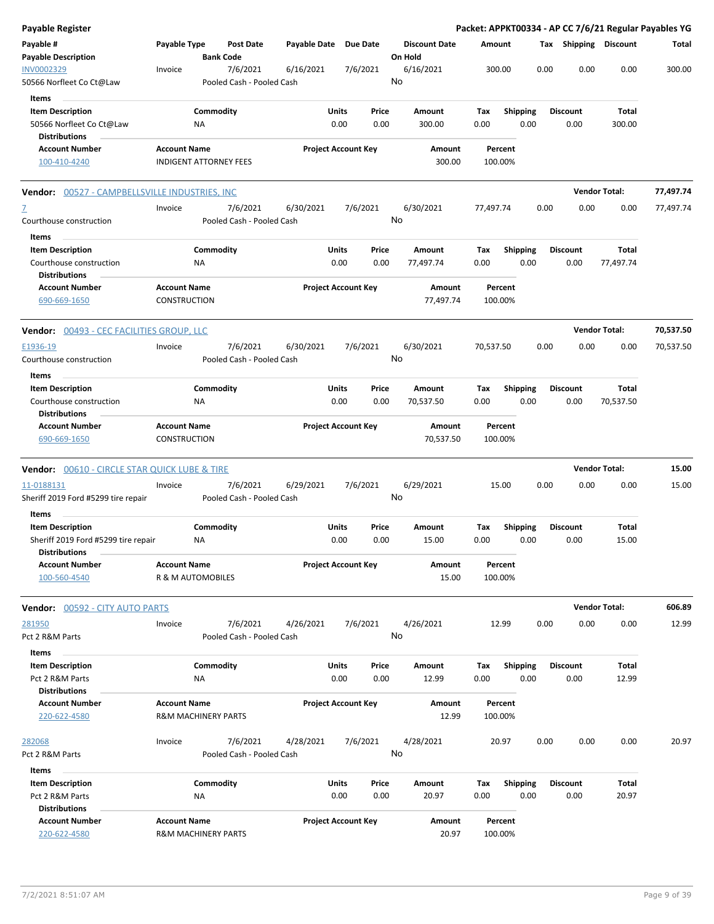| Payable Register                                                            |                                            |                                |                                       |              |                                |                                 |                     |                    |                         |      |                         |                       | Packet: APPKT00334 - AP CC 7/6/21 Regular Payables YG |
|-----------------------------------------------------------------------------|--------------------------------------------|--------------------------------|---------------------------------------|--------------|--------------------------------|---------------------------------|---------------------|--------------------|-------------------------|------|-------------------------|-----------------------|-------------------------------------------------------|
| Payable #<br><b>Payable Description</b>                                     | Payable Type                               |                                | <b>Post Date</b><br><b>Bank Code</b>  | Payable Date | <b>Due Date</b>                | <b>Discount Date</b><br>On Hold |                     | Amount             |                         |      |                         | Tax Shipping Discount | Total                                                 |
| INV0002329<br>50566 Norfleet Co Ct@Law                                      | Invoice                                    |                                | 7/6/2021<br>Pooled Cash - Pooled Cash | 6/16/2021    | 7/6/2021                       | 6/16/2021<br>No                 |                     | 300.00             |                         | 0.00 | 0.00                    | 0.00                  | 300.00                                                |
| Items                                                                       |                                            |                                |                                       |              |                                |                                 |                     |                    |                         |      |                         |                       |                                                       |
| <b>Item Description</b><br>50566 Norfleet Co Ct@Law<br><b>Distributions</b> |                                            | Commodity<br>ΝA                |                                       |              | Units<br>Price<br>0.00<br>0.00 | Amount<br>300.00                |                     | Tax<br>0.00        | <b>Shipping</b><br>0.00 |      | <b>Discount</b><br>0.00 | Total<br>300.00       |                                                       |
| <b>Account Number</b>                                                       | <b>Account Name</b>                        |                                |                                       |              | <b>Project Account Key</b>     |                                 | Amount              | Percent            |                         |      |                         |                       |                                                       |
| 100-410-4240                                                                | <b>INDIGENT ATTORNEY FEES</b>              |                                |                                       |              |                                |                                 | 300.00              | 100.00%            |                         |      |                         |                       |                                                       |
| Vendor: 00527 - CAMPBELLSVILLE INDUSTRIES, INC                              |                                            |                                |                                       |              |                                |                                 |                     |                    |                         |      |                         | <b>Vendor Total:</b>  | 77,497.74                                             |
| Z<br>Courthouse construction                                                | Invoice                                    |                                | 7/6/2021<br>Pooled Cash - Pooled Cash | 6/30/2021    | 7/6/2021                       | 6/30/2021<br>No                 |                     | 77,497.74          |                         | 0.00 | 0.00                    | 0.00                  | 77,497.74                                             |
| Items                                                                       |                                            |                                |                                       |              |                                |                                 |                     |                    |                         |      |                         |                       |                                                       |
| <b>Item Description</b><br>Courthouse construction<br><b>Distributions</b>  |                                            | Commodity<br>ΝA                |                                       |              | Units<br>Price<br>0.00<br>0.00 | Amount<br>77,497.74             |                     | Tax<br>0.00        | <b>Shipping</b><br>0.00 |      | <b>Discount</b><br>0.00 | Total<br>77,497.74    |                                                       |
| <b>Account Number</b><br>690-669-1650                                       | <b>Account Name</b><br><b>CONSTRUCTION</b> |                                |                                       |              | <b>Project Account Key</b>     |                                 | Amount<br>77,497.74 | Percent<br>100.00% |                         |      |                         |                       |                                                       |
| Vendor: 00493 - CEC FACILITIES GROUP, LLC                                   |                                            |                                |                                       |              |                                |                                 |                     |                    |                         |      |                         | <b>Vendor Total:</b>  | 70,537.50                                             |
| E1936-19<br>Courthouse construction                                         | Invoice                                    |                                | 7/6/2021<br>Pooled Cash - Pooled Cash | 6/30/2021    | 7/6/2021                       | 6/30/2021<br>No                 |                     | 70,537.50          |                         | 0.00 | 0.00                    | 0.00                  | 70,537.50                                             |
| Items                                                                       |                                            |                                |                                       |              |                                |                                 |                     |                    |                         |      |                         |                       |                                                       |
| <b>Item Description</b><br>Courthouse construction<br><b>Distributions</b>  |                                            | Commodity<br>ΝA                |                                       |              | Units<br>Price<br>0.00<br>0.00 | Amount<br>70,537.50             |                     | Tax<br>0.00        | <b>Shipping</b><br>0.00 |      | <b>Discount</b><br>0.00 | Total<br>70,537.50    |                                                       |
| <b>Account Number</b><br>690-669-1650                                       | <b>Account Name</b><br>CONSTRUCTION        |                                |                                       |              | <b>Project Account Key</b>     |                                 | Amount<br>70,537.50 | Percent<br>100.00% |                         |      |                         |                       |                                                       |
| <b>Vendor:</b> 00610 - CIRCLE STAR QUICK LUBE & TIRE                        |                                            |                                |                                       |              |                                |                                 |                     |                    |                         |      |                         | <b>Vendor Total:</b>  | 15.00                                                 |
| 11-0188131<br>Sheriff 2019 Ford #5299 tire repair                           | Invoice                                    |                                | 7/6/2021<br>Pooled Cash - Pooled Cash | 6/29/2021    | 7/6/2021                       | 6/29/2021<br>No                 |                     | 15.00              |                         | 0.00 | 0.00                    | 0.00                  | 15.00                                                 |
| Items<br><b>Item Description</b>                                            |                                            | Commodity                      |                                       |              | Units<br>Price                 | Amount                          |                     | Tax                | <b>Shipping</b>         |      | <b>Discount</b>         | Total                 |                                                       |
| Sheriff 2019 Ford #5299 tire repair<br><b>Distributions</b>                 |                                            | ΝA                             |                                       |              | 0.00<br>0.00                   | 15.00                           |                     | 0.00               | 0.00                    |      | 0.00                    | 15.00                 |                                                       |
| <b>Account Number</b><br>100-560-4540                                       | <b>Account Name</b><br>R & M AUTOMOBILES   |                                |                                       |              | <b>Project Account Key</b>     |                                 | Amount<br>15.00     | Percent<br>100.00% |                         |      |                         |                       |                                                       |
| <b>Vendor: 00592 - CITY AUTO PARTS</b>                                      |                                            |                                |                                       |              |                                |                                 |                     |                    |                         |      |                         | <b>Vendor Total:</b>  | 606.89                                                |
| 281950<br>Pct 2 R&M Parts                                                   | Invoice                                    |                                | 7/6/2021<br>Pooled Cash - Pooled Cash | 4/26/2021    | 7/6/2021                       | 4/26/2021<br>No                 |                     | 12.99              |                         | 0.00 | 0.00                    | 0.00                  | 12.99                                                 |
| Items<br><b>Item Description</b>                                            |                                            | Commodity                      |                                       |              | Units<br>Price                 | Amount                          |                     | Tax                | <b>Shipping</b>         |      | Discount                | Total                 |                                                       |
| Pct 2 R&M Parts                                                             |                                            | ΝA                             |                                       |              | 0.00<br>0.00                   | 12.99                           |                     | 0.00               | 0.00                    |      | 0.00                    | 12.99                 |                                                       |
| <b>Distributions</b>                                                        |                                            |                                |                                       |              |                                |                                 |                     |                    |                         |      |                         |                       |                                                       |
| <b>Account Number</b><br>220-622-4580                                       | <b>Account Name</b>                        | <b>R&amp;M MACHINERY PARTS</b> |                                       |              | <b>Project Account Key</b>     |                                 | Amount<br>12.99     | Percent<br>100.00% |                         |      |                         |                       |                                                       |
| <u> 282068</u><br>Pct 2 R&M Parts                                           | Invoice                                    |                                | 7/6/2021<br>Pooled Cash - Pooled Cash | 4/28/2021    | 7/6/2021                       | 4/28/2021<br>No                 |                     | 20.97              |                         | 0.00 | 0.00                    | 0.00                  | 20.97                                                 |
| Items                                                                       |                                            |                                |                                       |              |                                |                                 |                     |                    |                         |      |                         |                       |                                                       |
| <b>Item Description</b><br>Pct 2 R&M Parts                                  |                                            | Commodity<br><b>NA</b>         |                                       |              | Units<br>Price<br>0.00<br>0.00 | Amount<br>20.97                 |                     | Tax<br>0.00        | Shipping<br>0.00        |      | <b>Discount</b><br>0.00 | Total<br>20.97        |                                                       |
| <b>Distributions</b><br><b>Account Number</b><br>220-622-4580               | <b>Account Name</b>                        | R&M MACHINERY PARTS            |                                       |              | <b>Project Account Key</b>     |                                 | Amount<br>20.97     | Percent<br>100.00% |                         |      |                         |                       |                                                       |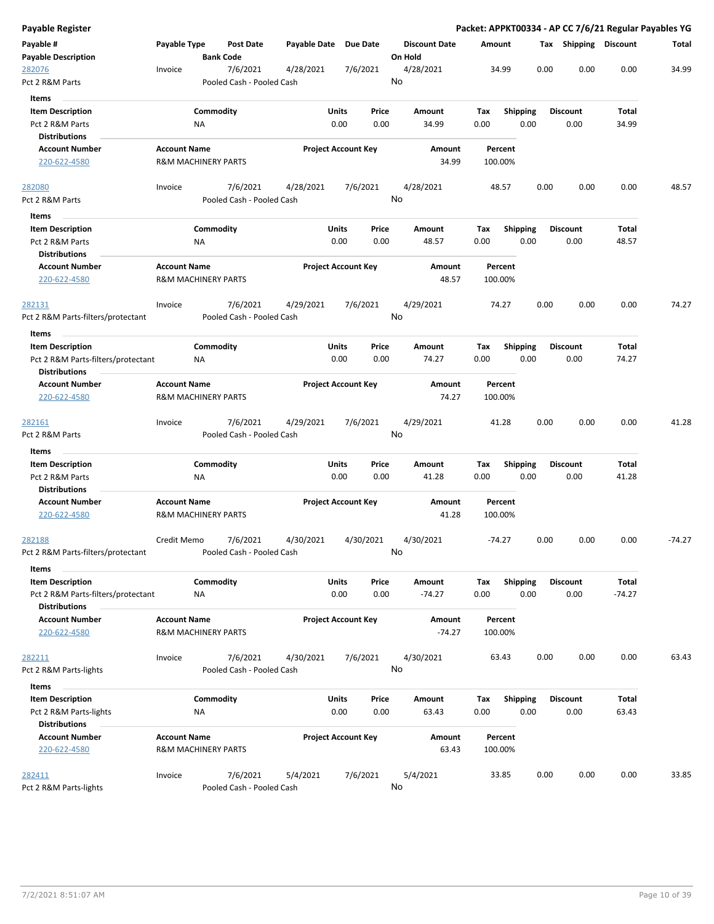| Payable Register                   |                                |                  |                           |                       |                            |           |         |                      |        |          |                 |      |                       |          | Packet: APPKT00334 - AP CC 7/6/21 Regular Payables YG |
|------------------------------------|--------------------------------|------------------|---------------------------|-----------------------|----------------------------|-----------|---------|----------------------|--------|----------|-----------------|------|-----------------------|----------|-------------------------------------------------------|
| Payable #                          | Payable Type                   |                  | Post Date                 | Payable Date Due Date |                            |           |         | <b>Discount Date</b> | Amount |          |                 |      | Tax Shipping Discount |          | Total                                                 |
| <b>Payable Description</b>         |                                | <b>Bank Code</b> |                           |                       |                            |           | On Hold |                      |        |          |                 |      |                       |          |                                                       |
| 282076                             | Invoice                        |                  | 7/6/2021                  | 4/28/2021             |                            | 7/6/2021  |         | 4/28/2021            |        | 34.99    |                 | 0.00 | 0.00                  | 0.00     | 34.99                                                 |
| Pct 2 R&M Parts                    |                                |                  | Pooled Cash - Pooled Cash |                       |                            |           | No      |                      |        |          |                 |      |                       |          |                                                       |
| Items                              |                                |                  |                           |                       |                            |           |         |                      |        |          |                 |      |                       |          |                                                       |
| <b>Item Description</b>            |                                | Commodity        |                           |                       | Units                      | Price     |         | Amount               | Tax    |          | <b>Shipping</b> |      | <b>Discount</b>       | Total    |                                                       |
| Pct 2 R&M Parts                    |                                | ΝA               |                           |                       | 0.00                       | 0.00      |         | 34.99                | 0.00   |          | 0.00            |      | 0.00                  | 34.99    |                                                       |
| <b>Distributions</b>               |                                |                  |                           |                       |                            |           |         |                      |        |          |                 |      |                       |          |                                                       |
| <b>Account Number</b>              | <b>Account Name</b>            |                  |                           |                       | <b>Project Account Key</b> |           |         | Amount               |        | Percent  |                 |      |                       |          |                                                       |
| 220-622-4580                       | <b>R&amp;M MACHINERY PARTS</b> |                  |                           |                       |                            |           |         | 34.99                |        | 100.00%  |                 |      |                       |          |                                                       |
| 282080                             | Invoice                        |                  | 7/6/2021                  | 4/28/2021             |                            | 7/6/2021  |         | 4/28/2021            |        | 48.57    |                 | 0.00 | 0.00                  | 0.00     | 48.57                                                 |
| Pct 2 R&M Parts                    |                                |                  | Pooled Cash - Pooled Cash |                       |                            |           | No      |                      |        |          |                 |      |                       |          |                                                       |
| Items                              |                                |                  |                           |                       |                            |           |         |                      |        |          |                 |      |                       |          |                                                       |
| <b>Item Description</b>            |                                | Commodity        |                           |                       | Units                      | Price     |         | Amount               | Tax    |          | <b>Shipping</b> |      | <b>Discount</b>       | Total    |                                                       |
| Pct 2 R&M Parts                    |                                | NA               |                           |                       | 0.00                       | 0.00      |         | 48.57                | 0.00   |          | 0.00            |      | 0.00                  | 48.57    |                                                       |
| <b>Distributions</b>               |                                |                  |                           |                       |                            |           |         |                      |        |          |                 |      |                       |          |                                                       |
| <b>Account Number</b>              | <b>Account Name</b>            |                  |                           |                       | <b>Project Account Key</b> |           |         | Amount               |        | Percent  |                 |      |                       |          |                                                       |
| 220-622-4580                       | <b>R&amp;M MACHINERY PARTS</b> |                  |                           |                       |                            |           |         | 48.57                |        | 100.00%  |                 |      |                       |          |                                                       |
| 282131                             | Invoice                        |                  | 7/6/2021                  | 4/29/2021             |                            | 7/6/2021  |         | 4/29/2021            |        | 74.27    |                 | 0.00 | 0.00                  | 0.00     | 74.27                                                 |
| Pct 2 R&M Parts-filters/protectant |                                |                  | Pooled Cash - Pooled Cash |                       |                            |           | No      |                      |        |          |                 |      |                       |          |                                                       |
| Items                              |                                |                  |                           |                       |                            |           |         |                      |        |          |                 |      |                       |          |                                                       |
| <b>Item Description</b>            |                                | Commodity        |                           |                       | Units                      | Price     |         | Amount               | Tax    |          | <b>Shipping</b> |      | <b>Discount</b>       | Total    |                                                       |
| Pct 2 R&M Parts-filters/protectant |                                | ΝA               |                           |                       | 0.00                       | 0.00      |         | 74.27                | 0.00   |          | 0.00            |      | 0.00                  | 74.27    |                                                       |
| <b>Distributions</b>               |                                |                  |                           |                       |                            |           |         |                      |        |          |                 |      |                       |          |                                                       |
| <b>Account Number</b>              | <b>Account Name</b>            |                  |                           |                       | <b>Project Account Key</b> |           |         | Amount               |        | Percent  |                 |      |                       |          |                                                       |
| 220-622-4580                       | <b>R&amp;M MACHINERY PARTS</b> |                  |                           |                       |                            |           |         | 74.27                |        | 100.00%  |                 |      |                       |          |                                                       |
| <u> 282161</u>                     | Invoice                        |                  | 7/6/2021                  | 4/29/2021             |                            | 7/6/2021  |         | 4/29/2021            |        | 41.28    |                 | 0.00 | 0.00                  | 0.00     | 41.28                                                 |
| Pct 2 R&M Parts                    |                                |                  | Pooled Cash - Pooled Cash |                       |                            |           | No      |                      |        |          |                 |      |                       |          |                                                       |
| Items                              |                                |                  |                           |                       |                            |           |         |                      |        |          |                 |      |                       |          |                                                       |
| <b>Item Description</b>            |                                | Commodity        |                           |                       | Units                      | Price     |         | Amount               | Tax    |          | Shipping        |      | <b>Discount</b>       | Total    |                                                       |
| Pct 2 R&M Parts                    |                                | NA               |                           |                       | 0.00                       | 0.00      |         | 41.28                | 0.00   |          | 0.00            |      | 0.00                  | 41.28    |                                                       |
| <b>Distributions</b>               |                                |                  |                           |                       |                            |           |         |                      |        |          |                 |      |                       |          |                                                       |
| <b>Account Number</b>              | <b>Account Name</b>            |                  |                           |                       | <b>Project Account Key</b> |           |         | Amount               |        | Percent  |                 |      |                       |          |                                                       |
| 220-622-4580                       | <b>R&amp;M MACHINERY PARTS</b> |                  |                           |                       |                            |           |         | 41.28                |        | 100.00%  |                 |      |                       |          |                                                       |
| 282188                             | Credit Memo                    |                  | 7/6/2021                  | 4/30/2021             |                            | 4/30/2021 |         | 4/30/2021            |        | $-74.27$ |                 | 0.00 | 0.00                  | 0.00     | -74.27                                                |
| Pct 2 R&M Parts-filters/protectant |                                |                  | Pooled Cash - Pooled Cash |                       |                            |           | No      |                      |        |          |                 |      |                       |          |                                                       |
| Items                              |                                |                  |                           |                       |                            |           |         |                      |        |          |                 |      |                       |          |                                                       |
| <b>Item Description</b>            |                                | Commodity        |                           |                       | Units                      | Price     |         | Amount               | Tax    |          | Shipping        |      | <b>Discount</b>       | Total    |                                                       |
| Pct 2 R&M Parts-filters/protectant |                                | <b>NA</b>        |                           |                       | 0.00                       | 0.00      |         | $-74.27$             | 0.00   |          | 0.00            |      | 0.00                  | $-74.27$ |                                                       |
| <b>Distributions</b>               |                                |                  |                           |                       |                            |           |         |                      |        |          |                 |      |                       |          |                                                       |
| <b>Account Number</b>              | <b>Account Name</b>            |                  |                           |                       | <b>Project Account Key</b> |           |         | Amount               |        | Percent  |                 |      |                       |          |                                                       |
| 220-622-4580                       | <b>R&amp;M MACHINERY PARTS</b> |                  |                           |                       |                            |           |         | $-74.27$             |        | 100.00%  |                 |      |                       |          |                                                       |
|                                    |                                |                  |                           |                       |                            |           |         |                      |        |          |                 |      |                       |          |                                                       |
| 282211                             | Invoice                        |                  | 7/6/2021                  | 4/30/2021             |                            | 7/6/2021  |         | 4/30/2021            |        | 63.43    |                 | 0.00 | 0.00                  | 0.00     | 63.43                                                 |
| Pct 2 R&M Parts-lights             |                                |                  | Pooled Cash - Pooled Cash |                       |                            |           | No      |                      |        |          |                 |      |                       |          |                                                       |
| Items                              |                                |                  |                           |                       |                            |           |         |                      |        |          |                 |      |                       |          |                                                       |
| <b>Item Description</b>            |                                | Commodity        |                           |                       | Units                      | Price     |         | Amount               | Tax    |          | <b>Shipping</b> |      | <b>Discount</b>       | Total    |                                                       |
| Pct 2 R&M Parts-lights             |                                | ΝA               |                           |                       | 0.00                       | 0.00      |         | 63.43                | 0.00   |          | 0.00            |      | 0.00                  | 63.43    |                                                       |
| <b>Distributions</b>               |                                |                  |                           |                       |                            |           |         |                      |        |          |                 |      |                       |          |                                                       |
| <b>Account Number</b>              | <b>Account Name</b>            |                  |                           |                       | <b>Project Account Key</b> |           |         | Amount               |        | Percent  |                 |      |                       |          |                                                       |
| 220-622-4580                       | <b>R&amp;M MACHINERY PARTS</b> |                  |                           |                       |                            |           |         | 63.43                |        | 100.00%  |                 |      |                       |          |                                                       |
|                                    |                                |                  |                           |                       |                            |           |         |                      |        |          |                 |      |                       |          |                                                       |
| 282411                             | Invoice                        |                  | 7/6/2021                  | 5/4/2021              |                            | 7/6/2021  |         | 5/4/2021             |        | 33.85    |                 | 0.00 | 0.00                  | 0.00     | 33.85                                                 |
| Pct 2 R&M Parts-lights             |                                |                  | Pooled Cash - Pooled Cash |                       |                            |           | No      |                      |        |          |                 |      |                       |          |                                                       |
|                                    |                                |                  |                           |                       |                            |           |         |                      |        |          |                 |      |                       |          |                                                       |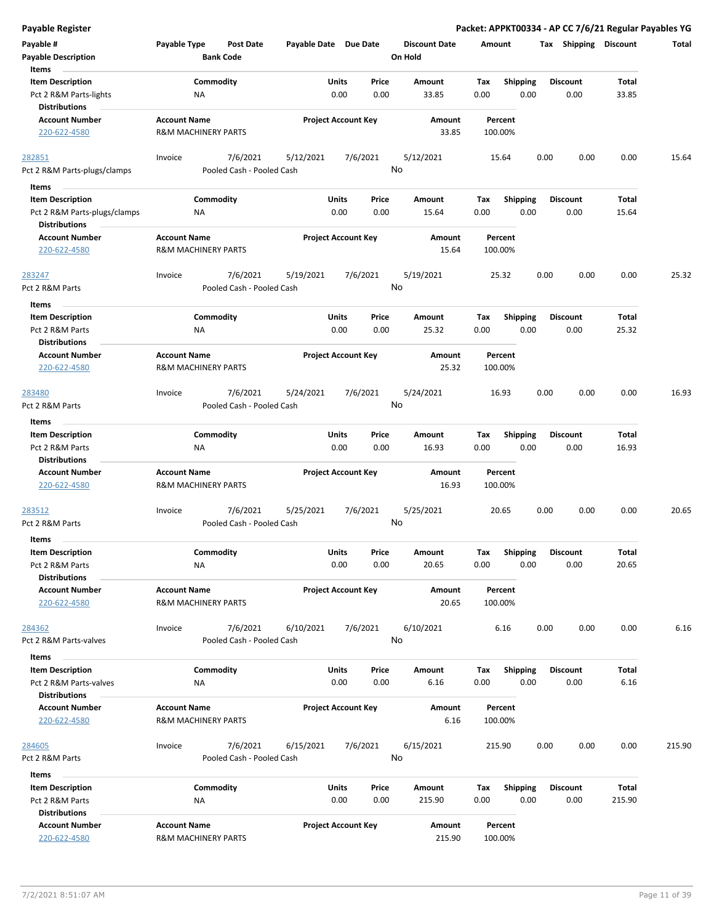| <b>Payable Register</b>                                                     |                                                       |                                       |                       |                            |                |                                 |             |                         |      |                         |                 | Packet: APPKT00334 - AP CC 7/6/21 Regular Payables YG |
|-----------------------------------------------------------------------------|-------------------------------------------------------|---------------------------------------|-----------------------|----------------------------|----------------|---------------------------------|-------------|-------------------------|------|-------------------------|-----------------|-------------------------------------------------------|
| Payable #<br><b>Payable Description</b>                                     | Payable Type                                          | <b>Post Date</b><br><b>Bank Code</b>  | Payable Date Due Date |                            |                | <b>Discount Date</b><br>On Hold | Amount      |                         |      | Tax Shipping Discount   |                 | Total                                                 |
| Items<br><b>Item Description</b><br>Pct 2 R&M Parts-lights                  | ΝA                                                    | Commodity                             |                       | Units<br>0.00              | Price<br>0.00  | Amount<br>33.85                 | Tax<br>0.00 | Shipping<br>0.00        |      | <b>Discount</b><br>0.00 | Total<br>33.85  |                                                       |
| <b>Distributions</b><br><b>Account Number</b><br>220-622-4580               | <b>Account Name</b><br><b>R&amp;M MACHINERY PARTS</b> |                                       |                       | <b>Project Account Key</b> |                | Amount<br>33.85                 |             | Percent<br>100.00%      |      |                         |                 |                                                       |
| 282851<br>Pct 2 R&M Parts-plugs/clamps                                      | Invoice                                               | 7/6/2021<br>Pooled Cash - Pooled Cash | 5/12/2021             |                            | 7/6/2021<br>No | 5/12/2021                       |             | 15.64                   | 0.00 | 0.00                    | 0.00            | 15.64                                                 |
| Items<br><b>Item Description</b><br>Pct 2 R&M Parts-plugs/clamps            | ΝA                                                    | Commodity                             |                       | Units<br>0.00              | Price<br>0.00  | Amount<br>15.64                 | Tax<br>0.00 | <b>Shipping</b><br>0.00 |      | <b>Discount</b><br>0.00 | Total<br>15.64  |                                                       |
| <b>Distributions</b><br><b>Account Number</b><br>220-622-4580               | <b>Account Name</b><br><b>R&amp;M MACHINERY PARTS</b> |                                       |                       | <b>Project Account Key</b> |                | Amount<br>15.64                 |             | Percent<br>100.00%      |      |                         |                 |                                                       |
| 283247<br>Pct 2 R&M Parts                                                   | Invoice                                               | 7/6/2021<br>Pooled Cash - Pooled Cash | 5/19/2021             |                            | 7/6/2021<br>No | 5/19/2021                       |             | 25.32                   | 0.00 | 0.00                    | 0.00            | 25.32                                                 |
| Items<br><b>Item Description</b><br>Pct 2 R&M Parts<br><b>Distributions</b> | NA                                                    | Commodity                             |                       | Units<br>0.00              | Price<br>0.00  | Amount<br>25.32                 | Tax<br>0.00 | <b>Shipping</b><br>0.00 |      | <b>Discount</b><br>0.00 | Total<br>25.32  |                                                       |
| <b>Account Number</b><br>220-622-4580                                       | <b>Account Name</b><br><b>R&amp;M MACHINERY PARTS</b> |                                       |                       | <b>Project Account Key</b> |                | Amount<br>25.32                 |             | Percent<br>100.00%      |      |                         |                 |                                                       |
| 283480<br>Pct 2 R&M Parts                                                   | Invoice                                               | 7/6/2021<br>Pooled Cash - Pooled Cash | 5/24/2021             |                            | 7/6/2021<br>No | 5/24/2021                       |             | 16.93                   | 0.00 | 0.00                    | 0.00            | 16.93                                                 |
| Items                                                                       |                                                       |                                       |                       |                            |                |                                 |             |                         |      |                         |                 |                                                       |
| <b>Item Description</b><br>Pct 2 R&M Parts<br><b>Distributions</b>          | NA                                                    | Commodity                             |                       | Units<br>0.00              | Price<br>0.00  | Amount<br>16.93                 | Tax<br>0.00 | <b>Shipping</b><br>0.00 |      | <b>Discount</b><br>0.00 | Total<br>16.93  |                                                       |
| <b>Account Number</b><br>220-622-4580                                       | <b>Account Name</b><br><b>R&amp;M MACHINERY PARTS</b> |                                       |                       | <b>Project Account Key</b> |                | Amount<br>16.93                 |             | Percent<br>100.00%      |      |                         |                 |                                                       |
| 283512<br>Pct 2 R&M Parts                                                   | Invoice                                               | 7/6/2021<br>Pooled Cash - Pooled Cash | 5/25/2021             |                            | 7/6/2021<br>No | 5/25/2021                       |             | 20.65                   | 0.00 | 0.00                    | 0.00            | 20.65                                                 |
| Items<br><b>Item Description</b><br>Pct 2 R&M Parts<br><b>Distributions</b> | NA                                                    | Commodity                             |                       | Units<br>0.00              | Price<br>0.00  | Amount<br>20.65                 | Tax<br>0.00 | Shipping<br>0.00        |      | <b>Discount</b><br>0.00 | Total<br>20.65  |                                                       |
| <b>Account Number</b><br>220-622-4580                                       | <b>Account Name</b><br><b>R&amp;M MACHINERY PARTS</b> |                                       |                       | <b>Project Account Key</b> |                | Amount<br>20.65                 |             | Percent<br>100.00%      |      |                         |                 |                                                       |
| 284362<br>Pct 2 R&M Parts-valves                                            | Invoice                                               | 7/6/2021<br>Pooled Cash - Pooled Cash | 6/10/2021             |                            | 7/6/2021<br>No | 6/10/2021                       |             | 6.16                    | 0.00 | 0.00                    | 0.00            | 6.16                                                  |
| Items                                                                       |                                                       |                                       |                       |                            |                |                                 |             |                         |      |                         |                 |                                                       |
| <b>Item Description</b><br>Pct 2 R&M Parts-valves<br><b>Distributions</b>   | NA                                                    | Commodity                             |                       | Units<br>0.00              | Price<br>0.00  | Amount<br>6.16                  | Tax<br>0.00 | Shipping<br>0.00        |      | <b>Discount</b><br>0.00 | Total<br>6.16   |                                                       |
| <b>Account Number</b><br>220-622-4580                                       | <b>Account Name</b><br><b>R&amp;M MACHINERY PARTS</b> |                                       |                       | <b>Project Account Key</b> |                | Amount<br>6.16                  |             | Percent<br>100.00%      |      |                         |                 |                                                       |
| 284605<br>Pct 2 R&M Parts                                                   | Invoice                                               | 7/6/2021<br>Pooled Cash - Pooled Cash | 6/15/2021             |                            | 7/6/2021<br>No | 6/15/2021                       |             | 215.90                  | 0.00 | 0.00                    | 0.00            | 215.90                                                |
| Items                                                                       |                                                       |                                       |                       |                            |                |                                 |             |                         |      |                         |                 |                                                       |
| <b>Item Description</b><br>Pct 2 R&M Parts<br><b>Distributions</b>          | ΝA                                                    | Commodity                             |                       | Units<br>0.00              | Price<br>0.00  | Amount<br>215.90                | Tax<br>0.00 | <b>Shipping</b><br>0.00 |      | <b>Discount</b><br>0.00 | Total<br>215.90 |                                                       |
| <b>Account Number</b><br>220-622-4580                                       | <b>Account Name</b><br>R&M MACHINERY PARTS            |                                       |                       | <b>Project Account Key</b> |                | Amount<br>215.90                |             | Percent<br>100.00%      |      |                         |                 |                                                       |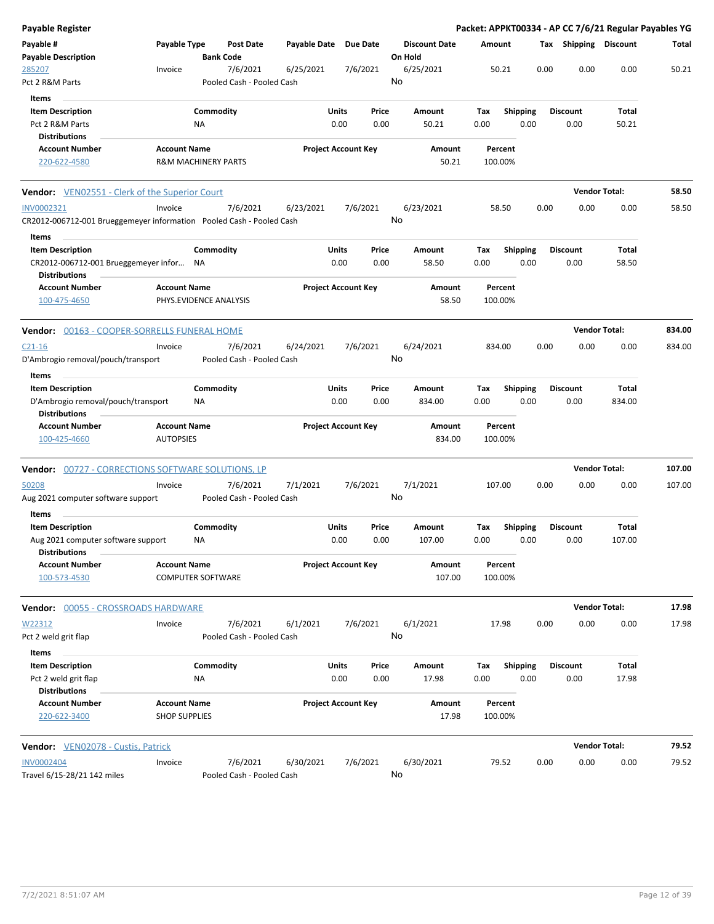| Payable Register                                          |                                |           |                                       |                       |                            |          |                                 |        |         |                 |      |                       | Packet: APPKT00334 - AP CC 7/6/21 Regular Payables YG |        |
|-----------------------------------------------------------|--------------------------------|-----------|---------------------------------------|-----------------------|----------------------------|----------|---------------------------------|--------|---------|-----------------|------|-----------------------|-------------------------------------------------------|--------|
| Payable #<br><b>Payable Description</b>                   | Payable Type                   |           | <b>Post Date</b><br><b>Bank Code</b>  | Payable Date Due Date |                            |          | <b>Discount Date</b><br>On Hold |        | Amount  |                 |      | Tax Shipping Discount |                                                       | Total  |
| 285207<br>Pct 2 R&M Parts                                 | Invoice                        |           | 7/6/2021<br>Pooled Cash - Pooled Cash | 6/25/2021             |                            | 7/6/2021 | 6/25/2021<br>No                 |        | 50.21   |                 | 0.00 | 0.00                  | 0.00                                                  | 50.21  |
| Items                                                     |                                |           |                                       |                       |                            |          |                                 |        |         |                 |      |                       |                                                       |        |
| <b>Item Description</b>                                   |                                | Commodity |                                       |                       | <b>Units</b>               | Price    | Amount                          |        | Tax     | Shipping        |      | <b>Discount</b>       | Total                                                 |        |
| Pct 2 R&M Parts                                           |                                | ΝA        |                                       |                       | 0.00                       | 0.00     |                                 | 50.21  | 0.00    | 0.00            |      | 0.00                  | 50.21                                                 |        |
| <b>Distributions</b>                                      |                                |           |                                       |                       |                            |          |                                 |        |         |                 |      |                       |                                                       |        |
| <b>Account Number</b>                                     | <b>Account Name</b>            |           |                                       |                       | <b>Project Account Key</b> |          |                                 | Amount | Percent |                 |      |                       |                                                       |        |
| 220-622-4580                                              | <b>R&amp;M MACHINERY PARTS</b> |           |                                       |                       |                            |          |                                 | 50.21  | 100.00% |                 |      |                       |                                                       |        |
| <b>Vendor:</b> VEN02551 - Clerk of the Superior Court     |                                |           |                                       |                       |                            |          |                                 |        |         |                 |      |                       | <b>Vendor Total:</b>                                  | 58.50  |
| INV0002321                                                | Invoice                        |           | 7/6/2021                              | 6/23/2021             |                            | 7/6/2021 | 6/23/2021                       |        | 58.50   |                 | 0.00 | 0.00                  | 0.00                                                  | 58.50  |
|                                                           |                                |           |                                       |                       |                            |          | No                              |        |         |                 |      |                       |                                                       |        |
| Items                                                     |                                |           |                                       |                       |                            |          |                                 |        |         |                 |      |                       |                                                       |        |
| <b>Item Description</b>                                   |                                | Commodity |                                       |                       | Units                      | Price    | Amount                          |        | Tax     | <b>Shipping</b> |      | <b>Discount</b>       | Total                                                 |        |
| CR2012-006712-001 Brueggemeyer infor                      |                                | ΝA        |                                       |                       | 0.00                       | 0.00     |                                 | 58.50  | 0.00    | 0.00            |      | 0.00                  | 58.50                                                 |        |
| <b>Distributions</b>                                      |                                |           |                                       |                       |                            |          |                                 |        |         |                 |      |                       |                                                       |        |
| <b>Account Number</b>                                     | <b>Account Name</b>            |           |                                       |                       | <b>Project Account Key</b> |          |                                 | Amount | Percent |                 |      |                       |                                                       |        |
| 100-475-4650                                              | PHYS.EVIDENCE ANALYSIS         |           |                                       |                       |                            |          |                                 | 58.50  | 100.00% |                 |      |                       |                                                       |        |
| Vendor: 00163 - COOPER-SORRELLS FUNERAL HOME              |                                |           |                                       |                       |                            |          |                                 |        |         |                 |      |                       | <b>Vendor Total:</b>                                  | 834.00 |
| $C21-16$                                                  | Invoice                        |           | 7/6/2021                              | 6/24/2021             |                            | 7/6/2021 | 6/24/2021                       |        | 834.00  |                 | 0.00 | 0.00                  | 0.00                                                  | 834.00 |
| D'Ambrogio removal/pouch/transport                        |                                |           | Pooled Cash - Pooled Cash             |                       |                            |          | No                              |        |         |                 |      |                       |                                                       |        |
| Items                                                     |                                |           |                                       |                       |                            |          |                                 |        |         |                 |      |                       |                                                       |        |
| <b>Item Description</b>                                   |                                | Commodity |                                       |                       | <b>Units</b>               | Price    | Amount                          |        | Tax     | <b>Shipping</b> |      | <b>Discount</b>       | <b>Total</b>                                          |        |
| D'Ambrogio removal/pouch/transport                        |                                | ΝA        |                                       |                       | 0.00                       | 0.00     | 834.00                          |        | 0.00    | 0.00            |      | 0.00                  | 834.00                                                |        |
| <b>Distributions</b>                                      |                                |           |                                       |                       |                            |          |                                 |        |         |                 |      |                       |                                                       |        |
| <b>Account Number</b>                                     | <b>Account Name</b>            |           |                                       |                       | <b>Project Account Key</b> |          |                                 | Amount | Percent |                 |      |                       |                                                       |        |
| 100-425-4660                                              | <b>AUTOPSIES</b>               |           |                                       |                       |                            |          |                                 | 834.00 | 100.00% |                 |      |                       |                                                       |        |
| <b>Vendor:</b> 00727 - CORRECTIONS SOFTWARE SOLUTIONS, LP |                                |           |                                       |                       |                            |          |                                 |        |         |                 |      |                       | <b>Vendor Total:</b>                                  | 107.00 |
| 50208                                                     | Invoice                        |           | 7/6/2021                              | 7/1/2021              |                            | 7/6/2021 | 7/1/2021                        |        | 107.00  |                 | 0.00 | 0.00                  | 0.00                                                  | 107.00 |
| Aug 2021 computer software support                        |                                |           | Pooled Cash - Pooled Cash             |                       |                            |          | No                              |        |         |                 |      |                       |                                                       |        |
| Items                                                     |                                |           |                                       |                       |                            |          |                                 |        |         |                 |      |                       |                                                       |        |
| <b>Item Description</b>                                   |                                | Commodity |                                       |                       | Units                      | Price    | Amount                          |        | Tax     | <b>Shipping</b> |      | <b>Discount</b>       | <b>Total</b>                                          |        |
| Aug 2021 computer software support                        |                                | ΝA        |                                       |                       | 0.00                       | 0.00     | 107.00                          |        | 0.00    | 0.00            |      | 0.00                  | 107.00                                                |        |
| <b>Distributions</b>                                      |                                |           |                                       |                       |                            |          |                                 |        |         |                 |      |                       |                                                       |        |
| <b>Account Number</b>                                     | <b>Account Name</b>            |           |                                       |                       | <b>Project Account Key</b> |          |                                 | Amount | Percent |                 |      |                       |                                                       |        |
| 100-573-4530                                              | <b>COMPUTER SOFTWARE</b>       |           |                                       |                       |                            |          |                                 | 107.00 | 100.00% |                 |      |                       |                                                       |        |
| 00055 - CROSSROADS HARDWARE<br>Vendor:                    |                                |           |                                       |                       |                            |          |                                 |        |         |                 |      |                       | <b>Vendor Total:</b>                                  | 17.98  |
|                                                           |                                |           |                                       |                       |                            |          |                                 |        |         |                 |      |                       |                                                       |        |
| W22312                                                    | Invoice                        |           | 7/6/2021                              | 6/1/2021              |                            | 7/6/2021 | 6/1/2021<br>No                  |        | 17.98   |                 | 0.00 | 0.00                  | 0.00                                                  | 17.98  |
| Pct 2 weld grit flap                                      |                                |           | Pooled Cash - Pooled Cash             |                       |                            |          |                                 |        |         |                 |      |                       |                                                       |        |
| Items                                                     |                                |           |                                       |                       |                            |          |                                 |        |         |                 |      |                       |                                                       |        |
| <b>Item Description</b>                                   |                                | Commodity |                                       |                       | <b>Units</b>               | Price    | Amount                          |        | Tax     | <b>Shipping</b> |      | <b>Discount</b>       | Total                                                 |        |
| Pct 2 weld grit flap                                      |                                | NA        |                                       |                       | 0.00                       | 0.00     |                                 | 17.98  | 0.00    | 0.00            |      | 0.00                  | 17.98                                                 |        |
| <b>Distributions</b><br><b>Account Number</b>             | <b>Account Name</b>            |           |                                       |                       | <b>Project Account Key</b> |          |                                 | Amount | Percent |                 |      |                       |                                                       |        |
| 220-622-3400                                              | <b>SHOP SUPPLIES</b>           |           |                                       |                       |                            |          |                                 | 17.98  | 100.00% |                 |      |                       |                                                       |        |
| Vendor: VEN02078 - Custis, Patrick                        |                                |           |                                       |                       |                            |          |                                 |        |         |                 |      |                       | <b>Vendor Total:</b>                                  | 79.52  |
|                                                           |                                |           |                                       |                       |                            |          |                                 |        |         |                 |      |                       |                                                       | 79.52  |
| INV0002404<br>Travel 6/15-28/21 142 miles                 | Invoice                        |           | 7/6/2021<br>Pooled Cash - Pooled Cash | 6/30/2021             |                            | 7/6/2021 | 6/30/2021<br>No                 |        | 79.52   |                 | 0.00 | 0.00                  | 0.00                                                  |        |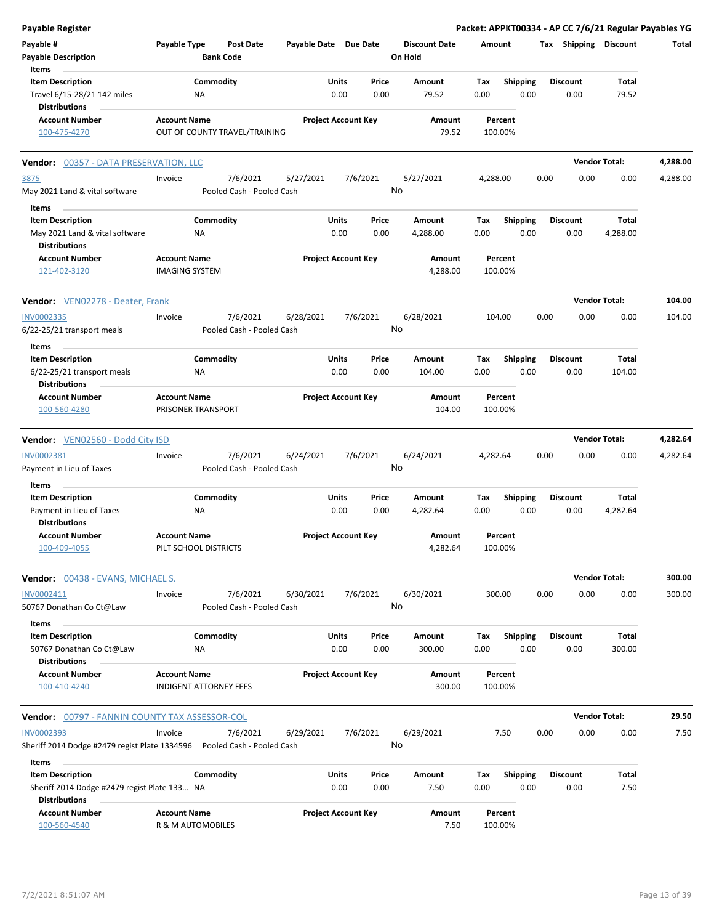| <b>Payable Register</b>                                                        |                                              |                                       |                       |               |                            |                                 |             |                         |      |                         | Packet: APPKT00334 - AP CC 7/6/21 Regular Payables YG |          |
|--------------------------------------------------------------------------------|----------------------------------------------|---------------------------------------|-----------------------|---------------|----------------------------|---------------------------------|-------------|-------------------------|------|-------------------------|-------------------------------------------------------|----------|
| Payable #<br><b>Payable Description</b>                                        | Payable Type                                 | Post Date<br><b>Bank Code</b>         | Payable Date Due Date |               |                            | <b>Discount Date</b><br>On Hold | Amount      |                         |      | Tax Shipping Discount   |                                                       | Total    |
| Items                                                                          |                                              |                                       |                       |               |                            |                                 |             |                         |      |                         |                                                       |          |
| <b>Item Description</b><br>Travel 6/15-28/21 142 miles<br><b>Distributions</b> | NA                                           | Commodity                             |                       | Units<br>0.00 | Price<br>0.00              | Amount<br>79.52                 | Tax<br>0.00 | <b>Shipping</b><br>0.00 |      | <b>Discount</b><br>0.00 | Total<br>79.52                                        |          |
| <b>Account Number</b>                                                          | <b>Account Name</b>                          |                                       |                       |               | <b>Project Account Key</b> | Amount                          |             | Percent                 |      |                         |                                                       |          |
| 100-475-4270                                                                   |                                              | OUT OF COUNTY TRAVEL/TRAINING         |                       |               |                            | 79.52                           |             | 100.00%                 |      |                         |                                                       |          |
| Vendor: 00357 - DATA PRESERVATION, LLC                                         |                                              |                                       |                       |               |                            |                                 |             |                         |      |                         | <b>Vendor Total:</b>                                  | 4,288.00 |
| 3875<br>May 2021 Land & vital software                                         | Invoice                                      | 7/6/2021<br>Pooled Cash - Pooled Cash | 5/27/2021             |               | 7/6/2021                   | 5/27/2021<br>No                 | 4,288.00    |                         | 0.00 | 0.00                    | 0.00                                                  | 4,288.00 |
| Items                                                                          |                                              |                                       |                       |               |                            |                                 |             |                         |      |                         |                                                       |          |
| <b>Item Description</b><br>May 2021 Land & vital software                      | <b>NA</b>                                    | Commodity                             |                       | Units<br>0.00 | Price<br>0.00              | Amount<br>4,288.00              | Тах<br>0.00 | <b>Shipping</b><br>0.00 |      | <b>Discount</b><br>0.00 | Total<br>4,288.00                                     |          |
| <b>Distributions</b>                                                           |                                              |                                       |                       |               |                            |                                 |             |                         |      |                         |                                                       |          |
| <b>Account Number</b><br>121-402-3120                                          | <b>Account Name</b><br><b>IMAGING SYSTEM</b> |                                       |                       |               | <b>Project Account Key</b> | Amount<br>4,288.00              |             | Percent<br>100.00%      |      |                         |                                                       |          |
| <b>Vendor:</b> VEN02278 - Deater, Frank                                        |                                              |                                       |                       |               |                            |                                 |             |                         |      |                         | <b>Vendor Total:</b>                                  | 104.00   |
| INV0002335                                                                     | Invoice                                      | 7/6/2021                              | 6/28/2021             |               | 7/6/2021                   | 6/28/2021                       |             | 104.00                  | 0.00 | 0.00                    | 0.00                                                  | 104.00   |
| 6/22-25/21 transport meals                                                     |                                              | Pooled Cash - Pooled Cash             |                       |               |                            | No                              |             |                         |      |                         |                                                       |          |
| Items<br><b>Item Description</b>                                               |                                              | Commodity                             |                       | Units         | Price                      | Amount                          | Tax         | Shipping                |      | <b>Discount</b>         | Total                                                 |          |
| 6/22-25/21 transport meals<br><b>Distributions</b>                             | ΝA                                           |                                       |                       | 0.00          | 0.00                       | 104.00                          | 0.00        | 0.00                    |      | 0.00                    | 104.00                                                |          |
| <b>Account Number</b>                                                          | <b>Account Name</b>                          |                                       |                       |               | <b>Project Account Key</b> | Amount                          |             | Percent                 |      |                         |                                                       |          |
| 100-560-4280                                                                   | PRISONER TRANSPORT                           |                                       |                       |               |                            | 104.00                          |             | 100.00%                 |      |                         |                                                       |          |
| <b>Vendor:</b> VEN02560 - Dodd City ISD                                        |                                              |                                       |                       |               |                            |                                 |             |                         |      |                         | <b>Vendor Total:</b>                                  | 4,282.64 |
| INV0002381                                                                     | Invoice                                      | 7/6/2021                              | 6/24/2021             |               | 7/6/2021                   | 6/24/2021                       | 4,282.64    |                         | 0.00 | 0.00                    | 0.00                                                  | 4,282.64 |
| Payment in Lieu of Taxes                                                       |                                              | Pooled Cash - Pooled Cash             |                       |               |                            | No                              |             |                         |      |                         |                                                       |          |
| Items<br><b>Item Description</b>                                               |                                              | Commodity                             |                       | Units         | Price                      | Amount                          | Тах         | <b>Shipping</b>         |      | <b>Discount</b>         | Total                                                 |          |
| Payment in Lieu of Taxes<br><b>Distributions</b>                               | NA                                           |                                       |                       | 0.00          | 0.00                       | 4,282.64                        | 0.00        | 0.00                    |      | 0.00                    | 4,282.64                                              |          |
| <b>Account Number</b><br>100-409-4055                                          | <b>Account Name</b><br>PILT SCHOOL DISTRICTS |                                       |                       |               | <b>Project Account Key</b> | Amount<br>4,282.64              |             | Percent<br>100.00%      |      |                         |                                                       |          |
| Vendor: 00438 - EVANS, MICHAEL S.                                              |                                              |                                       |                       |               |                            |                                 |             |                         |      |                         | <b>Vendor Total:</b>                                  | 300.00   |
| INV0002411                                                                     | Invoice                                      | 7/6/2021                              | 6/30/2021             |               | 7/6/2021                   | 6/30/2021                       |             | 300.00                  | 0.00 | 0.00                    | 0.00                                                  | 300.00   |
| 50767 Donathan Co Ct@Law                                                       |                                              | Pooled Cash - Pooled Cash             |                       |               |                            | No                              |             |                         |      |                         |                                                       |          |
| Items<br><b>Item Description</b><br>50767 Donathan Co Ct@Law                   | ΝA                                           | Commodity                             |                       | Units<br>0.00 | Price<br>0.00              | Amount<br>300.00                | Tax<br>0.00 | <b>Shipping</b><br>0.00 |      | <b>Discount</b><br>0.00 | Total<br>300.00                                       |          |
| <b>Distributions</b>                                                           |                                              |                                       |                       |               |                            |                                 |             |                         |      |                         |                                                       |          |
| <b>Account Number</b><br>100-410-4240                                          | <b>Account Name</b>                          | <b>INDIGENT ATTORNEY FEES</b>         |                       |               | <b>Project Account Key</b> | Amount<br>300.00                |             | Percent<br>100.00%      |      |                         |                                                       |          |
| <b>Vendor: 00797 - FANNIN COUNTY TAX ASSESSOR-COL</b>                          |                                              |                                       |                       |               |                            |                                 |             |                         |      |                         | <b>Vendor Total:</b>                                  | 29.50    |
| <b>INV0002393</b>                                                              | Invoice                                      | 7/6/2021                              | 6/29/2021             |               | 7/6/2021                   | 6/29/2021                       |             | 7.50                    | 0.00 | 0.00                    | 0.00                                                  | 7.50     |
| Sheriff 2014 Dodge #2479 regist Plate 1334596    Pooled Cash - Pooled Cash     |                                              |                                       |                       |               |                            | No                              |             |                         |      |                         |                                                       |          |
| Items<br><b>Item Description</b>                                               |                                              | Commodity                             |                       | Units         | Price                      | Amount                          | Tax         | <b>Shipping</b>         |      | <b>Discount</b>         | Total                                                 |          |
| Sheriff 2014 Dodge #2479 regist Plate 133 NA<br><b>Distributions</b>           |                                              |                                       |                       | 0.00          | 0.00                       | 7.50                            | 0.00        | 0.00                    |      | 0.00                    | 7.50                                                  |          |
| <b>Account Number</b><br>100-560-4540                                          | <b>Account Name</b><br>R & M AUTOMOBILES     |                                       |                       |               | <b>Project Account Key</b> | Amount<br>7.50                  |             | Percent<br>100.00%      |      |                         |                                                       |          |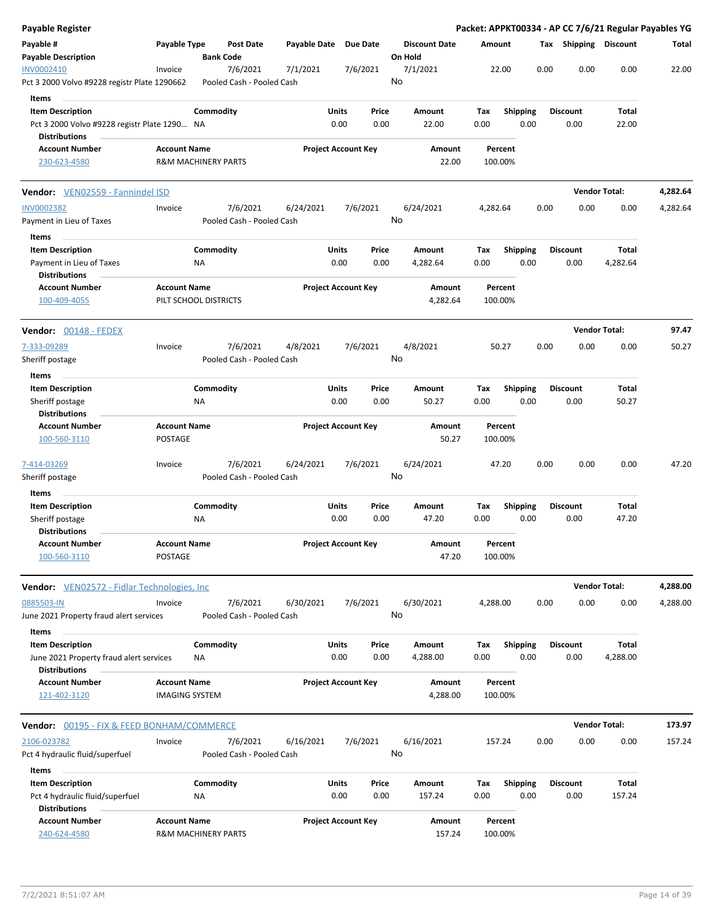| <b>Payable Register</b>                                                            |                                                       |                        |                                       |                       |                      |                            |    |                                 |             |         |                         |      |                         |                   | Packet: APPKT00334 - AP CC 7/6/21 Regular Payables YG |
|------------------------------------------------------------------------------------|-------------------------------------------------------|------------------------|---------------------------------------|-----------------------|----------------------|----------------------------|----|---------------------------------|-------------|---------|-------------------------|------|-------------------------|-------------------|-------------------------------------------------------|
| Payable #<br><b>Payable Description</b>                                            | Payable Type                                          | <b>Bank Code</b>       | <b>Post Date</b>                      | Payable Date Due Date |                      |                            |    | <b>Discount Date</b><br>On Hold | Amount      |         |                         |      | Tax Shipping Discount   |                   | Total                                                 |
| INV0002410<br>Pct 3 2000 Volvo #9228 registr Plate 1290662                         | Invoice                                               |                        | 7/6/2021<br>Pooled Cash - Pooled Cash | 7/1/2021              |                      | 7/6/2021                   | No | 7/1/2021                        |             | 22.00   |                         | 0.00 | 0.00                    | 0.00              | 22.00                                                 |
| Items<br><b>Item Description</b><br>Pct 3 2000 Volvo #9228 registr Plate 1290 NA   |                                                       | Commodity              |                                       |                       | Units<br>0.00        | Price<br>0.00              |    | Amount<br>22.00                 | Tax<br>0.00 |         | <b>Shipping</b><br>0.00 |      | <b>Discount</b><br>0.00 | Total<br>22.00    |                                                       |
| <b>Distributions</b>                                                               |                                                       |                        |                                       |                       |                      |                            |    |                                 |             |         |                         |      |                         |                   |                                                       |
| <b>Account Number</b><br>230-623-4580                                              | <b>Account Name</b><br><b>R&amp;M MACHINERY PARTS</b> |                        |                                       |                       |                      | <b>Project Account Key</b> |    | Amount<br>22.00                 | 100.00%     | Percent |                         |      |                         |                   |                                                       |
| Vendor: VEN02559 - Fannindel ISD                                                   |                                                       |                        |                                       |                       |                      |                            |    |                                 |             |         |                         |      | <b>Vendor Total:</b>    |                   | 4,282.64                                              |
| <b>INV0002382</b><br>Payment in Lieu of Taxes                                      | Invoice                                               |                        | 7/6/2021<br>Pooled Cash - Pooled Cash | 6/24/2021             |                      | 7/6/2021                   | No | 6/24/2021                       | 4,282.64    |         |                         | 0.00 | 0.00                    | 0.00              | 4,282.64                                              |
| Items<br><b>Item Description</b><br>Payment in Lieu of Taxes                       |                                                       | Commodity<br><b>NA</b> |                                       |                       | Units<br>0.00        | Price<br>0.00              |    | Amount<br>4,282.64              | Tax<br>0.00 |         | <b>Shipping</b><br>0.00 |      | <b>Discount</b><br>0.00 | Total<br>4,282.64 |                                                       |
| <b>Distributions</b><br><b>Account Number</b><br>100-409-4055                      | <b>Account Name</b><br>PILT SCHOOL DISTRICTS          |                        |                                       |                       |                      | <b>Project Account Key</b> |    | Amount<br>4,282.64              | 100.00%     | Percent |                         |      |                         |                   |                                                       |
|                                                                                    |                                                       |                        |                                       |                       |                      |                            |    |                                 |             |         |                         |      |                         |                   |                                                       |
| Vendor: 00148 - FEDEX                                                              |                                                       |                        |                                       |                       |                      |                            |    |                                 |             |         |                         |      | <b>Vendor Total:</b>    |                   | 97.47                                                 |
| 7-333-09289<br>Sheriff postage                                                     | Invoice                                               |                        | 7/6/2021<br>Pooled Cash - Pooled Cash | 4/8/2021              |                      | 7/6/2021                   | No | 4/8/2021                        |             | 50.27   |                         | 0.00 | 0.00                    | 0.00              | 50.27                                                 |
| Items                                                                              |                                                       |                        |                                       |                       |                      |                            |    |                                 |             |         |                         |      |                         |                   |                                                       |
| <b>Item Description</b>                                                            |                                                       | Commodity              |                                       |                       | Units                | Price                      |    | Amount                          | Tax         |         | <b>Shipping</b>         |      | <b>Discount</b>         | <b>Total</b>      |                                                       |
| Sheriff postage<br><b>Distributions</b>                                            |                                                       | ΝA                     |                                       |                       | 0.00                 | 0.00                       |    | 50.27                           | 0.00        |         | 0.00                    |      | 0.00                    | 50.27             |                                                       |
| <b>Account Number</b><br>100-560-3110                                              | <b>Account Name</b><br><b>POSTAGE</b>                 |                        |                                       |                       |                      | <b>Project Account Key</b> |    | Amount<br>50.27                 | 100.00%     | Percent |                         |      |                         |                   |                                                       |
| 7-414-03269<br>Sheriff postage                                                     | Invoice                                               |                        | 7/6/2021<br>Pooled Cash - Pooled Cash | 6/24/2021             |                      | 7/6/2021                   | No | 6/24/2021                       |             | 47.20   |                         | 0.00 | 0.00                    | 0.00              | 47.20                                                 |
| Items                                                                              |                                                       |                        |                                       |                       |                      |                            |    |                                 |             |         |                         |      |                         |                   |                                                       |
| <b>Item Description</b><br>Sheriff postage                                         |                                                       | Commodity<br>ΝA        |                                       |                       | <b>Units</b><br>0.00 | Price<br>0.00              |    | Amount<br>47.20                 | Tax<br>0.00 |         | <b>Shipping</b><br>0.00 |      | <b>Discount</b><br>0.00 | Total<br>47.20    |                                                       |
| <b>Distributions</b><br><b>Account Number</b><br>100-560-3110                      | <b>Account Name</b><br>POSTAGE                        |                        |                                       |                       |                      | <b>Project Account Key</b> |    | Amount<br>47.20                 | 100.00%     | Percent |                         |      |                         |                   |                                                       |
| Vendor: VEN02572 - Fidlar Technologies, Inc                                        |                                                       |                        |                                       |                       |                      |                            |    |                                 |             |         |                         |      | <b>Vendor Total:</b>    |                   | 4,288.00                                              |
| 0885503-IN<br>June 2021 Property fraud alert services                              | Invoice                                               |                        | 7/6/2021<br>Pooled Cash - Pooled Cash | 6/30/2021             |                      | 7/6/2021                   | No | 6/30/2021                       | 4,288.00    |         |                         | 0.00 | 0.00                    | 0.00              | 4,288.00                                              |
| Items<br><b>Item Description</b><br>June 2021 Property fraud alert services        |                                                       | Commodity<br><b>NA</b> |                                       |                       | Units<br>0.00        | Price<br>0.00              |    | <b>Amount</b><br>4,288.00       | Tax<br>0.00 |         | <b>Shipping</b><br>0.00 |      | <b>Discount</b><br>0.00 | Total<br>4,288.00 |                                                       |
| <b>Distributions</b>                                                               |                                                       |                        |                                       |                       |                      |                            |    |                                 |             |         |                         |      |                         |                   |                                                       |
| <b>Account Number</b><br>121-402-3120                                              | <b>Account Name</b><br><b>IMAGING SYSTEM</b>          |                        |                                       |                       |                      | <b>Project Account Key</b> |    | Amount<br>4,288.00              | 100.00%     | Percent |                         |      |                         |                   |                                                       |
| <b>Vendor:</b> 00195 - FIX & FEED BONHAM/COMMERCE                                  |                                                       |                        |                                       |                       |                      |                            |    |                                 |             |         |                         |      | <b>Vendor Total:</b>    |                   | 173.97                                                |
| 2106-023782<br>Pct 4 hydraulic fluid/superfuel                                     | Invoice                                               |                        | 7/6/2021<br>Pooled Cash - Pooled Cash | 6/16/2021             |                      | 7/6/2021                   | No | 6/16/2021                       | 157.24      |         |                         | 0.00 | 0.00                    | 0.00              | 157.24                                                |
| Items                                                                              |                                                       |                        |                                       |                       |                      |                            |    |                                 |             |         |                         |      |                         |                   |                                                       |
| <b>Item Description</b><br>Pct 4 hydraulic fluid/superfuel<br><b>Distributions</b> |                                                       | Commodity<br>ΝA        |                                       |                       | Units<br>0.00        | Price<br>0.00              |    | Amount<br>157.24                | Tax<br>0.00 |         | <b>Shipping</b><br>0.00 |      | <b>Discount</b><br>0.00 | Total<br>157.24   |                                                       |
| <b>Account Number</b><br>240-624-4580                                              | <b>Account Name</b><br>R&M MACHINERY PARTS            |                        |                                       |                       |                      | <b>Project Account Key</b> |    | Amount<br>157.24                | 100.00%     | Percent |                         |      |                         |                   |                                                       |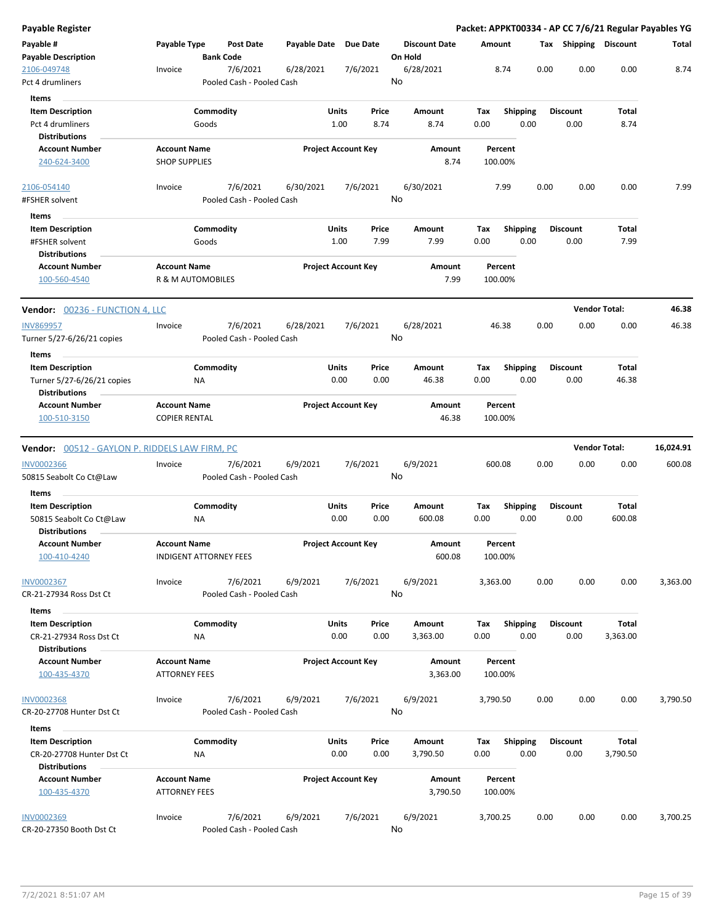| <b>Payable Register</b>                               |                                             |                                       |                       |                                |                                 |                    |                         |      |                         |                      | Packet: APPKT00334 - AP CC 7/6/21 Regular Payables YG |
|-------------------------------------------------------|---------------------------------------------|---------------------------------------|-----------------------|--------------------------------|---------------------------------|--------------------|-------------------------|------|-------------------------|----------------------|-------------------------------------------------------|
| Payable #<br><b>Payable Description</b>               | Payable Type                                | <b>Post Date</b><br><b>Bank Code</b>  | Payable Date Due Date |                                | <b>Discount Date</b><br>On Hold | Amount             |                         |      | Tax Shipping Discount   |                      | Total                                                 |
| 2106-049748<br>Pct 4 drumliners                       | Invoice                                     | 7/6/2021<br>Pooled Cash - Pooled Cash | 6/28/2021             | 7/6/2021                       | 6/28/2021<br>No                 |                    | 8.74                    | 0.00 | 0.00                    | 0.00                 | 8.74                                                  |
| <b>Items</b>                                          |                                             |                                       |                       |                                |                                 |                    |                         |      |                         |                      |                                                       |
| <b>Item Description</b><br>Pct 4 drumliners           |                                             | Commodity<br>Goods                    |                       | Units<br>Price<br>1.00<br>8.74 | Amount<br>8.74                  | Tax<br>0.00        | <b>Shipping</b><br>0.00 |      | <b>Discount</b><br>0.00 | Total<br>8.74        |                                                       |
| <b>Distributions</b>                                  |                                             |                                       |                       |                                |                                 |                    |                         |      |                         |                      |                                                       |
| <b>Account Number</b><br>240-624-3400                 | <b>Account Name</b><br><b>SHOP SUPPLIES</b> |                                       |                       | <b>Project Account Key</b>     | Amount<br>8.74                  | Percent<br>100.00% |                         |      |                         |                      |                                                       |
| 2106-054140                                           | Invoice                                     | 7/6/2021                              | 6/30/2021             | 7/6/2021                       | 6/30/2021                       |                    | 7.99                    | 0.00 | 0.00                    | 0.00                 | 7.99                                                  |
| #FSHER solvent                                        |                                             | Pooled Cash - Pooled Cash             |                       |                                | No                              |                    |                         |      |                         |                      |                                                       |
| Items                                                 |                                             |                                       |                       |                                |                                 |                    |                         |      |                         |                      |                                                       |
| <b>Item Description</b>                               |                                             | Commodity                             |                       | Units<br>Price                 | Amount                          | Tax                | <b>Shipping</b>         |      | <b>Discount</b>         | Total                |                                                       |
| #FSHER solvent                                        |                                             | Goods                                 |                       | 7.99<br>1.00                   | 7.99                            | 0.00               | 0.00                    |      | 0.00                    | 7.99                 |                                                       |
| <b>Distributions</b>                                  |                                             |                                       |                       |                                |                                 |                    |                         |      |                         |                      |                                                       |
| <b>Account Number</b><br>100-560-4540                 | <b>Account Name</b>                         | R & M AUTOMOBILES                     |                       | <b>Project Account Key</b>     | Amount<br>7.99                  | Percent<br>100.00% |                         |      |                         |                      |                                                       |
| Vendor: 00236 - FUNCTION 4, LLC                       |                                             |                                       |                       |                                |                                 |                    |                         |      |                         | <b>Vendor Total:</b> | 46.38                                                 |
| <b>INV869957</b>                                      | Invoice                                     | 7/6/2021                              | 6/28/2021             | 7/6/2021                       | 6/28/2021                       | 46.38              |                         | 0.00 | 0.00                    | 0.00                 | 46.38                                                 |
| Turner 5/27-6/26/21 copies                            |                                             | Pooled Cash - Pooled Cash             |                       |                                | No                              |                    |                         |      |                         |                      |                                                       |
| Items                                                 |                                             |                                       |                       |                                |                                 |                    |                         |      |                         |                      |                                                       |
| <b>Item Description</b>                               |                                             | Commodity                             |                       | Units<br>Price                 | Amount                          | Tax                | <b>Shipping</b>         |      | <b>Discount</b>         | Total                |                                                       |
| Turner 5/27-6/26/21 copies                            |                                             | NA                                    |                       | 0.00<br>0.00                   | 46.38                           | 0.00               | 0.00                    |      | 0.00                    | 46.38                |                                                       |
| <b>Distributions</b><br><b>Account Number</b>         | <b>Account Name</b>                         |                                       |                       | <b>Project Account Key</b>     | Amount                          | Percent            |                         |      |                         |                      |                                                       |
| 100-510-3150                                          | <b>COPIER RENTAL</b>                        |                                       |                       |                                | 46.38                           | 100.00%            |                         |      |                         |                      |                                                       |
| <b>Vendor:</b> 00512 - GAYLON P. RIDDELS LAW FIRM, PC |                                             |                                       |                       |                                |                                 |                    |                         |      |                         | <b>Vendor Total:</b> | 16,024.91                                             |
| <b>INV0002366</b>                                     | Invoice                                     | 7/6/2021                              | 6/9/2021              | 7/6/2021                       | 6/9/2021                        | 600.08             |                         | 0.00 | 0.00                    | 0.00                 | 600.08                                                |
| 50815 Seabolt Co Ct@Law                               |                                             | Pooled Cash - Pooled Cash             |                       |                                | No                              |                    |                         |      |                         |                      |                                                       |
| Items                                                 |                                             |                                       |                       |                                |                                 |                    |                         |      |                         |                      |                                                       |
| <b>Item Description</b>                               |                                             | Commodity                             |                       | Units<br>Price                 | Amount                          | Tax                | <b>Shipping</b>         |      | <b>Discount</b>         | Total                |                                                       |
| 50815 Seabolt Co Ct@Law                               |                                             | ΝA                                    |                       | 0.00<br>0.00                   | 600.08                          | 0.00               | 0.00                    |      | 0.00                    | 600.08               |                                                       |
| <b>Distributions</b><br><b>Account Number</b>         | <b>Account Name</b>                         |                                       |                       | <b>Project Account Kev</b>     | Amount                          | Percent            |                         |      |                         |                      |                                                       |
| 100-410-4240                                          |                                             | <b>INDIGENT ATTORNEY FEES</b>         |                       |                                | 600.08                          | 100.00%            |                         |      |                         |                      |                                                       |
| INV0002367<br>CR-21-27934 Ross Dst Ct                 | Invoice                                     | 7/6/2021<br>Pooled Cash - Pooled Cash | 6/9/2021              | 7/6/2021                       | 6/9/2021<br>No                  | 3,363.00           |                         | 0.00 | 0.00                    | 0.00                 | 3,363.00                                              |
| Items                                                 |                                             |                                       |                       |                                |                                 |                    |                         |      |                         |                      |                                                       |
| <b>Item Description</b><br>CR-21-27934 Ross Dst Ct    |                                             | Commodity<br>NA                       |                       | Units<br>Price<br>0.00<br>0.00 | Amount<br>3,363.00              | Tax<br>0.00        | Shipping<br>0.00        |      | <b>Discount</b><br>0.00 | Total<br>3,363.00    |                                                       |
| <b>Distributions</b>                                  |                                             |                                       |                       |                                |                                 |                    |                         |      |                         |                      |                                                       |
| <b>Account Number</b>                                 | <b>Account Name</b>                         |                                       |                       | <b>Project Account Key</b>     | Amount                          | Percent            |                         |      |                         |                      |                                                       |
| 100-435-4370                                          | <b>ATTORNEY FEES</b>                        |                                       |                       |                                | 3,363.00                        | 100.00%            |                         |      |                         |                      |                                                       |
| <b>INV0002368</b><br>CR-20-27708 Hunter Dst Ct        | Invoice                                     | 7/6/2021<br>Pooled Cash - Pooled Cash | 6/9/2021              | 7/6/2021                       | 6/9/2021<br>No                  | 3,790.50           |                         | 0.00 | 0.00                    | 0.00                 | 3,790.50                                              |
| Items                                                 |                                             |                                       |                       |                                |                                 |                    |                         |      |                         |                      |                                                       |
| <b>Item Description</b>                               |                                             | Commodity                             |                       | Units<br>Price                 | Amount                          | Tax                | <b>Shipping</b>         |      | <b>Discount</b>         | Total                |                                                       |
| CR-20-27708 Hunter Dst Ct                             |                                             | ΝA                                    |                       | 0.00<br>0.00                   | 3,790.50                        | 0.00               | 0.00                    |      | 0.00                    | 3,790.50             |                                                       |
| <b>Distributions</b>                                  |                                             |                                       |                       |                                |                                 |                    |                         |      |                         |                      |                                                       |
| <b>Account Number</b><br>100-435-4370                 | <b>Account Name</b><br><b>ATTORNEY FEES</b> |                                       |                       | <b>Project Account Key</b>     | Amount<br>3,790.50              | Percent<br>100.00% |                         |      |                         |                      |                                                       |
| <b>INV0002369</b>                                     | Invoice                                     | 7/6/2021                              | 6/9/2021              | 7/6/2021                       | 6/9/2021                        | 3,700.25           |                         | 0.00 | 0.00                    | 0.00                 | 3,700.25                                              |
| CR-20-27350 Booth Dst Ct                              |                                             | Pooled Cash - Pooled Cash             |                       |                                | No                              |                    |                         |      |                         |                      |                                                       |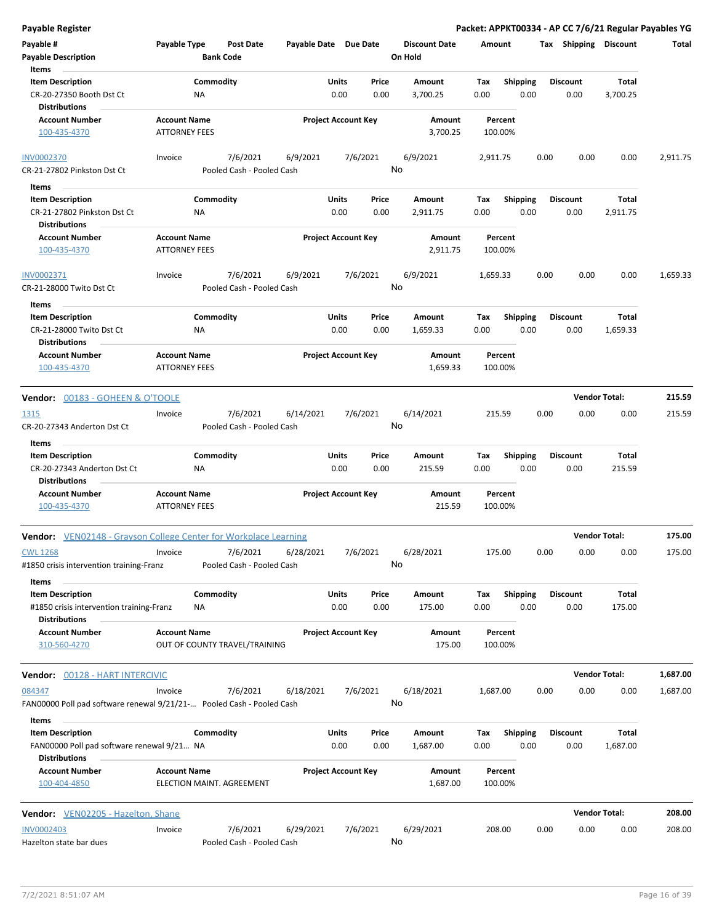| <b>Payable Register</b>                                                                                |                                             |                                       |                       |                            |               |                                 |             |                         |      |                         | Packet: APPKT00334 - AP CC 7/6/21 Regular Payables YG |          |
|--------------------------------------------------------------------------------------------------------|---------------------------------------------|---------------------------------------|-----------------------|----------------------------|---------------|---------------------------------|-------------|-------------------------|------|-------------------------|-------------------------------------------------------|----------|
| Payable #<br><b>Payable Description</b>                                                                | Payable Type                                | Post Date<br><b>Bank Code</b>         | Payable Date Due Date |                            |               | <b>Discount Date</b><br>On Hold | Amount      |                         |      | Tax Shipping Discount   |                                                       | Total    |
| Items<br><b>Item Description</b><br>CR-20-27350 Booth Dst Ct                                           | ΝA                                          | Commodity                             |                       | Units<br>0.00              | Price<br>0.00 | Amount<br>3,700.25              | Tax<br>0.00 | Shipping<br>0.00        |      | <b>Discount</b><br>0.00 | Total<br>3,700.25                                     |          |
| <b>Distributions</b><br><b>Account Number</b><br>100-435-4370                                          | <b>Account Name</b><br><b>ATTORNEY FEES</b> |                                       |                       | <b>Project Account Key</b> |               | Amount<br>3,700.25              | 100.00%     | Percent                 |      |                         |                                                       |          |
| <b>INV0002370</b><br>CR-21-27802 Pinkston Dst Ct                                                       | Invoice                                     | 7/6/2021<br>Pooled Cash - Pooled Cash | 6/9/2021              | 7/6/2021                   | No            | 6/9/2021                        | 2,911.75    |                         | 0.00 | 0.00                    | 0.00                                                  | 2,911.75 |
| Items<br><b>Item Description</b><br>CR-21-27802 Pinkston Dst Ct<br><b>Distributions</b>                | ΝA                                          | Commodity                             |                       | Units<br>0.00              | Price<br>0.00 | Amount<br>2,911.75              | Tax<br>0.00 | <b>Shipping</b><br>0.00 |      | Discount<br>0.00        | Total<br>2,911.75                                     |          |
| <b>Account Number</b><br>100-435-4370                                                                  | <b>Account Name</b><br><b>ATTORNEY FEES</b> |                                       |                       | <b>Project Account Key</b> |               | Amount<br>2,911.75              | 100.00%     | Percent                 |      |                         |                                                       |          |
| INV0002371<br>CR-21-28000 Twito Dst Ct                                                                 | Invoice                                     | 7/6/2021<br>Pooled Cash - Pooled Cash | 6/9/2021              | 7/6/2021                   |               | 6/9/2021<br>No                  | 1,659.33    |                         | 0.00 | 0.00                    | 0.00                                                  | 1,659.33 |
| Items<br><b>Item Description</b><br>CR-21-28000 Twito Dst Ct<br><b>Distributions</b>                   | NA                                          | Commodity                             |                       | Units<br>0.00              | Price<br>0.00 | Amount<br>1,659.33              | Tax<br>0.00 | <b>Shipping</b><br>0.00 |      | <b>Discount</b><br>0.00 | Total<br>1,659.33                                     |          |
| <b>Account Number</b><br>100-435-4370                                                                  | <b>Account Name</b><br><b>ATTORNEY FEES</b> |                                       |                       | <b>Project Account Key</b> |               | Amount<br>1,659.33              | 100.00%     | Percent                 |      |                         |                                                       |          |
| <b>Vendor: 00183 - GOHEEN &amp; O'TOOLE</b>                                                            |                                             |                                       |                       |                            |               |                                 |             |                         |      | <b>Vendor Total:</b>    |                                                       | 215.59   |
| 1315<br>CR-20-27343 Anderton Dst Ct                                                                    | Invoice                                     | 7/6/2021<br>Pooled Cash - Pooled Cash | 6/14/2021             | 7/6/2021                   |               | 6/14/2021<br>No                 | 215.59      |                         | 0.00 | 0.00                    | 0.00                                                  | 215.59   |
| Items<br><b>Item Description</b><br>CR-20-27343 Anderton Dst Ct<br><b>Distributions</b>                | ΝA                                          | Commodity                             |                       | Units<br>0.00              | Price<br>0.00 | Amount<br>215.59                | Tax<br>0.00 | <b>Shipping</b><br>0.00 |      | <b>Discount</b><br>0.00 | Total<br>215.59                                       |          |
| <b>Account Number</b><br>100-435-4370                                                                  | <b>Account Name</b><br><b>ATTORNEY FEES</b> |                                       |                       | <b>Project Account Key</b> |               | Amount<br>215.59                | 100.00%     | Percent                 |      |                         |                                                       |          |
| <b>Vendor:</b> VEN02148 - Grayson College Center for Workplace Learning                                |                                             |                                       |                       |                            |               |                                 |             |                         |      | <b>Vendor Total:</b>    |                                                       | 175.00   |
| <b>CWL 1268</b><br>#1850 crisis intervention training-Franz                                            | Invoice                                     | 7/6/2021<br>Pooled Cash - Pooled Cash | 6/28/2021             | 7/6/2021                   |               | 6/28/2021<br>No                 | 175.00      |                         | 0.00 | 0.00                    | 0.00                                                  | 175.00   |
| Items<br><b>Item Description</b><br>#1850 crisis intervention training-Franz<br><b>Distributions</b>   | ΝA                                          | Commodity                             |                       | <b>Units</b><br>0.00       | Price<br>0.00 | Amount<br>175.00                | Tax<br>0.00 | <b>Shipping</b><br>0.00 |      | Discount<br>0.00        | Total<br>175.00                                       |          |
| <b>Account Number</b><br>310-560-4270                                                                  | <b>Account Name</b>                         | OUT OF COUNTY TRAVEL/TRAINING         |                       | <b>Project Account Key</b> |               | Amount<br>175.00                | 100.00%     | Percent                 |      |                         |                                                       |          |
| Vendor: 00128 - HART INTERCIVIC                                                                        |                                             |                                       |                       |                            |               |                                 |             |                         |      | <b>Vendor Total:</b>    |                                                       | 1,687.00 |
| 084347<br>FAN00000 Poll pad software renewal 9/21/21- Pooled Cash - Pooled Cash                        | Invoice                                     | 7/6/2021                              | 6/18/2021             | 7/6/2021                   |               | 6/18/2021<br>No                 | 1,687.00    |                         | 0.00 | 0.00                    | 0.00                                                  | 1,687.00 |
| Items<br><b>Item Description</b><br>FAN00000 Poll pad software renewal 9/21 NA<br><b>Distributions</b> |                                             | Commodity                             |                       | Units<br>0.00              | Price<br>0.00 | Amount<br>1,687.00              | Tax<br>0.00 | <b>Shipping</b><br>0.00 |      | <b>Discount</b><br>0.00 | Total<br>1,687.00                                     |          |
| <b>Account Number</b><br>100-404-4850                                                                  | <b>Account Name</b>                         | ELECTION MAINT. AGREEMENT             |                       | <b>Project Account Key</b> |               | Amount<br>1,687.00              | 100.00%     | Percent                 |      |                         |                                                       |          |
| <b>Vendor:</b> VEN02205 - Hazelton, Shane                                                              |                                             |                                       |                       |                            |               |                                 |             |                         |      | <b>Vendor Total:</b>    |                                                       | 208.00   |
| <b>INV0002403</b><br>Hazelton state bar dues                                                           | Invoice                                     | 7/6/2021<br>Pooled Cash - Pooled Cash | 6/29/2021             | 7/6/2021                   |               | 6/29/2021<br>No                 | 208.00      |                         | 0.00 | 0.00                    | 0.00                                                  | 208.00   |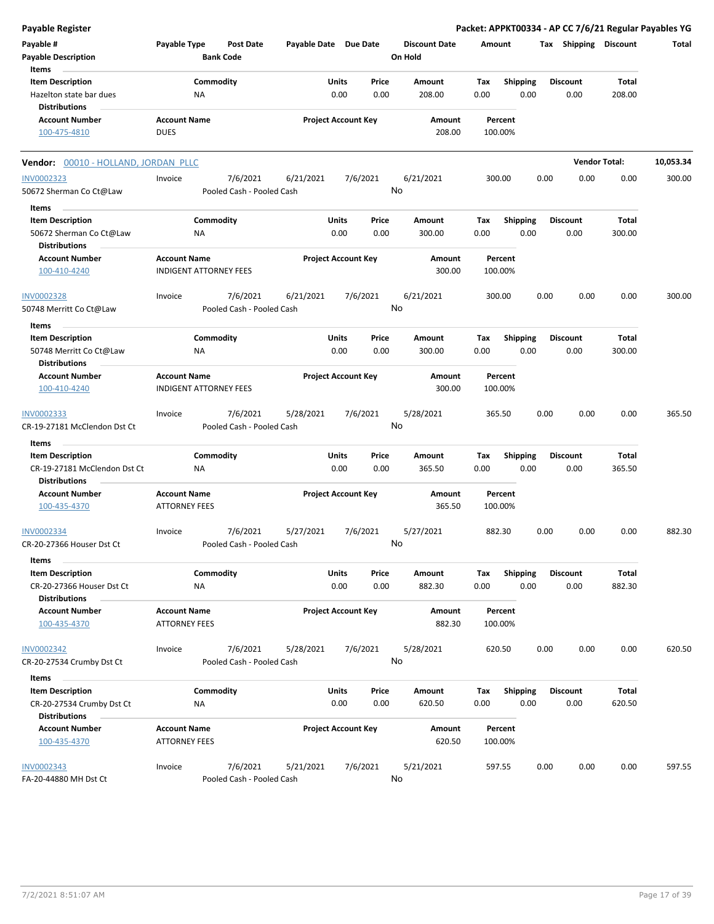| Payable Register                                     |                               |                  |                                       |                       |                            |               |                                 |             |                         |      |                         |                      | Packet: APPKT00334 - AP CC 7/6/21 Regular Payables YG |
|------------------------------------------------------|-------------------------------|------------------|---------------------------------------|-----------------------|----------------------------|---------------|---------------------------------|-------------|-------------------------|------|-------------------------|----------------------|-------------------------------------------------------|
| Payable #<br><b>Payable Description</b>              | Payable Type                  | <b>Bank Code</b> | Post Date                             | Payable Date Due Date |                            |               | <b>Discount Date</b><br>On Hold | Amount      |                         |      | Tax Shipping Discount   |                      | Total                                                 |
| Items<br><b>Item Description</b>                     |                               | Commodity        |                                       |                       | Units                      | Price         | Amount                          | Tax         | Shipping                |      | <b>Discount</b>         | Total                |                                                       |
| Hazelton state bar dues                              |                               | ΝA               |                                       |                       | 0.00                       | 0.00          | 208.00                          | 0.00        | 0.00                    |      | 0.00                    | 208.00               |                                                       |
| <b>Distributions</b>                                 |                               |                  |                                       |                       |                            |               |                                 |             |                         |      |                         |                      |                                                       |
| <b>Account Number</b>                                | <b>Account Name</b>           |                  |                                       |                       | <b>Project Account Key</b> |               | Amount                          |             | Percent                 |      |                         |                      |                                                       |
| 100-475-4810                                         | <b>DUES</b>                   |                  |                                       |                       |                            |               | 208.00                          |             | 100.00%                 |      |                         |                      |                                                       |
| Vendor: 00010 - HOLLAND, JORDAN PLLC                 |                               |                  |                                       |                       |                            |               |                                 |             |                         |      |                         | <b>Vendor Total:</b> | 10,053.34                                             |
| <b>INV0002323</b>                                    | Invoice                       |                  | 7/6/2021                              | 6/21/2021             |                            | 7/6/2021      | 6/21/2021                       | 300.00      |                         | 0.00 | 0.00                    | 0.00                 | 300.00                                                |
| 50672 Sherman Co Ct@Law                              |                               |                  | Pooled Cash - Pooled Cash             |                       |                            |               | No                              |             |                         |      |                         |                      |                                                       |
| Items                                                |                               |                  |                                       |                       |                            |               |                                 |             |                         |      |                         |                      |                                                       |
| <b>Item Description</b>                              |                               | Commodity        |                                       |                       | Units                      | Price         | Amount                          | Tax         | <b>Shipping</b>         |      | <b>Discount</b>         | Total                |                                                       |
| 50672 Sherman Co Ct@Law<br><b>Distributions</b>      |                               | ΝA               |                                       |                       | 0.00                       | 0.00          | 300.00                          | 0.00        | 0.00                    |      | 0.00                    | 300.00               |                                                       |
| <b>Account Number</b>                                | <b>Account Name</b>           |                  |                                       |                       | <b>Project Account Key</b> |               | Amount                          |             | Percent                 |      |                         |                      |                                                       |
| 100-410-4240                                         | <b>INDIGENT ATTORNEY FEES</b> |                  |                                       |                       |                            |               | 300.00                          |             | 100.00%                 |      |                         |                      |                                                       |
| <b>INV0002328</b>                                    | Invoice                       |                  | 7/6/2021                              | 6/21/2021             |                            | 7/6/2021      | 6/21/2021                       |             | 300.00                  | 0.00 | 0.00                    | 0.00                 | 300.00                                                |
| 50748 Merritt Co Ct@Law                              |                               |                  | Pooled Cash - Pooled Cash             |                       |                            |               | No                              |             |                         |      |                         |                      |                                                       |
| Items                                                |                               |                  |                                       |                       |                            |               |                                 |             |                         |      |                         |                      |                                                       |
| <b>Item Description</b>                              |                               | Commodity        |                                       |                       | Units                      | Price         | Amount                          | Tax         | <b>Shipping</b>         |      | <b>Discount</b>         | Total                |                                                       |
| 50748 Merritt Co Ct@Law                              |                               | ΝA               |                                       |                       | 0.00                       | 0.00          | 300.00                          | 0.00        | 0.00                    |      | 0.00                    | 300.00               |                                                       |
| <b>Distributions</b>                                 |                               |                  |                                       |                       |                            |               |                                 |             |                         |      |                         |                      |                                                       |
| <b>Account Number</b>                                | <b>Account Name</b>           |                  |                                       |                       | <b>Project Account Key</b> |               | Amount                          |             | Percent                 |      |                         |                      |                                                       |
| 100-410-4240                                         | <b>INDIGENT ATTORNEY FEES</b> |                  |                                       |                       |                            |               | 300.00                          |             | 100.00%                 |      |                         |                      |                                                       |
| INV0002333<br>CR-19-27181 McClendon Dst Ct           | Invoice                       |                  | 7/6/2021<br>Pooled Cash - Pooled Cash | 5/28/2021             |                            | 7/6/2021      | 5/28/2021<br>No                 |             | 365.50                  | 0.00 | 0.00                    | 0.00                 | 365.50                                                |
|                                                      |                               |                  |                                       |                       |                            |               |                                 |             |                         |      |                         |                      |                                                       |
| Items                                                |                               |                  |                                       |                       |                            |               |                                 |             |                         |      |                         |                      |                                                       |
| <b>Item Description</b>                              |                               | Commodity        |                                       |                       | <b>Units</b><br>0.00       | Price<br>0.00 | Amount<br>365.50                | Tax<br>0.00 | <b>Shipping</b><br>0.00 |      | <b>Discount</b><br>0.00 | Total<br>365.50      |                                                       |
| CR-19-27181 McClendon Dst Ct<br><b>Distributions</b> |                               | NA               |                                       |                       |                            |               |                                 |             |                         |      |                         |                      |                                                       |
| <b>Account Number</b>                                | <b>Account Name</b>           |                  |                                       |                       | <b>Project Account Key</b> |               | Amount                          |             | Percent                 |      |                         |                      |                                                       |
| 100-435-4370                                         | <b>ATTORNEY FEES</b>          |                  |                                       |                       |                            |               | 365.50                          |             | 100.00%                 |      |                         |                      |                                                       |
| <u>INV0002334</u>                                    | Invoice                       |                  | 7/6/2021                              | 5/27/2021             |                            | 7/6/2021      | 5/27/2021                       |             | 882.30                  | 0.00 | 0.00                    | 0.00                 | 882.30                                                |
| CR-20-27366 Houser Dst Ct                            |                               |                  | Pooled Cash - Pooled Cash             |                       |                            |               | No                              |             |                         |      |                         |                      |                                                       |
| Items                                                |                               |                  |                                       |                       |                            |               |                                 |             |                         |      |                         |                      |                                                       |
| <b>Item Description</b>                              |                               | Commodity        |                                       |                       | <b>Units</b>               | Price         | Amount                          | Tax         | <b>Shipping</b>         |      | <b>Discount</b>         | Total                |                                                       |
| CR-20-27366 Houser Dst Ct<br><b>Distributions</b>    |                               | NA               |                                       |                       | 0.00                       | 0.00          | 882.30                          | 0.00        | 0.00                    |      | 0.00                    | 882.30               |                                                       |
| <b>Account Number</b>                                | <b>Account Name</b>           |                  |                                       |                       | <b>Project Account Key</b> |               | Amount                          |             | Percent                 |      |                         |                      |                                                       |
| 100-435-4370                                         | <b>ATTORNEY FEES</b>          |                  |                                       |                       |                            |               | 882.30                          |             | 100.00%                 |      |                         |                      |                                                       |
| INV0002342                                           | Invoice                       |                  | 7/6/2021                              | 5/28/2021             |                            | 7/6/2021      | 5/28/2021                       |             | 620.50                  | 0.00 | 0.00                    | 0.00                 | 620.50                                                |
| CR-20-27534 Crumby Dst Ct                            |                               |                  | Pooled Cash - Pooled Cash             |                       |                            |               | No                              |             |                         |      |                         |                      |                                                       |
| Items                                                |                               |                  |                                       |                       |                            |               |                                 |             |                         |      |                         |                      |                                                       |
| <b>Item Description</b>                              |                               | Commodity        |                                       |                       | Units                      | Price         | Amount                          | Tax         | Shipping                |      | <b>Discount</b>         | Total                |                                                       |
| CR-20-27534 Crumby Dst Ct                            |                               | NA               |                                       |                       | 0.00                       | 0.00          | 620.50                          | 0.00        | 0.00                    |      | 0.00                    | 620.50               |                                                       |
| <b>Distributions</b>                                 |                               |                  |                                       |                       |                            |               |                                 |             |                         |      |                         |                      |                                                       |
| <b>Account Number</b>                                | <b>Account Name</b>           |                  |                                       |                       | <b>Project Account Key</b> |               | Amount                          |             | Percent                 |      |                         |                      |                                                       |
| 100-435-4370                                         | <b>ATTORNEY FEES</b>          |                  |                                       |                       |                            |               | 620.50                          |             | 100.00%                 |      |                         |                      |                                                       |
| <b>INV0002343</b>                                    | Invoice                       |                  | 7/6/2021                              | 5/21/2021             |                            | 7/6/2021      | 5/21/2021                       |             | 597.55                  | 0.00 | 0.00                    | 0.00                 | 597.55                                                |
| FA-20-44880 MH Dst Ct                                |                               |                  | Pooled Cash - Pooled Cash             |                       |                            |               | No                              |             |                         |      |                         |                      |                                                       |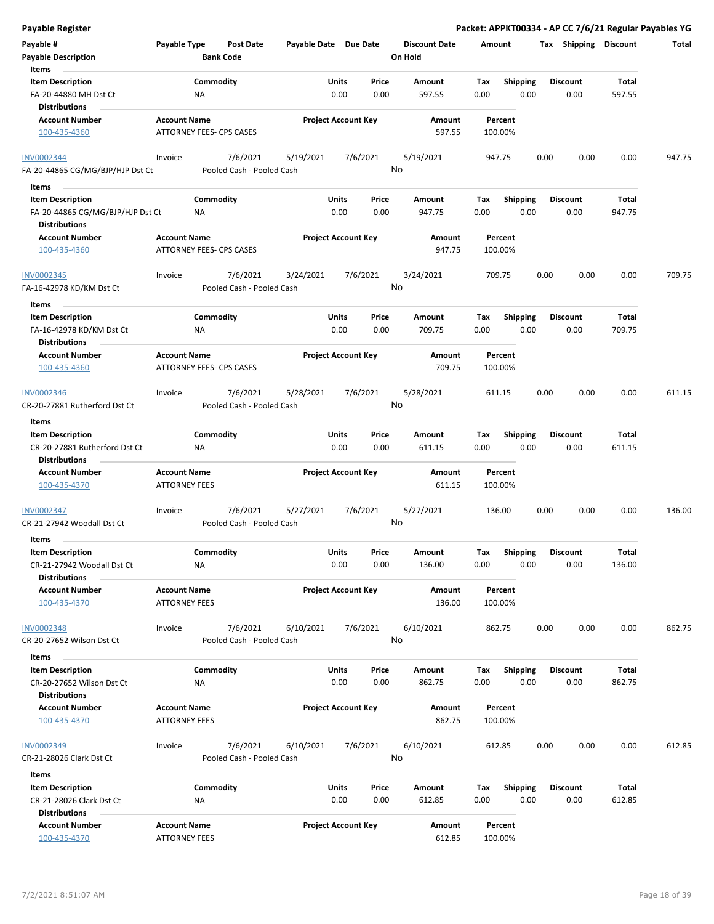| Payable Register                                                            |                                             |                                       |                       |                            |               |                                 |             |                         |      |                         |                 | Packet: APPKT00334 - AP CC 7/6/21 Regular Payables YG |
|-----------------------------------------------------------------------------|---------------------------------------------|---------------------------------------|-----------------------|----------------------------|---------------|---------------------------------|-------------|-------------------------|------|-------------------------|-----------------|-------------------------------------------------------|
| Payable #<br><b>Payable Description</b>                                     | Payable Type                                | Post Date<br><b>Bank Code</b>         | Payable Date Due Date |                            |               | <b>Discount Date</b><br>On Hold | Amount      |                         |      | Tax Shipping Discount   |                 | Total                                                 |
| Items                                                                       |                                             |                                       |                       |                            |               |                                 |             |                         |      |                         |                 |                                                       |
| <b>Item Description</b><br>FA-20-44880 MH Dst Ct                            | ΝA                                          | Commodity                             |                       | Units<br>0.00              | Price<br>0.00 | Amount<br>597.55                | Tax<br>0.00 | <b>Shipping</b><br>0.00 |      | <b>Discount</b><br>0.00 | Total<br>597.55 |                                                       |
| <b>Distributions</b>                                                        |                                             |                                       |                       |                            |               |                                 |             |                         |      |                         |                 |                                                       |
| <b>Account Number</b><br>100-435-4360                                       | <b>Account Name</b>                         | ATTORNEY FEES- CPS CASES              |                       | <b>Project Account Key</b> |               | Amount<br>597.55                |             | Percent<br>100.00%      |      |                         |                 |                                                       |
| <b>INV0002344</b>                                                           | Invoice                                     | 7/6/2021                              | 5/19/2021             |                            | 7/6/2021      | 5/19/2021                       |             | 947.75                  | 0.00 | 0.00                    | 0.00            | 947.75                                                |
| FA-20-44865 CG/MG/BJP/HJP Dst Ct                                            |                                             | Pooled Cash - Pooled Cash             |                       |                            |               | No                              |             |                         |      |                         |                 |                                                       |
| Items                                                                       |                                             |                                       |                       |                            |               |                                 |             |                         |      |                         |                 |                                                       |
| <b>Item Description</b>                                                     |                                             | Commodity                             |                       | Units                      | Price         | Amount                          | Tax         | <b>Shipping</b>         |      | <b>Discount</b>         | Total           |                                                       |
| FA-20-44865 CG/MG/BJP/HJP Dst Ct<br><b>Distributions</b>                    | ΝA                                          |                                       |                       | 0.00                       | 0.00          | 947.75                          | 0.00        | 0.00                    |      | 0.00                    | 947.75          |                                                       |
| <b>Account Number</b>                                                       | <b>Account Name</b>                         |                                       |                       | <b>Project Account Key</b> |               | Amount                          |             | Percent                 |      |                         |                 |                                                       |
| 100-435-4360                                                                |                                             | <b>ATTORNEY FEES- CPS CASES</b>       |                       |                            |               | 947.75                          |             | 100.00%                 |      |                         |                 |                                                       |
| <b>INV0002345</b><br>FA-16-42978 KD/KM Dst Ct                               | Invoice                                     | 7/6/2021<br>Pooled Cash - Pooled Cash | 3/24/2021             |                            | 7/6/2021      | 3/24/2021<br>No                 |             | 709.75                  | 0.00 | 0.00                    | 0.00            | 709.75                                                |
| Items                                                                       |                                             |                                       |                       |                            |               |                                 |             |                         |      |                         |                 |                                                       |
| <b>Item Description</b><br>FA-16-42978 KD/KM Dst Ct<br><b>Distributions</b> | ΝA                                          | Commodity                             |                       | Units<br>0.00              | Price<br>0.00 | Amount<br>709.75                | Tax<br>0.00 | <b>Shipping</b><br>0.00 |      | <b>Discount</b><br>0.00 | Total<br>709.75 |                                                       |
| <b>Account Number</b>                                                       | <b>Account Name</b>                         |                                       |                       | <b>Project Account Key</b> |               | Amount                          |             | Percent                 |      |                         |                 |                                                       |
| 100-435-4360                                                                |                                             | ATTORNEY FEES- CPS CASES              |                       |                            |               | 709.75                          |             | 100.00%                 |      |                         |                 |                                                       |
| INV0002346                                                                  | Invoice                                     | 7/6/2021                              | 5/28/2021             |                            | 7/6/2021      | 5/28/2021                       |             | 611.15                  | 0.00 | 0.00                    | 0.00            | 611.15                                                |
| CR-20-27881 Rutherford Dst Ct                                               |                                             | Pooled Cash - Pooled Cash             |                       |                            |               | No                              |             |                         |      |                         |                 |                                                       |
| Items                                                                       |                                             |                                       |                       |                            |               |                                 |             |                         |      |                         |                 |                                                       |
| <b>Item Description</b>                                                     |                                             | Commodity                             |                       | Units                      | Price         | Amount                          | Tax         | <b>Shipping</b>         |      | <b>Discount</b>         | Total           |                                                       |
| CR-20-27881 Rutherford Dst Ct<br><b>Distributions</b>                       | <b>NA</b>                                   |                                       |                       | 0.00                       | 0.00          | 611.15                          | 0.00        | 0.00                    |      | 0.00                    | 611.15          |                                                       |
| <b>Account Number</b>                                                       | <b>Account Name</b>                         |                                       |                       | <b>Project Account Key</b> |               | <b>Amount</b>                   |             | Percent                 |      |                         |                 |                                                       |
| 100-435-4370                                                                | <b>ATTORNEY FEES</b>                        |                                       |                       |                            |               | 611.15                          |             | 100.00%                 |      |                         |                 |                                                       |
| INV0002347                                                                  | Invoice                                     | 7/6/2021                              | 5/27/2021             |                            | 7/6/2021      | 5/27/2021                       |             | 136.00                  | 0.00 | 0.00                    | 0.00            | 136.00                                                |
| CR-21-27942 Woodall Dst Ct<br>Items                                         |                                             | Pooled Cash - Pooled Cash             |                       |                            |               | No                              |             |                         |      |                         |                 |                                                       |
| <b>Item Description</b>                                                     |                                             | Commodity                             |                       | Units                      | Price         | Amount                          | Tax         | Shipping                |      | <b>Discount</b>         | Total           |                                                       |
| CR-21-27942 Woodall Dst Ct<br><b>Distributions</b>                          | <b>NA</b>                                   |                                       |                       | 0.00                       | 0.00          | 136.00                          | 0.00        | 0.00                    |      | 0.00                    | 136.00          |                                                       |
| <b>Account Number</b><br>100-435-4370                                       | <b>Account Name</b><br><b>ATTORNEY FEES</b> |                                       |                       | <b>Project Account Key</b> |               | Amount<br>136.00                |             | Percent<br>100.00%      |      |                         |                 |                                                       |
| <b>INV0002348</b>                                                           | Invoice                                     | 7/6/2021                              | 6/10/2021             |                            | 7/6/2021      | 6/10/2021                       |             | 862.75                  | 0.00 | 0.00                    | 0.00            | 862.75                                                |
| CR-20-27652 Wilson Dst Ct                                                   |                                             | Pooled Cash - Pooled Cash             |                       |                            |               | No                              |             |                         |      |                         |                 |                                                       |
| Items                                                                       |                                             |                                       |                       |                            |               |                                 |             |                         |      |                         |                 |                                                       |
| <b>Item Description</b>                                                     |                                             | Commodity                             |                       | Units                      | Price         | Amount                          | Tax         | Shipping                |      | <b>Discount</b>         | Total           |                                                       |
| CR-20-27652 Wilson Dst Ct<br><b>Distributions</b>                           | NA                                          |                                       |                       | 0.00                       | 0.00          | 862.75                          | 0.00        | 0.00                    |      | 0.00                    | 862.75          |                                                       |
| <b>Account Number</b><br>100-435-4370                                       | <b>Account Name</b><br><b>ATTORNEY FEES</b> |                                       |                       | <b>Project Account Key</b> |               | Amount<br>862.75                |             | Percent<br>100.00%      |      |                         |                 |                                                       |
| <b>INV0002349</b>                                                           | Invoice                                     | 7/6/2021                              | 6/10/2021             |                            | 7/6/2021      | 6/10/2021                       |             | 612.85                  | 0.00 | 0.00                    | 0.00            | 612.85                                                |
| CR-21-28026 Clark Dst Ct                                                    |                                             | Pooled Cash - Pooled Cash             |                       |                            |               | No                              |             |                         |      |                         |                 |                                                       |
| Items                                                                       |                                             |                                       |                       |                            |               |                                 |             |                         |      |                         |                 |                                                       |
| <b>Item Description</b><br>CR-21-28026 Clark Dst Ct                         | NA                                          | Commodity                             |                       | Units<br>0.00              | Price<br>0.00 | Amount<br>612.85                | Tax<br>0.00 | <b>Shipping</b><br>0.00 |      | <b>Discount</b><br>0.00 | Total<br>612.85 |                                                       |
| <b>Distributions</b>                                                        |                                             |                                       |                       |                            |               |                                 |             |                         |      |                         |                 |                                                       |
| <b>Account Number</b><br>100-435-4370                                       | <b>Account Name</b><br><b>ATTORNEY FEES</b> |                                       |                       | <b>Project Account Key</b> |               | Amount<br>612.85                |             | Percent<br>100.00%      |      |                         |                 |                                                       |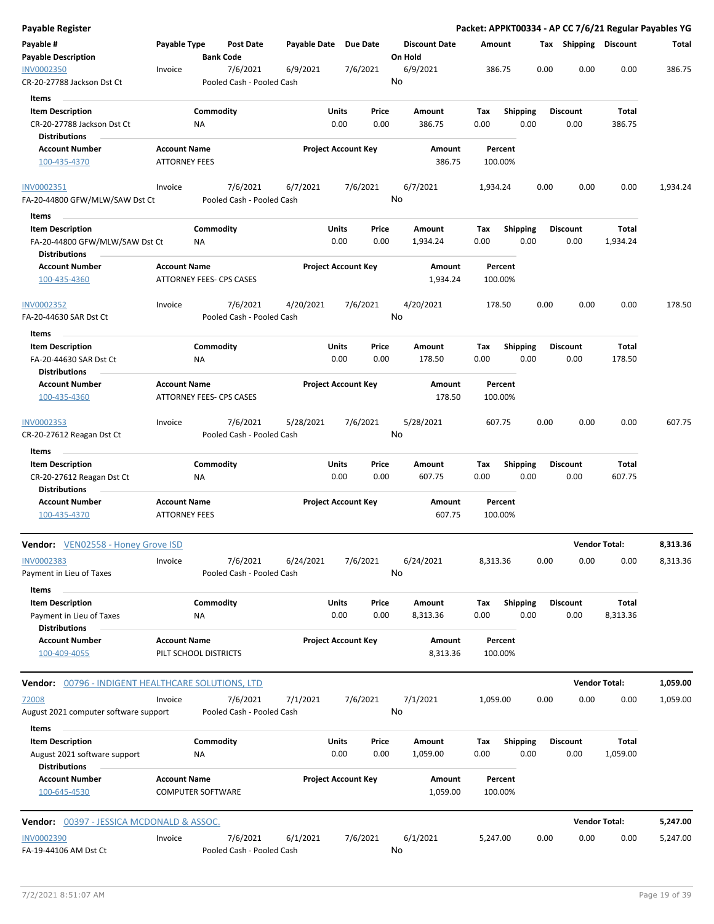| <b>Payable Register</b>                              |                                                        |                  |                                       |                       |                            |          |                                 |          |                    |      |                       | Packet: APPKT00334 - AP CC 7/6/21 Regular Payables YG |          |
|------------------------------------------------------|--------------------------------------------------------|------------------|---------------------------------------|-----------------------|----------------------------|----------|---------------------------------|----------|--------------------|------|-----------------------|-------------------------------------------------------|----------|
| Payable #<br><b>Payable Description</b>              | Payable Type                                           | <b>Bank Code</b> | <b>Post Date</b>                      | Payable Date Due Date |                            |          | <b>Discount Date</b><br>On Hold | Amount   |                    |      | Tax Shipping Discount |                                                       | Total    |
| <b>INV0002350</b>                                    | Invoice                                                |                  | 7/6/2021                              | 6/9/2021              |                            | 7/6/2021 | 6/9/2021                        |          | 386.75             | 0.00 | 0.00                  | 0.00                                                  | 386.75   |
| CR-20-27788 Jackson Dst Ct                           |                                                        |                  | Pooled Cash - Pooled Cash             |                       |                            |          | No                              |          |                    |      |                       |                                                       |          |
| Items                                                |                                                        |                  |                                       |                       |                            |          |                                 |          |                    |      |                       |                                                       |          |
| <b>Item Description</b>                              |                                                        | Commodity        |                                       |                       | Units                      | Price    | Amount                          | Tax      | <b>Shipping</b>    |      | <b>Discount</b>       | Total                                                 |          |
| CR-20-27788 Jackson Dst Ct                           |                                                        | ΝA               |                                       |                       | 0.00                       | 0.00     | 386.75                          | 0.00     | 0.00               |      | 0.00                  | 386.75                                                |          |
| <b>Distributions</b>                                 |                                                        |                  |                                       |                       |                            |          |                                 |          |                    |      |                       |                                                       |          |
| <b>Account Number</b>                                | <b>Account Name</b>                                    |                  |                                       |                       | <b>Project Account Key</b> |          | Amount                          |          | Percent            |      |                       |                                                       |          |
| 100-435-4370                                         | <b>ATTORNEY FEES</b>                                   |                  |                                       |                       |                            |          | 386.75                          |          | 100.00%            |      |                       |                                                       |          |
| INV0002351                                           | Invoice                                                |                  | 7/6/2021                              | 6/7/2021              |                            | 7/6/2021 | 6/7/2021                        | 1,934.24 |                    | 0.00 | 0.00                  | 0.00                                                  | 1,934.24 |
| FA-20-44800 GFW/MLW/SAW Dst Ct                       |                                                        |                  | Pooled Cash - Pooled Cash             |                       |                            |          | No                              |          |                    |      |                       |                                                       |          |
| Items                                                |                                                        |                  |                                       |                       |                            |          |                                 |          |                    |      |                       |                                                       |          |
| <b>Item Description</b>                              |                                                        | Commodity        |                                       |                       | <b>Units</b>               | Price    | Amount                          | Tax      | <b>Shipping</b>    |      | <b>Discount</b>       | Total                                                 |          |
| FA-20-44800 GFW/MLW/SAW Dst Ct                       |                                                        | NA               |                                       |                       | 0.00                       | 0.00     | 1,934.24                        | 0.00     | 0.00               |      | 0.00                  | 1,934.24                                              |          |
| <b>Distributions</b>                                 |                                                        |                  |                                       |                       |                            |          |                                 |          |                    |      |                       |                                                       |          |
| <b>Account Number</b><br>100-435-4360                | <b>Account Name</b><br><b>ATTORNEY FEES- CPS CASES</b> |                  |                                       |                       | <b>Project Account Key</b> |          | Amount<br>1,934.24              |          | Percent<br>100.00% |      |                       |                                                       |          |
|                                                      |                                                        |                  |                                       |                       |                            |          |                                 |          |                    |      |                       |                                                       |          |
| <b>INV0002352</b>                                    | Invoice                                                |                  | 7/6/2021                              | 4/20/2021             |                            | 7/6/2021 | 4/20/2021                       |          | 178.50             | 0.00 | 0.00                  | 0.00                                                  | 178.50   |
| FA-20-44630 SAR Dst Ct                               |                                                        |                  | Pooled Cash - Pooled Cash             |                       |                            |          | No                              |          |                    |      |                       |                                                       |          |
| Items                                                |                                                        |                  |                                       |                       |                            |          |                                 |          |                    |      |                       |                                                       |          |
| <b>Item Description</b>                              |                                                        | Commodity        |                                       |                       | Units                      | Price    | Amount                          | Tax      | <b>Shipping</b>    |      | <b>Discount</b>       | Total                                                 |          |
| FA-20-44630 SAR Dst Ct<br><b>Distributions</b>       |                                                        | NA               |                                       |                       | 0.00                       | 0.00     | 178.50                          | 0.00     | 0.00               |      | 0.00                  | 178.50                                                |          |
| <b>Account Number</b>                                | <b>Account Name</b>                                    |                  |                                       |                       | <b>Project Account Key</b> |          | Amount                          |          | Percent            |      |                       |                                                       |          |
| 100-435-4360                                         | ATTORNEY FEES- CPS CASES                               |                  |                                       |                       |                            |          | 178.50                          |          | 100.00%            |      |                       |                                                       |          |
| INV0002353                                           | Invoice                                                |                  | 7/6/2021                              | 5/28/2021             |                            | 7/6/2021 | 5/28/2021                       |          | 607.75             | 0.00 | 0.00                  | 0.00                                                  | 607.75   |
| CR-20-27612 Reagan Dst Ct<br>Items                   |                                                        |                  | Pooled Cash - Pooled Cash             |                       |                            |          | No                              |          |                    |      |                       |                                                       |          |
| <b>Item Description</b>                              |                                                        | Commodity        |                                       |                       | Units                      | Price    | Amount                          | Tax      | <b>Shipping</b>    |      | <b>Discount</b>       | Total                                                 |          |
| CR-20-27612 Reagan Dst Ct<br><b>Distributions</b>    |                                                        | NA               |                                       |                       | 0.00                       | 0.00     | 607.75                          | 0.00     | 0.00               |      | 0.00                  | 607.75                                                |          |
| <b>Account Number</b><br>100-435-4370                | <b>Account Name</b><br><b>ATTORNEY FEES</b>            |                  |                                       |                       | <b>Project Account Key</b> |          | Amount<br>607.75                |          | Percent<br>100.00% |      |                       |                                                       |          |
| Vendor: VEN02558 - Honey Grove ISD                   |                                                        |                  |                                       |                       |                            |          |                                 |          |                    |      |                       | <b>Vendor Total:</b>                                  | 8,313.36 |
| INV0002383                                           | Invoice                                                |                  | 7/6/2021                              | 6/24/2021             |                            | 7/6/2021 | 6/24/2021                       | 8,313.36 |                    | 0.00 | 0.00                  | 0.00                                                  | 8,313.36 |
| Payment in Lieu of Taxes                             |                                                        |                  | Pooled Cash - Pooled Cash             |                       |                            |          | No                              |          |                    |      |                       |                                                       |          |
| Items                                                |                                                        |                  |                                       |                       |                            |          |                                 |          |                    |      |                       |                                                       |          |
| <b>Item Description</b>                              |                                                        | Commodity        |                                       |                       | Units                      | Price    | Amount                          | Tax      | <b>Shipping</b>    |      | <b>Discount</b>       | Total                                                 |          |
| Payment in Lieu of Taxes                             |                                                        | NA               |                                       |                       | 0.00                       | 0.00     | 8,313.36                        | 0.00     | 0.00               |      | 0.00                  | 8,313.36                                              |          |
| <b>Distributions</b>                                 |                                                        |                  |                                       |                       |                            |          |                                 |          |                    |      |                       |                                                       |          |
| <b>Account Number</b><br>100-409-4055                | <b>Account Name</b><br>PILT SCHOOL DISTRICTS           |                  |                                       |                       | <b>Project Account Key</b> |          | Amount<br>8,313.36              |          | Percent<br>100.00% |      |                       |                                                       |          |
| Vendor: 00796 - INDIGENT HEALTHCARE SOLUTIONS, LTD   |                                                        |                  |                                       |                       |                            |          |                                 |          |                    |      |                       | <b>Vendor Total:</b>                                  | 1,059.00 |
| 72008                                                | Invoice                                                |                  | 7/6/2021                              | 7/1/2021              |                            | 7/6/2021 | 7/1/2021                        | 1,059.00 |                    | 0.00 | 0.00                  | 0.00                                                  | 1,059.00 |
| August 2021 computer software support<br>Items       |                                                        |                  | Pooled Cash - Pooled Cash             |                       |                            |          | No                              |          |                    |      |                       |                                                       |          |
| <b>Item Description</b>                              |                                                        | Commodity        |                                       |                       | Units                      | Price    | Amount                          | Tax      | <b>Shipping</b>    |      | <b>Discount</b>       | Total                                                 |          |
| August 2021 software support<br><b>Distributions</b> |                                                        | NA               |                                       |                       | 0.00                       | 0.00     | 1,059.00                        | 0.00     | 0.00               |      | 0.00                  | 1,059.00                                              |          |
| <b>Account Number</b><br>100-645-4530                | <b>Account Name</b><br><b>COMPUTER SOFTWARE</b>        |                  |                                       |                       | <b>Project Account Key</b> |          | Amount<br>1,059.00              |          | Percent<br>100.00% |      |                       |                                                       |          |
| Vendor: 00397 - JESSICA MCDONALD & ASSOC.            |                                                        |                  |                                       |                       |                            |          |                                 |          |                    |      |                       | <b>Vendor Total:</b>                                  | 5,247.00 |
|                                                      |                                                        |                  |                                       |                       |                            |          |                                 |          |                    |      |                       |                                                       |          |
| <b>INV0002390</b><br>FA-19-44106 AM Dst Ct           | Invoice                                                |                  | 7/6/2021<br>Pooled Cash - Pooled Cash | 6/1/2021              |                            | 7/6/2021 | 6/1/2021<br>No                  | 5,247.00 |                    | 0.00 | 0.00                  | 0.00                                                  | 5,247.00 |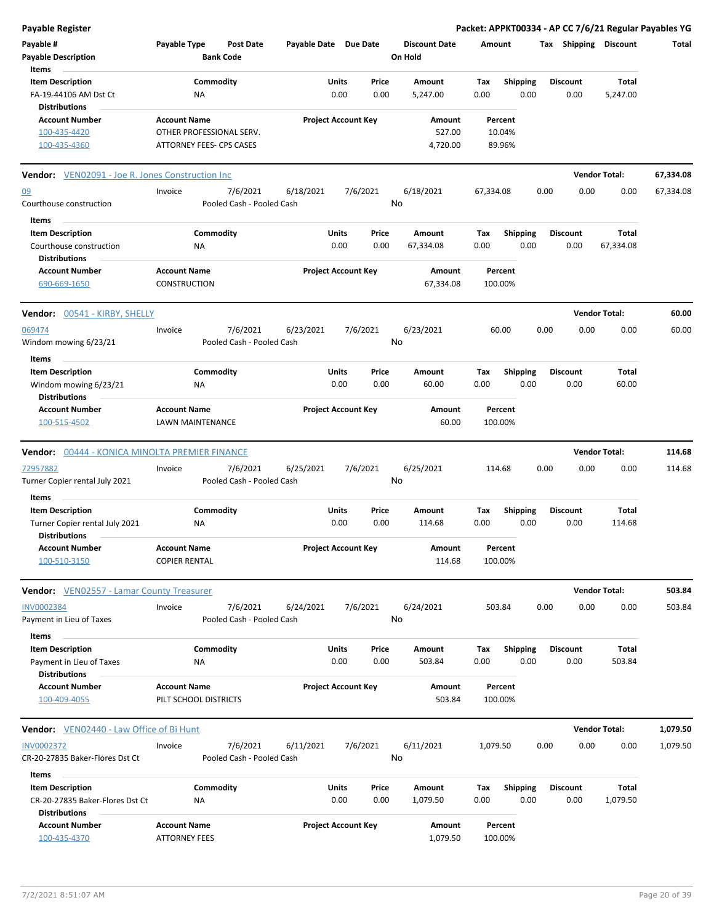| <b>Payable Register</b>                                 |                                            |                                                             |                                        |               |                            |               |                                 |             |                    |      |      |                         |                       | Packet: APPKT00334 - AP CC 7/6/21 Regular Payables YG |
|---------------------------------------------------------|--------------------------------------------|-------------------------------------------------------------|----------------------------------------|---------------|----------------------------|---------------|---------------------------------|-------------|--------------------|------|------|-------------------------|-----------------------|-------------------------------------------------------|
| Payable #<br><b>Payable Description</b>                 | Payable Type                               | Post Date<br><b>Bank Code</b>                               | Payable Date Due Date                  |               |                            |               | <b>Discount Date</b><br>On Hold | Amount      |                    |      |      |                         | Tax Shipping Discount | Total                                                 |
| Items                                                   |                                            |                                                             |                                        |               |                            |               |                                 |             |                    |      |      |                         |                       |                                                       |
| <b>Item Description</b><br>FA-19-44106 AM Dst Ct        |                                            | Commodity<br>NA                                             |                                        | Units<br>0.00 |                            | Price<br>0.00 | Amount<br>5,247.00              | Tax<br>0.00 | <b>Shipping</b>    | 0.00 |      | <b>Discount</b><br>0.00 | Total<br>5,247.00     |                                                       |
| <b>Distributions</b><br><b>Account Number</b>           | <b>Account Name</b>                        |                                                             |                                        |               | <b>Project Account Key</b> |               | Amount                          |             | Percent            |      |      |                         |                       |                                                       |
| 100-435-4420<br>100-435-4360                            |                                            | OTHER PROFESSIONAL SERV.<br><b>ATTORNEY FEES- CPS CASES</b> |                                        |               |                            |               | 527.00<br>4,720.00              |             | 10.04%<br>89.96%   |      |      |                         |                       |                                                       |
| <b>Vendor:</b> VEN02091 - Joe R. Jones Construction Inc |                                            |                                                             |                                        |               |                            |               |                                 |             |                    |      |      |                         | <b>Vendor Total:</b>  | 67,334.08                                             |
| 09                                                      | Invoice                                    | 7/6/2021                                                    | 6/18/2021                              |               | 7/6/2021                   |               | 6/18/2021                       | 67,334.08   |                    |      | 0.00 | 0.00                    | 0.00                  | 67,334.08                                             |
| Courthouse construction                                 |                                            |                                                             | Pooled Cash - Pooled Cash              |               |                            | No            |                                 |             |                    |      |      |                         |                       |                                                       |
| Items<br><b>Item Description</b>                        |                                            | Commodity                                                   |                                        | Units         |                            | Price         | Amount                          | Tax         | <b>Shipping</b>    |      |      | <b>Discount</b>         | Total                 |                                                       |
| Courthouse construction<br><b>Distributions</b>         |                                            | <b>NA</b>                                                   |                                        | 0.00          |                            | 0.00          | 67,334.08                       | 0.00        |                    | 0.00 |      | 0.00                    | 67,334.08             |                                                       |
| <b>Account Number</b><br>690-669-1650                   | <b>Account Name</b><br><b>CONSTRUCTION</b> |                                                             |                                        |               | <b>Project Account Key</b> |               | Amount<br>67,334.08             |             | Percent<br>100.00% |      |      |                         |                       |                                                       |
| Vendor: 00541 - KIRBY, SHELLY                           |                                            |                                                             |                                        |               |                            |               |                                 |             |                    |      |      |                         | <b>Vendor Total:</b>  | 60.00                                                 |
| 069474<br>Windom mowing 6/23/21                         | Invoice                                    | 7/6/2021                                                    | 6/23/2021<br>Pooled Cash - Pooled Cash |               | 7/6/2021                   | No            | 6/23/2021                       |             | 60.00              |      | 0.00 | 0.00                    | 0.00                  | 60.00                                                 |
| Items                                                   |                                            |                                                             |                                        |               |                            |               |                                 |             |                    |      |      |                         |                       |                                                       |
| <b>Item Description</b>                                 |                                            | Commodity                                                   |                                        | Units         |                            | Price         | Amount                          | Tax         | <b>Shipping</b>    |      |      | <b>Discount</b>         | Total                 |                                                       |
| Windom mowing 6/23/21                                   |                                            | ΝA                                                          |                                        | 0.00          |                            | 0.00          | 60.00                           | 0.00        |                    | 0.00 |      | 0.00                    | 60.00                 |                                                       |
| <b>Distributions</b>                                    |                                            |                                                             |                                        |               |                            |               |                                 |             |                    |      |      |                         |                       |                                                       |
| <b>Account Number</b><br>100-515-4502                   | <b>Account Name</b>                        | LAWN MAINTENANCE                                            |                                        |               | <b>Project Account Key</b> |               | Amount<br>60.00                 |             | Percent<br>100.00% |      |      |                         |                       |                                                       |
| Vendor: 00444 - KONICA MINOLTA PREMIER FINANCE          |                                            |                                                             |                                        |               |                            |               |                                 |             |                    |      |      |                         | <b>Vendor Total:</b>  | 114.68                                                |
| 72957882                                                | Invoice                                    | 7/6/2021                                                    | 6/25/2021                              |               | 7/6/2021                   |               | 6/25/2021                       |             | 114.68             |      | 0.00 | 0.00                    | 0.00                  | 114.68                                                |
| Turner Copier rental July 2021<br>Items                 |                                            |                                                             | Pooled Cash - Pooled Cash              |               |                            | No            |                                 |             |                    |      |      |                         |                       |                                                       |
| <b>Item Description</b>                                 |                                            | Commodity                                                   |                                        | Units         |                            | Price         | Amount                          | Tax         | <b>Shipping</b>    |      |      | <b>Discount</b>         | Total                 |                                                       |
| Turner Copier rental July 2021<br><b>Distributions</b>  |                                            | ΝA                                                          |                                        | 0.00          |                            | 0.00          | 114.68                          | 0.00        |                    | 0.00 |      | 0.00                    | 114.68                |                                                       |
| <b>Account Number</b>                                   | <b>Account Name</b>                        |                                                             |                                        |               | <b>Project Account Key</b> |               | Amount                          |             | Percent            |      |      |                         |                       |                                                       |
| 100-510-3150                                            | <b>COPIER RENTAL</b>                       |                                                             |                                        |               |                            |               | 114.68                          |             | 100.00%            |      |      |                         |                       |                                                       |
| <b>Vendor:</b> VEN02557 - Lamar County Treasurer        |                                            |                                                             |                                        |               |                            |               |                                 |             |                    |      |      |                         | <b>Vendor Total:</b>  | 503.84                                                |
| <b>INV0002384</b>                                       | Invoice                                    | 7/6/2021                                                    | 6/24/2021                              |               | 7/6/2021                   |               | 6/24/2021                       |             | 503.84             |      | 0.00 | 0.00                    | 0.00                  | 503.84                                                |
| Payment in Lieu of Taxes<br>Items                       |                                            |                                                             | Pooled Cash - Pooled Cash              |               |                            | No            |                                 |             |                    |      |      |                         |                       |                                                       |
| <b>Item Description</b>                                 |                                            | Commodity                                                   |                                        | Units         |                            | Price         | Amount                          | Tax         | <b>Shipping</b>    |      |      | <b>Discount</b>         | Total                 |                                                       |
| Payment in Lieu of Taxes<br><b>Distributions</b>        |                                            | NA                                                          |                                        | 0.00          |                            | 0.00          | 503.84                          | 0.00        |                    | 0.00 |      | 0.00                    | 503.84                |                                                       |
| <b>Account Number</b>                                   | <b>Account Name</b>                        |                                                             |                                        |               | <b>Project Account Key</b> |               | <b>Amount</b>                   |             | Percent            |      |      |                         |                       |                                                       |
| 100-409-4055                                            |                                            | PILT SCHOOL DISTRICTS                                       |                                        |               |                            |               | 503.84                          |             | 100.00%            |      |      |                         |                       |                                                       |
| <b>Vendor:</b> VEN02440 - Law Office of Bi Hunt         |                                            |                                                             |                                        |               |                            |               |                                 |             |                    |      |      |                         | <b>Vendor Total:</b>  | 1,079.50                                              |
| <b>INV0002372</b>                                       | Invoice                                    | 7/6/2021                                                    | 6/11/2021                              |               | 7/6/2021                   |               | 6/11/2021                       | 1,079.50    |                    |      | 0.00 | 0.00                    | 0.00                  | 1,079.50                                              |
| CR-20-27835 Baker-Flores Dst Ct                         |                                            |                                                             | Pooled Cash - Pooled Cash              |               |                            | No            |                                 |             |                    |      |      |                         |                       |                                                       |
| Items<br><b>Item Description</b>                        |                                            | Commodity                                                   |                                        | Units         |                            | Price         | Amount                          | Tax         | <b>Shipping</b>    |      |      | <b>Discount</b>         | Total                 |                                                       |
| CR-20-27835 Baker-Flores Dst Ct<br><b>Distributions</b> |                                            | ΝA                                                          |                                        | 0.00          |                            | 0.00          | 1,079.50                        | 0.00        |                    | 0.00 |      | 0.00                    | 1,079.50              |                                                       |
| <b>Account Number</b>                                   | <b>Account Name</b>                        |                                                             |                                        |               | <b>Project Account Key</b> |               | Amount                          |             | Percent            |      |      |                         |                       |                                                       |
| 100-435-4370                                            | <b>ATTORNEY FEES</b>                       |                                                             |                                        |               |                            |               | 1,079.50                        |             | 100.00%            |      |      |                         |                       |                                                       |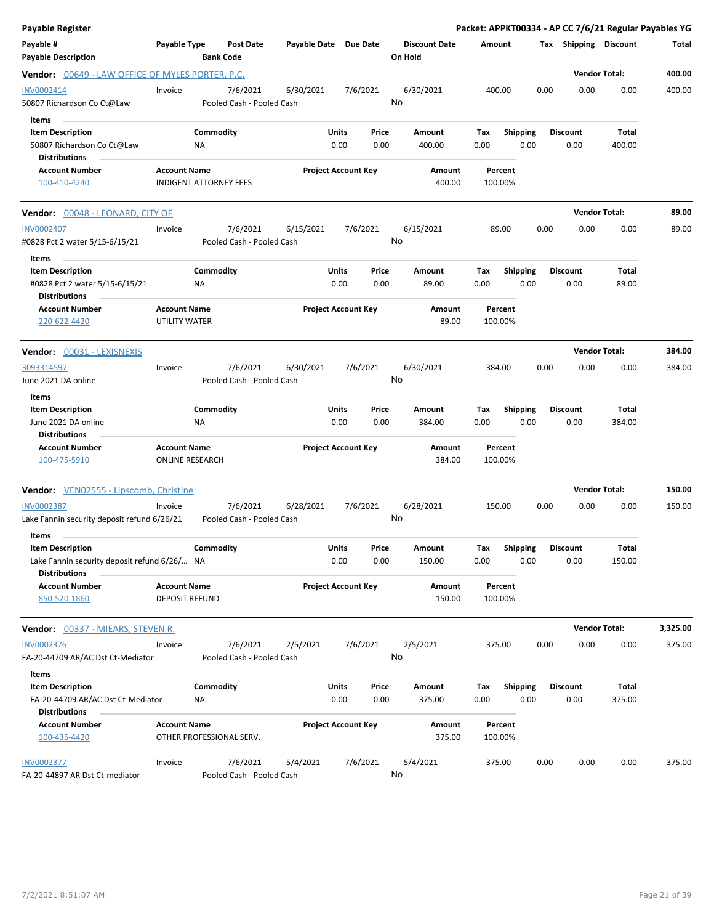| <b>Payable Register</b>                                                                                  |                                               |                                       |                       |                                |                                 | Packet: APPKT00334 - AP CC 7/6/21 Regular Payables YG |                         |                         |                        |          |
|----------------------------------------------------------------------------------------------------------|-----------------------------------------------|---------------------------------------|-----------------------|--------------------------------|---------------------------------|-------------------------------------------------------|-------------------------|-------------------------|------------------------|----------|
| Payable #<br><b>Payable Description</b>                                                                  | Payable Type                                  | <b>Post Date</b><br><b>Bank Code</b>  | Payable Date Due Date |                                | <b>Discount Date</b><br>On Hold | Amount                                                |                         | Tax Shipping Discount   |                        | Total    |
| <b>Vendor:</b> 00649 - LAW OFFICE OF MYLES PORTER, P.C.                                                  |                                               |                                       |                       |                                |                                 |                                                       |                         |                         | <b>Vendor Total:</b>   | 400.00   |
| INV0002414<br>50807 Richardson Co Ct@Law                                                                 | Invoice                                       | 7/6/2021<br>Pooled Cash - Pooled Cash | 6/30/2021             | 7/6/2021                       | 6/30/2021<br>No                 | 400.00                                                | 0.00                    | 0.00                    | 0.00                   | 400.00   |
| Items<br><b>Item Description</b><br>50807 Richardson Co Ct@Law<br><b>Distributions</b>                   | ΝA                                            | Commodity                             |                       | Units<br>Price<br>0.00<br>0.00 | Amount<br>400.00                | Тах<br>0.00                                           | <b>Shipping</b><br>0.00 | <b>Discount</b><br>0.00 | Total<br>400.00        |          |
| <b>Account Number</b><br>100-410-4240                                                                    | <b>Account Name</b>                           | <b>INDIGENT ATTORNEY FEES</b>         |                       | <b>Project Account Key</b>     | Amount<br>400.00                | Percent<br>100.00%                                    |                         |                         |                        |          |
| Vendor: 00048 - LEONARD, CITY OF                                                                         |                                               |                                       |                       |                                |                                 |                                                       |                         |                         | <b>Vendor Total:</b>   | 89.00    |
| <b>INV0002407</b><br>#0828 Pct 2 water 5/15-6/15/21                                                      | Invoice                                       | 7/6/2021<br>Pooled Cash - Pooled Cash | 6/15/2021             | 7/6/2021                       | 6/15/2021<br>No                 | 89.00                                                 | 0.00                    | 0.00                    | 0.00                   | 89.00    |
| Items<br><b>Item Description</b><br>#0828 Pct 2 water 5/15-6/15/21                                       | ΝA                                            | Commodity                             |                       | Units<br>Price<br>0.00<br>0.00 | Amount<br>89.00                 | Tax<br>0.00                                           | <b>Shipping</b><br>0.00 | <b>Discount</b><br>0.00 | Total<br>89.00         |          |
| <b>Distributions</b><br><b>Account Number</b><br>220-622-4420                                            | <b>Account Name</b><br>UTILITY WATER          |                                       |                       | <b>Project Account Key</b>     | Amount<br>89.00                 | Percent<br>100.00%                                    |                         |                         |                        |          |
| Vendor: 00031 - LEXISNEXIS                                                                               |                                               |                                       |                       |                                |                                 |                                                       |                         |                         | <b>Vendor Total:</b>   | 384.00   |
| 3093314597<br>June 2021 DA online                                                                        | Invoice                                       | 7/6/2021<br>Pooled Cash - Pooled Cash | 6/30/2021             | 7/6/2021                       | 6/30/2021<br>No                 | 384.00                                                | 0.00                    | 0.00                    | 0.00                   | 384.00   |
| Items<br><b>Item Description</b>                                                                         |                                               | Commodity                             |                       | Units<br>Price                 | Amount                          | Tax                                                   | <b>Shipping</b>         | <b>Discount</b>         | Total                  |          |
| June 2021 DA online<br><b>Distributions</b>                                                              | NA                                            |                                       |                       | 0.00<br>0.00                   | 384.00                          | 0.00                                                  | 0.00                    | 0.00                    | 384.00                 |          |
| <b>Account Number</b><br>100-475-5910                                                                    | <b>Account Name</b><br><b>ONLINE RESEARCH</b> |                                       |                       | <b>Project Account Key</b>     | Amount<br>384.00                | Percent<br>100.00%                                    |                         |                         |                        |          |
| <b>Vendor:</b> VEN02555 - Lipscomb, Christine                                                            |                                               |                                       |                       |                                |                                 |                                                       |                         |                         | <b>Vendor Total:</b>   | 150.00   |
| <b>INV0002387</b><br>Lake Fannin security deposit refund 6/26/21                                         | Invoice                                       | 7/6/2021<br>Pooled Cash - Pooled Cash | 6/28/2021             | 7/6/2021                       | 6/28/2021<br>No                 | 150.00                                                | 0.00                    | 0.00                    | 0.00                   | 150.00   |
| Items<br><b>Item Description</b><br>Lake Fannin security deposit refund 6/26/ NA<br><b>Distributions</b> |                                               | Commodity                             |                       | Units<br>Price<br>0.00<br>0.00 | Amount<br>150.00                | Tax Shipping<br>0.00                                  | 0.00                    | <b>Discount</b><br>0.00 | <b>Total</b><br>150.00 |          |
| <b>Account Number</b><br>850-520-1860                                                                    | <b>Account Name</b><br><b>DEPOSIT REFUND</b>  |                                       |                       | <b>Project Account Key</b>     | Amount<br>150.00                | Percent<br>100.00%                                    |                         |                         |                        |          |
| <b>Vendor:</b> 00337 - MIEARS, STEVEN R.                                                                 |                                               |                                       |                       |                                |                                 |                                                       |                         |                         | <b>Vendor Total:</b>   | 3,325.00 |
| <b>INV0002376</b><br>FA-20-44709 AR/AC Dst Ct-Mediator                                                   | Invoice                                       | 7/6/2021<br>Pooled Cash - Pooled Cash | 2/5/2021              | 7/6/2021                       | 2/5/2021<br>No                  | 375.00                                                | 0.00                    | 0.00                    | 0.00                   | 375.00   |
| Items<br><b>Item Description</b>                                                                         |                                               | Commodity                             |                       | Units<br>Price                 | Amount                          | Tax                                                   | Shipping                | <b>Discount</b>         | Total                  |          |
| FA-20-44709 AR/AC Dst Ct-Mediator<br><b>Distributions</b>                                                | ΝA                                            |                                       |                       | 0.00<br>0.00                   | 375.00                          | 0.00                                                  | 0.00                    | 0.00                    | 375.00                 |          |
| <b>Account Number</b><br>100-435-4420                                                                    | <b>Account Name</b>                           | OTHER PROFESSIONAL SERV.              |                       | <b>Project Account Key</b>     | Amount<br>375.00                | Percent<br>100.00%                                    |                         |                         |                        |          |
| <b>INV0002377</b><br>FA-20-44897 AR Dst Ct-mediator                                                      | Invoice                                       | 7/6/2021<br>Pooled Cash - Pooled Cash | 5/4/2021              | 7/6/2021                       | 5/4/2021<br>No                  | 375.00                                                | 0.00                    | 0.00                    | 0.00                   | 375.00   |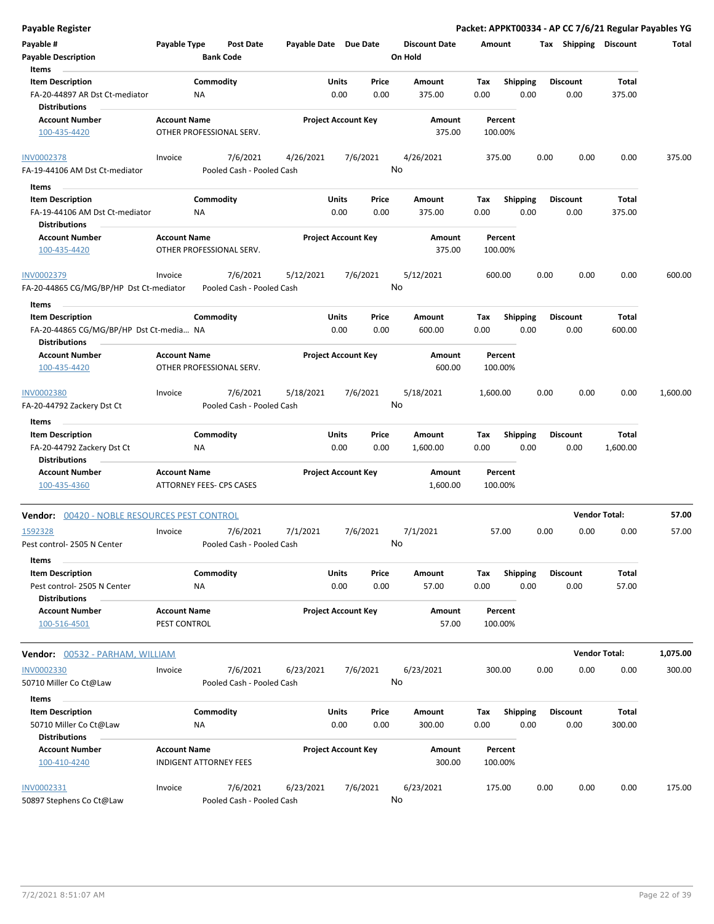| <b>Payable Register</b>                                                   |                                     |                                       |                       |                            |               |                                 |                    |                         |      |                         | Packet: APPKT00334 - AP CC 7/6/21 Regular Payables YG |          |
|---------------------------------------------------------------------------|-------------------------------------|---------------------------------------|-----------------------|----------------------------|---------------|---------------------------------|--------------------|-------------------------|------|-------------------------|-------------------------------------------------------|----------|
| Payable #<br><b>Payable Description</b>                                   | Payable Type                        | <b>Post Date</b><br><b>Bank Code</b>  | Payable Date Due Date |                            |               | <b>Discount Date</b><br>On Hold | Amount             |                         |      | Tax Shipping Discount   |                                                       | Total    |
| Items<br><b>Item Description</b>                                          |                                     | Commodity                             |                       | Units                      | Price         | Amount                          | Tax                | <b>Shipping</b>         |      | <b>Discount</b>         | Total                                                 |          |
| FA-20-44897 AR Dst Ct-mediator<br><b>Distributions</b>                    |                                     | <b>NA</b>                             |                       | 0.00                       | 0.00          | 375.00                          | 0.00               | 0.00                    |      | 0.00                    | 375.00                                                |          |
| <b>Account Number</b>                                                     | <b>Account Name</b>                 |                                       |                       | <b>Project Account Key</b> |               | Amount                          | Percent            |                         |      |                         |                                                       |          |
| 100-435-4420                                                              |                                     | OTHER PROFESSIONAL SERV.              |                       |                            |               | 375.00                          | 100.00%            |                         |      |                         |                                                       |          |
| <b>INV0002378</b><br>FA-19-44106 AM Dst Ct-mediator                       | Invoice                             | 7/6/2021<br>Pooled Cash - Pooled Cash | 4/26/2021             |                            | 7/6/2021      | 4/26/2021<br>No                 | 375.00             |                         | 0.00 | 0.00                    | 0.00                                                  | 375.00   |
|                                                                           |                                     |                                       |                       |                            |               |                                 |                    |                         |      |                         |                                                       |          |
| Items<br><b>Item Description</b>                                          |                                     | Commodity                             |                       | Units                      | Price         | Amount                          | Тах                | Shipping                |      | <b>Discount</b>         | Total                                                 |          |
| FA-19-44106 AM Dst Ct-mediator                                            |                                     | <b>NA</b>                             |                       | 0.00                       | 0.00          | 375.00                          | 0.00               | 0.00                    |      | 0.00                    | 375.00                                                |          |
| <b>Distributions</b><br><b>Account Number</b>                             |                                     |                                       |                       |                            |               |                                 | Percent            |                         |      |                         |                                                       |          |
| 100-435-4420                                                              | <b>Account Name</b>                 | OTHER PROFESSIONAL SERV.              |                       | <b>Project Account Key</b> |               | Amount<br>375.00                | 100.00%            |                         |      |                         |                                                       |          |
| INV0002379<br>FA-20-44865 CG/MG/BP/HP Dst Ct-mediator                     | Invoice                             | 7/6/2021<br>Pooled Cash - Pooled Cash | 5/12/2021             |                            | 7/6/2021      | 5/12/2021<br>No                 | 600.00             |                         | 0.00 | 0.00                    | 0.00                                                  | 600.00   |
| Items                                                                     |                                     |                                       |                       |                            |               |                                 |                    |                         |      |                         |                                                       |          |
| <b>Item Description</b><br>FA-20-44865 CG/MG/BP/HP Dst Ct-media NA        |                                     | Commodity                             |                       | Units<br>0.00              | Price<br>0.00 | Amount<br>600.00                | Tax<br>0.00        | <b>Shipping</b><br>0.00 |      | <b>Discount</b><br>0.00 | <b>Total</b><br>600.00                                |          |
| <b>Distributions</b>                                                      |                                     |                                       |                       |                            |               |                                 |                    |                         |      |                         |                                                       |          |
| <b>Account Number</b><br>100-435-4420                                     | <b>Account Name</b>                 | OTHER PROFESSIONAL SERV.              |                       | <b>Project Account Key</b> |               | Amount<br>600.00                | Percent<br>100.00% |                         |      |                         |                                                       |          |
|                                                                           |                                     |                                       |                       |                            |               |                                 |                    |                         |      |                         |                                                       |          |
| INV0002380<br>FA-20-44792 Zackery Dst Ct                                  | Invoice                             | 7/6/2021<br>Pooled Cash - Pooled Cash | 5/18/2021             |                            | 7/6/2021      | 5/18/2021<br>No                 | 1,600.00           |                         | 0.00 | 0.00                    | 0.00                                                  | 1,600.00 |
| Items                                                                     |                                     |                                       |                       |                            |               |                                 |                    |                         |      |                         |                                                       |          |
| <b>Item Description</b>                                                   |                                     | Commodity                             |                       | Units                      | Price         | Amount                          | Tax                | <b>Shipping</b>         |      | <b>Discount</b>         | Total                                                 |          |
| FA-20-44792 Zackery Dst Ct                                                |                                     | ΝA                                    |                       | 0.00                       | 0.00          | 1,600.00                        | 0.00               | 0.00                    |      | 0.00                    | 1,600.00                                              |          |
| <b>Distributions</b><br><b>Account Number</b>                             | <b>Account Name</b>                 |                                       |                       | <b>Project Account Key</b> |               | Amount                          | Percent            |                         |      |                         |                                                       |          |
| 100-435-4360                                                              |                                     | ATTORNEY FEES- CPS CASES              |                       |                            |               | 1,600.00                        | 100.00%            |                         |      |                         |                                                       |          |
| Vendor: 00420 - NOBLE RESOURCES PEST CONTROL                              |                                     |                                       |                       |                            |               |                                 |                    |                         |      |                         | <b>Vendor Total:</b>                                  | 57.00    |
| 1592328<br>Pest control- 2505 N Center                                    | Invoice                             | 7/6/2021<br>Pooled Cash - Pooled Cash | 7/1/2021              |                            | 7/6/2021      | 7/1/2021<br>No                  | 57.00              |                         | 0.00 | 0.00                    | 0.00                                                  | 57.00    |
| Items                                                                     |                                     |                                       |                       |                            |               |                                 |                    |                         |      |                         |                                                       |          |
| <b>Item Description</b>                                                   |                                     | Commodity                             |                       | Units                      | Price         | Amount                          | Tax                | <b>Shipping</b>         |      | <b>Discount</b>         | Total                                                 |          |
| Pest control- 2505 N Center<br><b>Distributions</b>                       |                                     | NA                                    |                       | 0.00                       | 0.00          | 57.00                           | 0.00               | 0.00                    |      | 0.00                    | 57.00                                                 |          |
| <b>Account Number</b><br>100-516-4501                                     | <b>Account Name</b><br>PEST CONTROL |                                       |                       | <b>Project Account Key</b> |               | Amount<br>57.00                 | Percent<br>100.00% |                         |      |                         |                                                       |          |
| <b>Vendor:</b> 00532 - PARHAM, WILLIAM                                    |                                     |                                       |                       |                            |               |                                 |                    |                         |      |                         | <b>Vendor Total:</b>                                  | 1,075.00 |
| <b>INV0002330</b>                                                         | Invoice                             | 7/6/2021                              | 6/23/2021             |                            | 7/6/2021      | 6/23/2021                       | 300.00             |                         | 0.00 | 0.00                    | 0.00                                                  | 300.00   |
| 50710 Miller Co Ct@Law                                                    |                                     | Pooled Cash - Pooled Cash             |                       |                            |               | No                              |                    |                         |      |                         |                                                       |          |
| Items                                                                     |                                     |                                       |                       |                            |               |                                 |                    |                         |      |                         |                                                       |          |
| <b>Item Description</b><br>50710 Miller Co Ct@Law<br><b>Distributions</b> |                                     | Commodity<br>NA                       |                       | Units<br>0.00              | Price<br>0.00 | Amount<br>300.00                | Tax<br>0.00        | <b>Shipping</b><br>0.00 |      | <b>Discount</b><br>0.00 | Total<br>300.00                                       |          |
| <b>Account Number</b><br>100-410-4240                                     | <b>Account Name</b>                 | <b>INDIGENT ATTORNEY FEES</b>         |                       | <b>Project Account Key</b> |               | Amount<br>300.00                | Percent<br>100.00% |                         |      |                         |                                                       |          |
| INV0002331<br>50897 Stephens Co Ct@Law                                    | Invoice                             | 7/6/2021<br>Pooled Cash - Pooled Cash | 6/23/2021             |                            | 7/6/2021      | 6/23/2021<br>No                 | 175.00             |                         | 0.00 | 0.00                    | 0.00                                                  | 175.00   |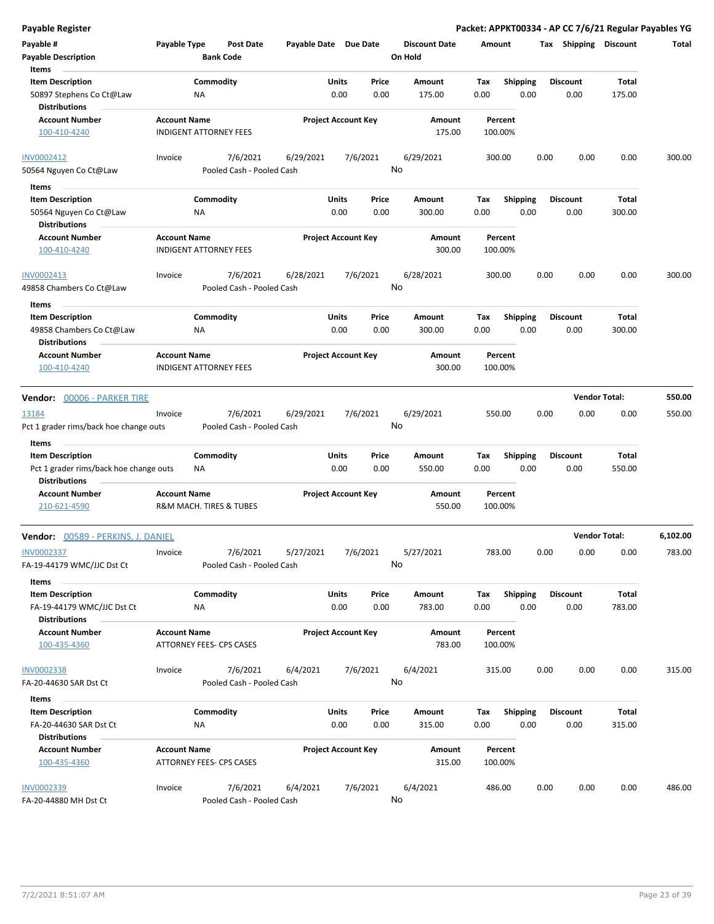**Payable Register Packet: APPKT00334 - AP CC 7/6/21 Regular Payables YG Payable # Payable Type Post Date Payable Date Due Date Payable Description Bank Code Discount Date Amount Tax Shipping Discount Total On Hold** 0.00 0.00 **Units** 50897 Stephens Co Ct@Law 0.00 **Item Description** 175.00 **Price Amount Tax** 0.00 175.00 Commodity **Shipping Shipping Commodity Shipping Discount** Total NA **Items** 0.00 **Discount Account Number Account Name Project Account Key Amount Distributions Percent** 100-410-4240 INDIGENT ATTORNEY FEES 175.00 100.00% 7/6/2021 6/29/2021 7/6/2021 50564 Nguyen Co Ct@Law Pooled Cash - Pooled Cash INV0002412 Invoice 6/29/2021 300.00 0.00 0.00 0.00 300.00 No 0.00 0.00 **Units** 50564 Nguyen Co Ct@Law 0.00 **Item Description** 300.00 **Price Amount Tax** 0.00 300.00 Commodity **Shipping Shipping Commodity Shipping Discount** Total NA **Items** 0.00 **Discount Account Number Account Name Project Account Key Amount Distributions Percent** 100-410-4240 INDIGENT ATTORNEY FEES 300.00 100.00% 7/6/2021 6/28/2021 7/6/2021 49858 Chambers Co Ct@Law Pooled Cash - Pooled Cash INV0002413 Invoice 7/6/2021 6/28/2021 7/6/2021 6/28/2021 300.00 0.00 0.00 0.00 300.00 No 0.00 0.00 **Units** 49858 Chambers Co Ct@Law 0.00 **Item Description** 300.00 **Price Amount Tax** 0.00 300.00 **Commodity Shipping Total** NA **Items** 0.00 **Discount Account Number Account Name Project Account Key Amount Distributions Percent** 100-410-4240 INDIGENT ATTORNEY FEES 300.00 100.00% **Vendor:** 00006 - PARKER TIRE **Vendor Total: 550.00** 7/6/2021 6/29/2021 7/6/2021 Pct 1 grader rims/back hoe change outs Pooled Cash - Pooled Cash 13184 Invoice 6/29/2021 550.00 0.00 0.00 0.00 550.00 No 0.00 0.00 **Units** Pct 1 grader rims/back hoe change outs MA and the control of the control of the control of the control of the control of the control of the control of the control of the control of the control of the control of the control **Item Description** 550.00 **Price Amount Tax** 0.00 550.00 **Commodity Shipping Total** NA **Items** 0.00 **Discount Account Number Account Name Project Account Key Amount Distributions Percent** 210-621-4590 **R&M MACH. TIRES & TUBES** 550.00 **550.00** 100.00% **Vendor:** 00589 - PERKINS, J. DANIEL **Vendor Total: 6,102.00** 7/6/2021 5/27/2021 7/6/2021 FA-19-44179 WMC/JJC Dst Ct Pooled Cash - Pooled Cash INV0002337 Invoice 5/27/2021 783.00 0.00 0.00 0.00 783.00 No 0.00 0.00 **Units** FA-19-44179 WMC/JJC Dst Ct NA 0.00 0.00 783.00 0.00 **Item Description** 783.00 **Price Amount Tax** 0.00 783.00 **Commodity Shipping Total** NA **Items** 0.00 **Discount Account Number Account Name Project Account Key Amount Distributions Percent** 100-435-4360 ATTORNEY FEES- CPS CASES 783.00 100.00% 7/6/2021 6/4/2021 7/6/2021 FA-20-44630 SAR Dst Ct Pooled Cash - Pooled Cash INV0002338 Invoice 6/4/2021 315.00 0.00 0.00 0.00 315.00 No 0.00 0.00 **Units** FA-20-44630 SAR Dst Ct 0.00 **Item Description** 315.00 **Price Amount Tax** 0.00 315.00 Commodity **Shipping Shipping Commodity Shipping Discount** Total NA **Items** 0.00 **Discount Account Number Account Name Project Account Key Amount Distributions Percent** 100-435-4360 ATTORNEY FEES- CPS CASES 315.00 100.00% 7/6/2021 6/4/2021 7/6/2021 INV0002339 Invoice 6/4/2021 486.00 0.00 0.00 0.00 486.00

No

FA-20-44880 MH Dst Ct Pooled Cash - Pooled Cash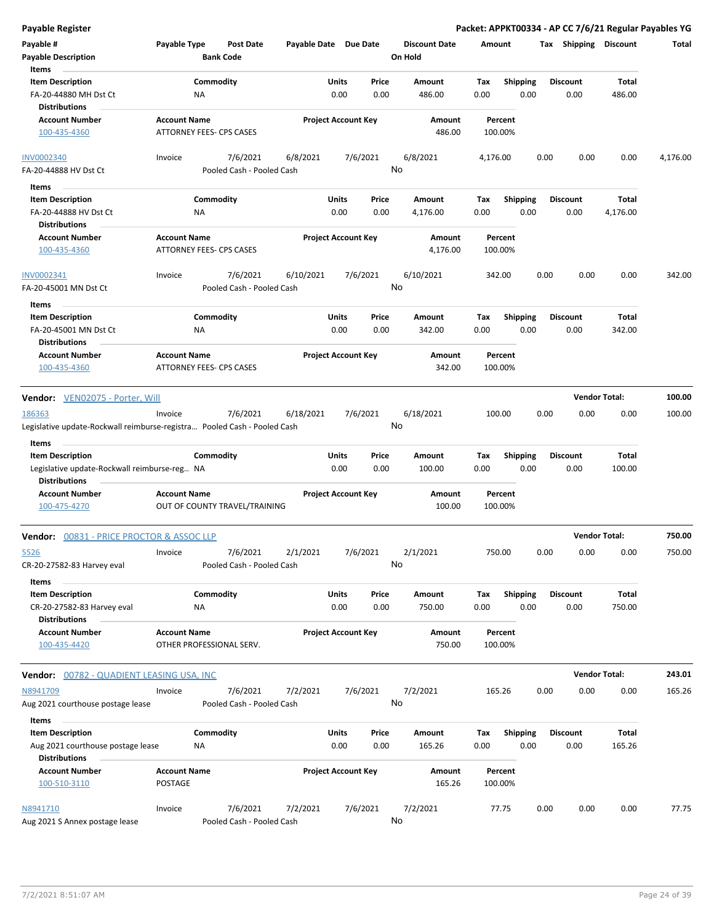| <b>Payable Register</b>                                                  |                     |                                 |                       |                            |          |                      |          |                 |      |                       | Packet: APPKT00334 - AP CC 7/6/21 Regular Payables YG |          |
|--------------------------------------------------------------------------|---------------------|---------------------------------|-----------------------|----------------------------|----------|----------------------|----------|-----------------|------|-----------------------|-------------------------------------------------------|----------|
| Payable #                                                                | Payable Type        | <b>Post Date</b>                | Payable Date Due Date |                            |          | <b>Discount Date</b> | Amount   |                 |      | Tax Shipping Discount |                                                       | Total    |
| <b>Payable Description</b>                                               |                     | <b>Bank Code</b>                |                       |                            |          | On Hold              |          |                 |      |                       |                                                       |          |
| Items                                                                    |                     |                                 |                       |                            |          |                      |          |                 |      |                       |                                                       |          |
| <b>Item Description</b>                                                  |                     | Commodity                       |                       | Units                      | Price    | Amount               | Tax      | Shipping        |      | <b>Discount</b>       | Total                                                 |          |
| FA-20-44880 MH Dst Ct                                                    | ΝA                  |                                 |                       | 0.00                       | 0.00     | 486.00               | 0.00     | 0.00            |      | 0.00                  | 486.00                                                |          |
| <b>Distributions</b>                                                     |                     |                                 |                       |                            |          |                      |          |                 |      |                       |                                                       |          |
| <b>Account Number</b>                                                    | <b>Account Name</b> |                                 |                       | <b>Project Account Key</b> |          | Amount               |          | Percent         |      |                       |                                                       |          |
| 100-435-4360                                                             |                     | ATTORNEY FEES- CPS CASES        |                       |                            |          | 486.00               |          | 100.00%         |      |                       |                                                       |          |
|                                                                          |                     |                                 |                       |                            |          |                      |          |                 |      |                       |                                                       |          |
| <b>INV0002340</b>                                                        | Invoice             | 7/6/2021                        | 6/8/2021              |                            | 7/6/2021 | 6/8/2021             | 4,176.00 |                 | 0.00 | 0.00                  | 0.00                                                  | 4,176.00 |
| FA-20-44888 HV Dst Ct                                                    |                     | Pooled Cash - Pooled Cash       |                       |                            |          | No                   |          |                 |      |                       |                                                       |          |
|                                                                          |                     |                                 |                       |                            |          |                      |          |                 |      |                       |                                                       |          |
| Items                                                                    |                     |                                 |                       |                            |          |                      |          |                 |      |                       |                                                       |          |
| <b>Item Description</b>                                                  |                     | Commodity                       |                       | Units                      | Price    | Amount               | Tax      | <b>Shipping</b> |      | Discount              | Total                                                 |          |
| FA-20-44888 HV Dst Ct                                                    | ΝA                  |                                 |                       | 0.00                       | 0.00     | 4,176.00             | 0.00     | 0.00            |      | 0.00                  | 4,176.00                                              |          |
| <b>Distributions</b>                                                     |                     |                                 |                       |                            |          |                      |          |                 |      |                       |                                                       |          |
| <b>Account Number</b>                                                    | <b>Account Name</b> |                                 |                       | <b>Project Account Key</b> |          | Amount               |          | Percent         |      |                       |                                                       |          |
| 100-435-4360                                                             |                     | <b>ATTORNEY FEES- CPS CASES</b> |                       |                            |          | 4,176.00             |          | 100.00%         |      |                       |                                                       |          |
|                                                                          |                     |                                 |                       |                            |          |                      |          |                 |      |                       |                                                       |          |
| INV0002341                                                               | Invoice             | 7/6/2021                        | 6/10/2021             |                            | 7/6/2021 | 6/10/2021            | 342.00   |                 | 0.00 | 0.00                  | 0.00                                                  | 342.00   |
| FA-20-45001 MN Dst Ct                                                    |                     | Pooled Cash - Pooled Cash       |                       |                            |          | No                   |          |                 |      |                       |                                                       |          |
| Items                                                                    |                     |                                 |                       |                            |          |                      |          |                 |      |                       |                                                       |          |
| <b>Item Description</b>                                                  |                     | Commodity                       |                       | Units                      | Price    | Amount               | Tax      | <b>Shipping</b> |      | <b>Discount</b>       | Total                                                 |          |
| FA-20-45001 MN Dst Ct                                                    | NA                  |                                 |                       | 0.00                       | 0.00     | 342.00               | 0.00     | 0.00            |      | 0.00                  | 342.00                                                |          |
| <b>Distributions</b>                                                     |                     |                                 |                       |                            |          |                      |          |                 |      |                       |                                                       |          |
| <b>Account Number</b>                                                    | <b>Account Name</b> |                                 |                       | <b>Project Account Key</b> |          | Amount               |          | Percent         |      |                       |                                                       |          |
| 100-435-4360                                                             |                     | ATTORNEY FEES- CPS CASES        |                       |                            |          | 342.00               |          | 100.00%         |      |                       |                                                       |          |
|                                                                          |                     |                                 |                       |                            |          |                      |          |                 |      |                       |                                                       |          |
|                                                                          |                     |                                 |                       |                            |          |                      |          |                 |      |                       | <b>Vendor Total:</b>                                  | 100.00   |
| <b>Vendor:</b> VEN02075 - Porter, Will                                   |                     |                                 |                       |                            |          |                      |          |                 |      |                       |                                                       |          |
| 186363                                                                   | Invoice             | 7/6/2021                        | 6/18/2021             |                            | 7/6/2021 | 6/18/2021            | 100.00   |                 | 0.00 | 0.00                  | 0.00                                                  | 100.00   |
| Legislative update-Rockwall reimburse-registra Pooled Cash - Pooled Cash |                     |                                 |                       |                            |          | No                   |          |                 |      |                       |                                                       |          |
| Items                                                                    |                     |                                 |                       |                            |          |                      |          |                 |      |                       |                                                       |          |
| <b>Item Description</b>                                                  |                     | Commodity                       |                       | Units                      | Price    | Amount               | Tax      | <b>Shipping</b> |      | <b>Discount</b>       | Total                                                 |          |
| Legislative update-Rockwall reimburse-reg NA                             |                     |                                 |                       | 0.00                       | 0.00     | 100.00               | 0.00     | 0.00            |      | 0.00                  | 100.00                                                |          |
| <b>Distributions</b>                                                     |                     |                                 |                       |                            |          |                      |          |                 |      |                       |                                                       |          |
| <b>Account Number</b>                                                    | <b>Account Name</b> |                                 |                       | <b>Project Account Key</b> |          | Amount               |          | Percent         |      |                       |                                                       |          |
| 100-475-4270                                                             |                     | OUT OF COUNTY TRAVEL/TRAINING   |                       |                            |          | 100.00               |          | 100.00%         |      |                       |                                                       |          |
|                                                                          |                     |                                 |                       |                            |          |                      |          |                 |      |                       |                                                       |          |
| <b>Vendor: 00831 - PRICE PROCTOR &amp; ASSOC LLP</b>                     |                     |                                 |                       |                            |          |                      |          |                 |      | <b>Vendor Total:</b>  |                                                       | 750.00   |
|                                                                          |                     |                                 |                       |                            |          |                      |          |                 |      |                       |                                                       |          |
| 5526                                                                     | Invoice             | 7/6/2021                        | 2/1/2021              |                            | 7/6/2021 | 2/1/2021             | 750.00   |                 | 0.00 | 0.00                  | 0.00                                                  | 750.00   |
| CR-20-27582-83 Harvey eval                                               |                     | Pooled Cash - Pooled Cash       |                       |                            |          | No                   |          |                 |      |                       |                                                       |          |
| Items                                                                    |                     |                                 |                       |                            |          |                      |          |                 |      |                       |                                                       |          |
| <b>Item Description</b>                                                  |                     | Commodity                       |                       | Units                      | Price    | Amount               | Tax      | <b>Shipping</b> |      | <b>Discount</b>       | Total                                                 |          |
| CR-20-27582-83 Harvey eval                                               | ΝA                  |                                 |                       | 0.00                       | 0.00     | 750.00               | 0.00     | 0.00            |      | 0.00                  | 750.00                                                |          |
| <b>Distributions</b>                                                     |                     |                                 |                       |                            |          |                      |          |                 |      |                       |                                                       |          |
| <b>Account Number</b>                                                    | <b>Account Name</b> |                                 |                       | <b>Project Account Key</b> |          | Amount               |          | Percent         |      |                       |                                                       |          |
| 100-435-4420                                                             |                     | OTHER PROFESSIONAL SERV.        |                       |                            |          | 750.00               |          | 100.00%         |      |                       |                                                       |          |
|                                                                          |                     |                                 |                       |                            |          |                      |          |                 |      |                       |                                                       |          |
| <b>Vendor:</b> 00782 - QUADIENT LEASING USA, INC                         |                     |                                 |                       |                            |          |                      |          |                 |      |                       | <b>Vendor Total:</b>                                  | 243.01   |
|                                                                          |                     |                                 |                       |                            |          |                      |          |                 |      |                       |                                                       |          |
| N8941709                                                                 | Invoice             | 7/6/2021                        | 7/2/2021              |                            | 7/6/2021 | 7/2/2021             | 165.26   |                 | 0.00 | 0.00                  | 0.00                                                  | 165.26   |
| Aug 2021 courthouse postage lease                                        |                     | Pooled Cash - Pooled Cash       |                       |                            |          | No                   |          |                 |      |                       |                                                       |          |
| Items                                                                    |                     |                                 |                       |                            |          |                      |          |                 |      |                       |                                                       |          |
| <b>Item Description</b>                                                  |                     | Commodity                       |                       | Units                      | Price    | Amount               | Tax      | Shipping        |      | Discount              | Total                                                 |          |
| Aug 2021 courthouse postage lease                                        | ΝA                  |                                 |                       | 0.00                       | 0.00     | 165.26               | 0.00     | 0.00            |      | 0.00                  | 165.26                                                |          |
| <b>Distributions</b>                                                     |                     |                                 |                       |                            |          |                      |          |                 |      |                       |                                                       |          |
| <b>Account Number</b>                                                    | <b>Account Name</b> |                                 |                       | <b>Project Account Key</b> |          | Amount               |          | Percent         |      |                       |                                                       |          |
| 100-510-3110                                                             | <b>POSTAGE</b>      |                                 |                       |                            |          | 165.26               |          | 100.00%         |      |                       |                                                       |          |
|                                                                          |                     |                                 |                       |                            |          |                      |          |                 |      |                       |                                                       |          |
| N8941710                                                                 | Invoice             | 7/6/2021                        | 7/2/2021              |                            | 7/6/2021 | 7/2/2021             |          | 77.75           | 0.00 | 0.00                  | 0.00                                                  | 77.75    |
|                                                                          |                     |                                 |                       |                            |          |                      |          |                 |      |                       |                                                       |          |

No

Aug 2021 S Annex postage lease Pooled Cash - Pooled Cash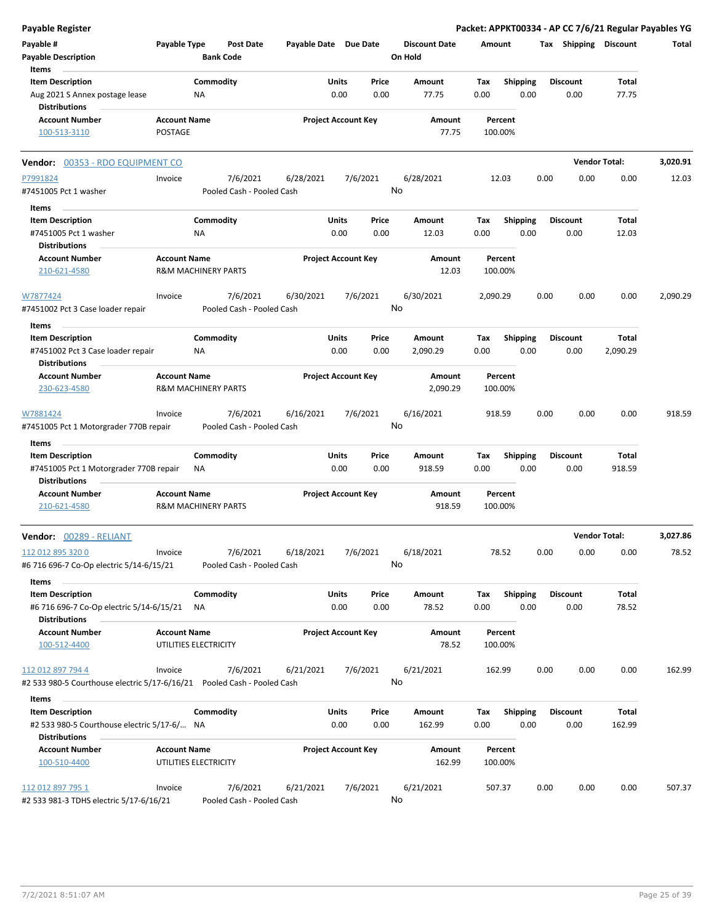| <b>Payable Register</b>                                                                        |                                              |                                       |                       |                            |               |                                 |             |                         |      |                         | Packet: APPKT00334 - AP CC 7/6/21 Regular Payables YG |          |
|------------------------------------------------------------------------------------------------|----------------------------------------------|---------------------------------------|-----------------------|----------------------------|---------------|---------------------------------|-------------|-------------------------|------|-------------------------|-------------------------------------------------------|----------|
| Payable #<br><b>Payable Description</b>                                                        | Payable Type                                 | <b>Post Date</b><br><b>Bank Code</b>  | Payable Date Due Date |                            |               | <b>Discount Date</b><br>On Hold | Amount      |                         |      | Tax Shipping Discount   |                                                       | Total    |
| Items                                                                                          |                                              |                                       |                       |                            |               |                                 |             |                         |      |                         |                                                       |          |
| <b>Item Description</b><br>Aug 2021 S Annex postage lease                                      |                                              | Commodity<br>ΝA                       |                       | Units<br>0.00              | Price<br>0.00 | Amount<br>77.75                 | Tax<br>0.00 | <b>Shipping</b><br>0.00 |      | <b>Discount</b><br>0.00 | Total<br>77.75                                        |          |
| <b>Distributions</b><br><b>Account Number</b><br>100-513-3110                                  | <b>Account Name</b><br><b>POSTAGE</b>        |                                       |                       | <b>Project Account Key</b> |               | Amount<br>77.75                 |             | Percent<br>100.00%      |      |                         |                                                       |          |
| Vendor: 00353 - RDO EQUIPMENT CO                                                               |                                              |                                       |                       |                            |               |                                 |             |                         |      |                         | <b>Vendor Total:</b>                                  | 3,020.91 |
| P7991824                                                                                       | Invoice                                      | 7/6/2021                              | 6/28/2021             | 7/6/2021                   |               | 6/28/2021                       |             | 12.03                   | 0.00 | 0.00                    | 0.00                                                  | 12.03    |
| #7451005 Pct 1 washer                                                                          |                                              | Pooled Cash - Pooled Cash             |                       |                            |               | No                              |             |                         |      |                         |                                                       |          |
| Items                                                                                          |                                              |                                       |                       |                            |               |                                 |             |                         |      |                         |                                                       |          |
| <b>Item Description</b><br>#7451005 Pct 1 washer<br><b>Distributions</b>                       |                                              | Commodity<br>ΝA                       |                       | Units<br>0.00              | Price<br>0.00 | Amount<br>12.03                 | Tax<br>0.00 | <b>Shipping</b><br>0.00 |      | <b>Discount</b><br>0.00 | Total<br>12.03                                        |          |
| <b>Account Number</b><br>210-621-4580                                                          | <b>Account Name</b>                          | <b>R&amp;M MACHINERY PARTS</b>        |                       | <b>Project Account Key</b> |               | Amount<br>12.03                 |             | Percent<br>100.00%      |      |                         |                                                       |          |
| W7877424<br>#7451002 Pct 3 Case loader repair                                                  | Invoice                                      | 7/6/2021<br>Pooled Cash - Pooled Cash | 6/30/2021             | 7/6/2021                   |               | 6/30/2021<br>No                 | 2,090.29    |                         | 0.00 | 0.00                    | 0.00                                                  | 2,090.29 |
| Items                                                                                          |                                              |                                       |                       |                            |               |                                 |             |                         |      |                         |                                                       |          |
| <b>Item Description</b><br>#7451002 Pct 3 Case loader repair                                   |                                              | Commodity<br>NA                       |                       | Units<br>0.00              | Price<br>0.00 | Amount<br>2,090.29              | Tax<br>0.00 | <b>Shipping</b><br>0.00 |      | <b>Discount</b><br>0.00 | Total<br>2,090.29                                     |          |
| <b>Distributions</b><br><b>Account Number</b><br>230-623-4580                                  | <b>Account Name</b>                          | <b>R&amp;M MACHINERY PARTS</b>        |                       | <b>Project Account Key</b> |               | Amount<br>2,090.29              |             | Percent<br>100.00%      |      |                         |                                                       |          |
| W7881424<br>#7451005 Pct 1 Motorgrader 770B repair                                             | Invoice                                      | 7/6/2021<br>Pooled Cash - Pooled Cash | 6/16/2021             | 7/6/2021                   |               | 6/16/2021<br>No                 |             | 918.59                  | 0.00 | 0.00                    | 0.00                                                  | 918.59   |
| Items<br><b>Item Description</b>                                                               |                                              | Commodity                             |                       | Units                      | Price         | Amount                          | Tax         | <b>Shipping</b>         |      | Discount                | Total                                                 |          |
| #7451005 Pct 1 Motorgrader 770B repair<br><b>Distributions</b>                                 |                                              | ΝA                                    |                       | 0.00                       | 0.00          | 918.59                          | 0.00        | 0.00                    |      | 0.00                    | 918.59                                                |          |
| <b>Account Number</b>                                                                          | <b>Account Name</b>                          |                                       |                       | <b>Project Account Key</b> |               | Amount                          |             | Percent                 |      |                         |                                                       |          |
| 210-621-4580                                                                                   |                                              | <b>R&amp;M MACHINERY PARTS</b>        |                       |                            |               | 918.59                          |             | 100.00%                 |      |                         |                                                       |          |
| Vendor: 00289 - RELIANT                                                                        |                                              |                                       |                       |                            |               |                                 |             |                         |      | <b>Vendor Total:</b>    |                                                       | 3,027.86 |
| 112 012 895 320 0<br>#6 716 696-7 Co-Op electric 5/14-6/15/21                                  | Invoice                                      | 7/6/2021<br>Pooled Cash - Pooled Cash | 6/18/2021             | 7/6/2021                   |               | 6/18/2021<br>No                 |             | 78.52                   | 0.00 | 0.00                    | 0.00                                                  | 78.52    |
| Items                                                                                          |                                              |                                       |                       |                            |               |                                 |             |                         |      |                         |                                                       |          |
| <b>Item Description</b><br>#6 716 696-7 Co-Op electric 5/14-6/15/21                            |                                              | Commodity<br>NA                       |                       | Units<br>0.00              | Price<br>0.00 | Amount<br>78.52                 | Tax<br>0.00 | <b>Shipping</b><br>0.00 |      | Discount<br>0.00        | Total<br>78.52                                        |          |
| <b>Distributions</b><br><b>Account Number</b><br>100-512-4400                                  | <b>Account Name</b><br>UTILITIES ELECTRICITY |                                       |                       | <b>Project Account Key</b> |               | Amount<br>78.52                 |             | Percent<br>100.00%      |      |                         |                                                       |          |
| 112 012 897 794 4                                                                              | Invoice                                      | 7/6/2021                              | 6/21/2021             | 7/6/2021                   |               | 6/21/2021                       |             | 162.99                  | 0.00 | 0.00                    | 0.00                                                  | 162.99   |
| #2 533 980-5 Courthouse electric 5/17-6/16/21  Pooled Cash - Pooled Cash                       |                                              |                                       |                       |                            |               | No                              |             |                         |      |                         |                                                       |          |
| Items                                                                                          |                                              |                                       |                       |                            |               |                                 |             |                         |      |                         |                                                       |          |
| <b>Item Description</b><br>#2 533 980-5 Courthouse electric 5/17-6/ NA<br><b>Distributions</b> |                                              | Commodity                             |                       | Units<br>0.00              | Price<br>0.00 | Amount<br>162.99                | Тах<br>0.00 | <b>Shipping</b><br>0.00 |      | <b>Discount</b><br>0.00 | Total<br>162.99                                       |          |
| <b>Account Number</b>                                                                          | <b>Account Name</b>                          |                                       |                       | <b>Project Account Key</b> |               | Amount                          |             | Percent                 |      |                         |                                                       |          |
| 100-510-4400                                                                                   | UTILITIES ELECTRICITY                        |                                       |                       |                            |               | 162.99                          |             | 100.00%                 |      |                         |                                                       |          |
| 112 012 897 795 1<br>#2 533 981-3 TDHS electric 5/17-6/16/21                                   | Invoice                                      | 7/6/2021<br>Pooled Cash - Pooled Cash | 6/21/2021             | 7/6/2021                   |               | 6/21/2021<br>No                 |             | 507.37                  | 0.00 | 0.00                    | 0.00                                                  | 507.37   |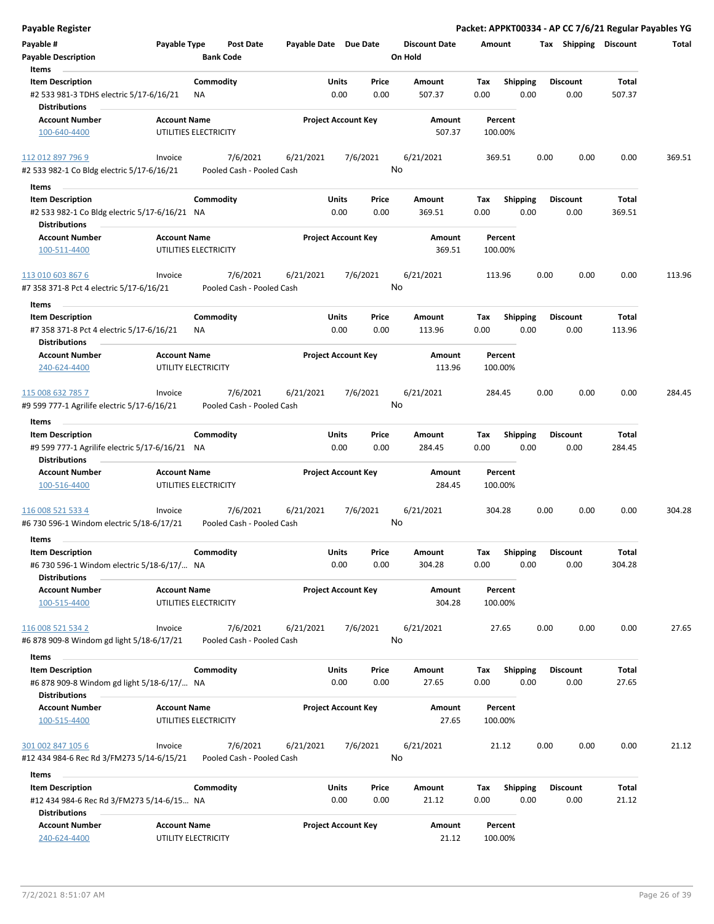| Payable Register                                                                             |                     |                                       |                            |               |               |                                 |             |                         |      |                         |                 | Packet: APPKT00334 - AP CC 7/6/21 Regular Payables YG |
|----------------------------------------------------------------------------------------------|---------------------|---------------------------------------|----------------------------|---------------|---------------|---------------------------------|-------------|-------------------------|------|-------------------------|-----------------|-------------------------------------------------------|
| Payable #<br><b>Payable Description</b>                                                      | Payable Type        | <b>Post Date</b><br><b>Bank Code</b>  | Payable Date Due Date      |               |               | <b>Discount Date</b><br>On Hold | Amount      |                         |      | Tax Shipping Discount   |                 | Total                                                 |
| Items                                                                                        |                     |                                       |                            |               |               |                                 |             |                         |      |                         |                 |                                                       |
| <b>Item Description</b><br>#2 533 981-3 TDHS electric 5/17-6/16/21<br><b>Distributions</b>   |                     | Commodity<br>ΝA                       |                            | Units<br>0.00 | Price<br>0.00 | Amount<br>507.37                | Tax<br>0.00 | <b>Shipping</b><br>0.00 |      | <b>Discount</b><br>0.00 | Total<br>507.37 |                                                       |
| <b>Account Number</b>                                                                        | <b>Account Name</b> |                                       | <b>Project Account Key</b> |               |               | Amount                          |             | Percent                 |      |                         |                 |                                                       |
| 100-640-4400                                                                                 |                     | UTILITIES ELECTRICITY                 |                            |               |               | 507.37                          |             | 100.00%                 |      |                         |                 |                                                       |
| 112 012 897 796 9                                                                            | Invoice             | 7/6/2021                              | 6/21/2021                  |               | 7/6/2021      | 6/21/2021                       |             | 369.51                  | 0.00 | 0.00                    | 0.00            | 369.51                                                |
| #2 533 982-1 Co Bldg electric 5/17-6/16/21                                                   |                     | Pooled Cash - Pooled Cash             |                            |               |               | No                              |             |                         |      |                         |                 |                                                       |
| Items                                                                                        |                     |                                       |                            |               |               |                                 |             |                         |      |                         |                 |                                                       |
| <b>Item Description</b>                                                                      |                     | Commodity                             |                            | Units         | Price         | Amount                          | Tax         | <b>Shipping</b>         |      | <b>Discount</b>         | Total           |                                                       |
| #2 533 982-1 Co Bldg electric 5/17-6/16/21 NA<br><b>Distributions</b>                        |                     |                                       |                            | 0.00          | 0.00          | 369.51                          | 0.00        | 0.00                    |      | 0.00                    | 369.51          |                                                       |
| <b>Account Number</b>                                                                        | <b>Account Name</b> |                                       | <b>Project Account Key</b> |               |               | Amount                          |             | Percent                 |      |                         |                 |                                                       |
| 100-511-4400                                                                                 |                     | UTILITIES ELECTRICITY                 |                            |               |               | 369.51                          |             | 100.00%                 |      |                         |                 |                                                       |
| 113 010 603 867 6<br>#7 358 371-8 Pct 4 electric 5/17-6/16/21                                | Invoice             | 7/6/2021<br>Pooled Cash - Pooled Cash | 6/21/2021                  |               | 7/6/2021      | 6/21/2021<br>No                 |             | 113.96                  | 0.00 | 0.00                    | 0.00            | 113.96                                                |
| Items                                                                                        |                     |                                       |                            |               |               |                                 |             |                         |      |                         |                 |                                                       |
| <b>Item Description</b><br>#7 358 371-8 Pct 4 electric 5/17-6/16/21<br><b>Distributions</b>  |                     | Commodity<br>ΝA                       |                            | Units<br>0.00 | Price<br>0.00 | Amount<br>113.96                | Tax<br>0.00 | <b>Shipping</b><br>0.00 |      | <b>Discount</b><br>0.00 | Total<br>113.96 |                                                       |
| <b>Account Number</b>                                                                        | <b>Account Name</b> |                                       | <b>Project Account Key</b> |               |               | Amount                          |             | Percent                 |      |                         |                 |                                                       |
| 240-624-4400                                                                                 |                     | UTILITY ELECTRICITY                   |                            |               |               | 113.96                          |             | 100.00%                 |      |                         |                 |                                                       |
| 115 008 632 785 7                                                                            | Invoice             | 7/6/2021                              | 6/21/2021                  |               | 7/6/2021      | 6/21/2021                       |             | 284.45                  | 0.00 | 0.00                    | 0.00            | 284.45                                                |
| #9 599 777-1 Agrilife electric 5/17-6/16/21                                                  |                     | Pooled Cash - Pooled Cash             |                            |               |               | No                              |             |                         |      |                         |                 |                                                       |
| Items                                                                                        |                     |                                       |                            |               |               |                                 |             |                         |      |                         |                 |                                                       |
| <b>Item Description</b>                                                                      |                     | Commodity                             |                            | Units         | Price         | Amount                          | Tax         | <b>Shipping</b>         |      | <b>Discount</b>         | Total           |                                                       |
| #9 599 777-1 Agrilife electric 5/17-6/16/21 NA<br><b>Distributions</b>                       |                     |                                       |                            | 0.00          | 0.00          | 284.45                          | 0.00        | 0.00                    |      | 0.00                    | 284.45          |                                                       |
| <b>Account Number</b>                                                                        | <b>Account Name</b> |                                       | <b>Project Account Key</b> |               |               | Amount                          |             | Percent                 |      |                         |                 |                                                       |
| 100-516-4400                                                                                 |                     | UTILITIES ELECTRICITY                 |                            |               |               | 284.45                          |             | 100.00%                 |      |                         |                 |                                                       |
| 116 008 521 533 4                                                                            | Invoice             | 7/6/2021                              | 6/21/2021                  |               | 7/6/2021      | 6/21/2021                       |             | 304.28                  | 0.00 | 0.00                    | 0.00            | 304.28                                                |
| #6 730 596-1 Windom electric 5/18-6/17/21<br>Items                                           |                     | Pooled Cash - Pooled Cash             |                            |               |               | No                              |             |                         |      |                         |                 |                                                       |
| <b>Item Description</b>                                                                      |                     | Commodity                             |                            | Units         | Price         | Amount                          | Tax         | Shipping                |      | <b>Discount</b>         | Total           |                                                       |
| #6 730 596-1 Windom electric 5/18-6/17/ NA<br><b>Distributions</b>                           |                     |                                       |                            | 0.00          | 0.00          | 304.28                          | 0.00        | 0.00                    |      | 0.00                    | 304.28          |                                                       |
| <b>Account Number</b><br>100-515-4400                                                        | <b>Account Name</b> | UTILITIES ELECTRICITY                 | <b>Project Account Key</b> |               |               | Amount<br>304.28                |             | Percent<br>100.00%      |      |                         |                 |                                                       |
| 116 008 521 534 2                                                                            | Invoice             | 7/6/2021                              | 6/21/2021                  |               | 7/6/2021      | 6/21/2021                       |             | 27.65                   | 0.00 | 0.00                    | 0.00            | 27.65                                                 |
| #6 878 909-8 Windom gd light 5/18-6/17/21                                                    |                     | Pooled Cash - Pooled Cash             |                            |               |               | No                              |             |                         |      |                         |                 |                                                       |
| Items                                                                                        |                     |                                       |                            |               |               |                                 |             |                         |      |                         |                 |                                                       |
| <b>Item Description</b>                                                                      |                     | Commodity                             |                            | Units         | Price         | Amount                          | Тах         | <b>Shipping</b>         |      | <b>Discount</b>         | Total           |                                                       |
| #6 878 909-8 Windom gd light 5/18-6/17/ NA<br><b>Distributions</b>                           |                     |                                       |                            | 0.00          | 0.00          | 27.65                           | 0.00        | 0.00                    |      | 0.00                    | 27.65           |                                                       |
| <b>Account Number</b><br>100-515-4400                                                        | <b>Account Name</b> | UTILITIES ELECTRICITY                 | <b>Project Account Key</b> |               |               | Amount<br>27.65                 |             | Percent<br>100.00%      |      |                         |                 |                                                       |
| 301 002 847 105 6                                                                            | Invoice             | 7/6/2021                              | 6/21/2021                  |               | 7/6/2021      | 6/21/2021                       |             | 21.12                   | 0.00 | 0.00                    | 0.00            | 21.12                                                 |
| #12 434 984-6 Rec Rd 3/FM273 5/14-6/15/21                                                    |                     | Pooled Cash - Pooled Cash             |                            |               |               | No                              |             |                         |      |                         |                 |                                                       |
|                                                                                              |                     |                                       |                            |               |               |                                 |             |                         |      |                         |                 |                                                       |
| Items                                                                                        |                     |                                       |                            |               |               |                                 |             |                         |      |                         |                 |                                                       |
| <b>Item Description</b><br>#12 434 984-6 Rec Rd 3/FM273 5/14-6/15 NA<br><b>Distributions</b> |                     | Commodity                             |                            | Units<br>0.00 | Price<br>0.00 | Amount<br>21.12                 | Tax<br>0.00 | <b>Shipping</b><br>0.00 |      | <b>Discount</b><br>0.00 | Total<br>21.12  |                                                       |
| <b>Account Number</b>                                                                        | <b>Account Name</b> |                                       | <b>Project Account Key</b> |               |               | Amount                          |             | Percent                 |      |                         |                 |                                                       |
| 240-624-4400                                                                                 |                     | UTILITY ELECTRICITY                   |                            |               |               | 21.12                           |             | 100.00%                 |      |                         |                 |                                                       |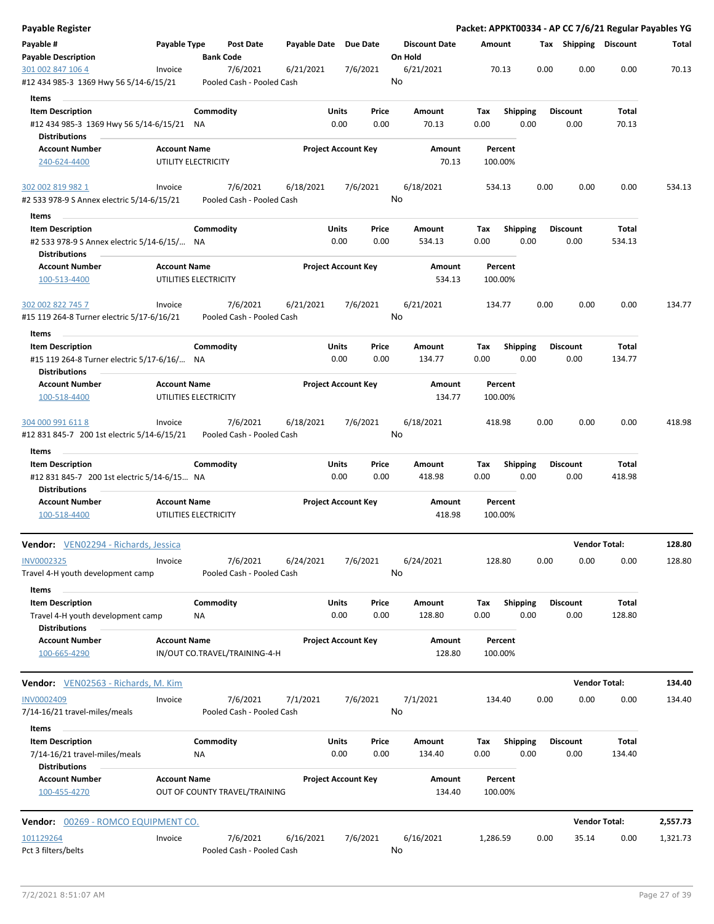| <b>Payable Register</b>                                                                        |                     |                       |                                       |                       |                            |               |                                 |             |                         |      |                         | Packet: APPKT00334 - AP CC 7/6/21 Regular Payables YG |          |
|------------------------------------------------------------------------------------------------|---------------------|-----------------------|---------------------------------------|-----------------------|----------------------------|---------------|---------------------------------|-------------|-------------------------|------|-------------------------|-------------------------------------------------------|----------|
| Payable #<br><b>Payable Description</b>                                                        | Payable Type        | <b>Bank Code</b>      | <b>Post Date</b>                      | Payable Date Due Date |                            |               | <b>Discount Date</b><br>On Hold |             | Amount                  |      | Tax Shipping Discount   |                                                       | Total    |
| 301 002 847 106 4                                                                              | Invoice             |                       | 7/6/2021                              | 6/21/2021             |                            | 7/6/2021      | 6/21/2021                       |             | 70.13                   | 0.00 | 0.00                    | 0.00                                                  | 70.13    |
| #12 434 985-3 1369 Hwy 56 5/14-6/15/21                                                         |                     |                       | Pooled Cash - Pooled Cash             |                       |                            |               | No                              |             |                         |      |                         |                                                       |          |
| Items                                                                                          |                     |                       |                                       |                       |                            |               |                                 |             |                         |      |                         |                                                       |          |
| <b>Item Description</b><br>#12 434 985-3 1369 Hwy 56 5/14-6/15/21 NA<br>Distributions          |                     | Commodity             |                                       |                       | Units<br>0.00              | Price<br>0.00 | Amount<br>70.13                 | Tax<br>0.00 | <b>Shipping</b><br>0.00 |      | <b>Discount</b><br>0.00 | Total<br>70.13                                        |          |
| <b>Account Number</b>                                                                          | <b>Account Name</b> |                       |                                       |                       | <b>Project Account Key</b> |               | Amount                          |             | Percent                 |      |                         |                                                       |          |
| 240-624-4400                                                                                   |                     | UTILITY ELECTRICITY   |                                       |                       |                            |               | 70.13                           |             | 100.00%                 |      |                         |                                                       |          |
| 302 002 819 982 1<br>#2 533 978-9 S Annex electric 5/14-6/15/21                                | Invoice             |                       | 7/6/2021<br>Pooled Cash - Pooled Cash | 6/18/2021             |                            | 7/6/2021      | 6/18/2021<br>No                 |             | 534.13                  | 0.00 | 0.00                    | 0.00                                                  | 534.13   |
| Items                                                                                          |                     |                       |                                       |                       |                            |               |                                 |             |                         |      |                         |                                                       |          |
| <b>Item Description</b>                                                                        |                     | Commodity             |                                       |                       | Units                      | Price         | Amount                          | Tax         | <b>Shipping</b>         |      | <b>Discount</b>         | Total                                                 |          |
| #2 533 978-9 S Annex electric 5/14-6/15/ NA<br><b>Distributions</b>                            |                     |                       |                                       |                       | 0.00                       | 0.00          | 534.13                          | 0.00        | 0.00                    |      | 0.00                    | 534.13                                                |          |
| <b>Account Number</b><br>100-513-4400                                                          | <b>Account Name</b> | UTILITIES ELECTRICITY |                                       |                       | <b>Project Account Key</b> |               | Amount<br>534.13                |             | Percent<br>100.00%      |      |                         |                                                       |          |
| 302 002 822 745 7                                                                              | Invoice             |                       | 7/6/2021                              | 6/21/2021             |                            | 7/6/2021      | 6/21/2021                       |             | 134.77                  | 0.00 | 0.00                    | 0.00                                                  | 134.77   |
| #15 119 264-8 Turner electric 5/17-6/16/21                                                     |                     |                       | Pooled Cash - Pooled Cash             |                       |                            |               | No                              |             |                         |      |                         |                                                       |          |
| Items                                                                                          |                     |                       |                                       |                       |                            |               |                                 |             |                         |      |                         |                                                       |          |
| <b>Item Description</b><br>#15 119 264-8 Turner electric 5/17-6/16/ NA                         |                     | Commodity             |                                       |                       | Units<br>0.00              | Price<br>0.00 | Amount<br>134.77                | Tax<br>0.00 | <b>Shipping</b><br>0.00 |      | <b>Discount</b><br>0.00 | Total<br>134.77                                       |          |
| <b>Distributions</b><br><b>Account Number</b>                                                  | <b>Account Name</b> |                       |                                       |                       | <b>Project Account Key</b> |               | Amount                          |             | Percent                 |      |                         |                                                       |          |
| 100-518-4400                                                                                   |                     | UTILITIES ELECTRICITY |                                       |                       |                            |               | 134.77                          |             | 100.00%                 |      |                         |                                                       |          |
| 304 000 991 611 8<br>#12 831 845-7 200 1st electric 5/14-6/15/21                               | Invoice             |                       | 7/6/2021<br>Pooled Cash - Pooled Cash | 6/18/2021             |                            | 7/6/2021      | 6/18/2021<br>No                 |             | 418.98                  | 0.00 | 0.00                    | 0.00                                                  | 418.98   |
| Items                                                                                          |                     |                       |                                       |                       |                            |               |                                 |             |                         |      |                         |                                                       |          |
| <b>Item Description</b><br>#12 831 845-7 200 1st electric 5/14-6/15 NA<br><b>Distributions</b> |                     | Commodity             |                                       |                       | Units<br>0.00              | Price<br>0.00 | Amount<br>418.98                | Tax<br>0.00 | <b>Shipping</b><br>0.00 |      | <b>Discount</b><br>0.00 | Total<br>418.98                                       |          |
| <b>Account Number</b><br>100-518-4400                                                          | <b>Account Name</b> | UTILITIES ELECTRICITY |                                       |                       | <b>Project Account Key</b> |               | Amount<br>418.98                |             | Percent<br>100.00%      |      |                         |                                                       |          |
| Vendor: VEN02294 - Richards, Jessica                                                           |                     |                       |                                       |                       |                            |               |                                 |             |                         |      |                         | <b>Vendor Total:</b>                                  | 128.80   |
| INV0002325<br>Travel 4-H youth development camp                                                | Invoice             |                       | 7/6/2021<br>Pooled Cash - Pooled Cash | 6/24/2021             |                            | 7/6/2021      | 6/24/2021<br>No                 |             | 128.80                  | 0.00 | 0.00                    | 0.00                                                  | 128.80   |
| Items                                                                                          |                     |                       |                                       |                       |                            |               |                                 |             |                         |      |                         |                                                       |          |
| <b>Item Description</b><br>Travel 4-H youth development camp                                   |                     | Commodity<br>ΝA       |                                       |                       | Units<br>0.00              | Price<br>0.00 | Amount<br>128.80                | Tax<br>0.00 | <b>Shipping</b><br>0.00 |      | <b>Discount</b><br>0.00 | Total<br>128.80                                       |          |
| <b>Distributions</b><br><b>Account Number</b><br>100-665-4290                                  | <b>Account Name</b> |                       | IN/OUT CO.TRAVEL/TRAINING-4-H         |                       | <b>Project Account Key</b> |               | Amount<br>128.80                |             | Percent<br>100.00%      |      |                         |                                                       |          |
| Vendor: VEN02563 - Richards, M. Kim                                                            |                     |                       |                                       |                       |                            |               |                                 |             |                         |      |                         | <b>Vendor Total:</b>                                  | 134.40   |
|                                                                                                |                     |                       |                                       |                       |                            |               |                                 |             |                         |      |                         |                                                       |          |
| <b>INV0002409</b><br>7/14-16/21 travel-miles/meals                                             | Invoice             |                       | 7/6/2021<br>Pooled Cash - Pooled Cash | 7/1/2021              |                            | 7/6/2021      | 7/1/2021<br>No                  |             | 134.40                  | 0.00 | 0.00                    | 0.00                                                  | 134.40   |
| Items                                                                                          |                     |                       |                                       |                       |                            |               |                                 |             |                         |      |                         |                                                       |          |
| <b>Item Description</b><br>7/14-16/21 travel-miles/meals<br><b>Distributions</b>               |                     | Commodity<br>ΝA       |                                       |                       | Units<br>0.00              | Price<br>0.00 | Amount<br>134.40                | Tax<br>0.00 | <b>Shipping</b><br>0.00 |      | <b>Discount</b><br>0.00 | Total<br>134.40                                       |          |
| <b>Account Number</b><br>100-455-4270                                                          | <b>Account Name</b> |                       | OUT OF COUNTY TRAVEL/TRAINING         |                       | <b>Project Account Key</b> |               | Amount<br>134.40                |             | Percent<br>100.00%      |      |                         |                                                       |          |
| <b>Vendor: 00269 - ROMCO EQUIPMENT CO.</b>                                                     |                     |                       |                                       |                       |                            |               |                                 |             |                         |      |                         | <b>Vendor Total:</b>                                  | 2,557.73 |
| 101129264<br>Pct 3 filters/belts                                                               | Invoice             |                       | 7/6/2021<br>Pooled Cash - Pooled Cash | 6/16/2021             |                            | 7/6/2021      | 6/16/2021<br>No                 | 1,286.59    |                         | 0.00 | 35.14                   | 0.00                                                  | 1,321.73 |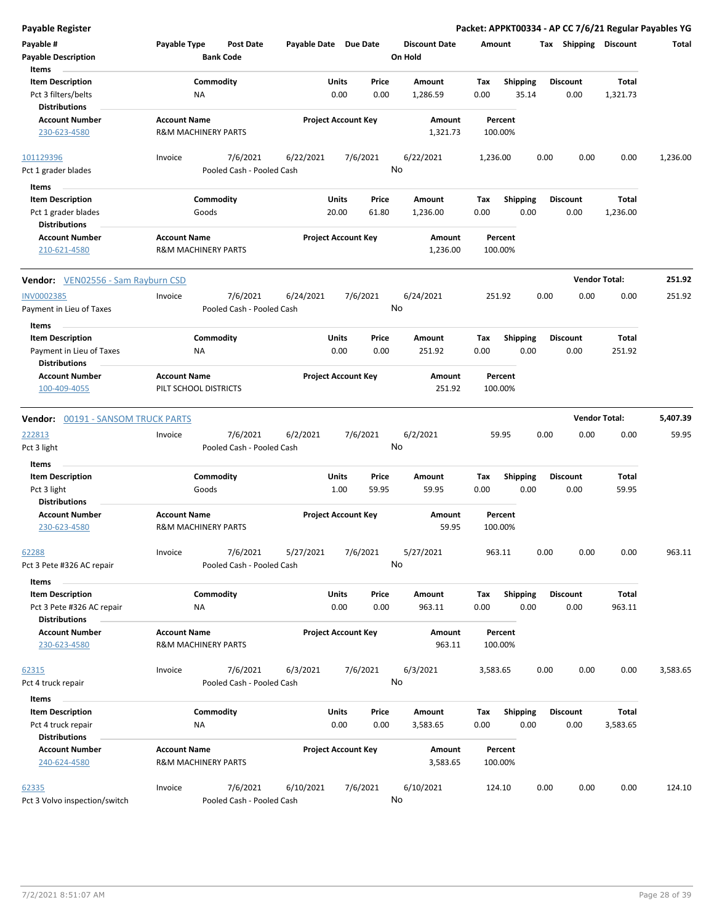| <b>Payable Register</b>                                                        |                                              |                                       |                       |                                         |                                 | Packet: APPKT00334 - AP CC 7/6/21 Regular Payables YG |      |                         |                      |          |
|--------------------------------------------------------------------------------|----------------------------------------------|---------------------------------------|-----------------------|-----------------------------------------|---------------------------------|-------------------------------------------------------|------|-------------------------|----------------------|----------|
| Payable #<br><b>Payable Description</b>                                        | Payable Type                                 | <b>Post Date</b><br><b>Bank Code</b>  | Payable Date Due Date |                                         | <b>Discount Date</b><br>On Hold | Amount                                                |      | Tax Shipping Discount   |                      | Total    |
| Items<br><b>Item Description</b><br>Pct 3 filters/belts                        | NA                                           | Commodity                             |                       | Units<br>Price<br>0.00<br>0.00          | Amount<br>1,286.59              | Shipping<br>Tax<br>0.00<br>35.14                      |      | <b>Discount</b><br>0.00 | Total<br>1,321.73    |          |
| <b>Distributions</b><br><b>Account Number</b><br>230-623-4580                  | <b>Account Name</b>                          | <b>R&amp;M MACHINERY PARTS</b>        |                       | <b>Project Account Key</b>              | Amount<br>1,321.73              | Percent<br>100.00%                                    |      |                         |                      |          |
| 101129396<br>Pct 1 grader blades                                               | Invoice                                      | 7/6/2021<br>Pooled Cash - Pooled Cash | 6/22/2021             | 7/6/2021                                | 6/22/2021<br>No                 | 1,236.00                                              | 0.00 | 0.00                    | 0.00                 | 1,236.00 |
| Items<br><b>Item Description</b><br>Pct 1 grader blades                        |                                              | Commodity<br>Goods                    |                       | <b>Units</b><br>Price<br>20.00<br>61.80 | Amount<br>1,236.00              | <b>Shipping</b><br>Tax<br>0.00                        | 0.00 | <b>Discount</b><br>0.00 | Total<br>1,236.00    |          |
| <b>Distributions</b><br><b>Account Number</b><br>210-621-4580                  | <b>Account Name</b>                          | <b>R&amp;M MACHINERY PARTS</b>        |                       | <b>Project Account Key</b>              | Amount<br>1,236.00              | Percent<br>100.00%                                    |      |                         |                      |          |
| <b>Vendor:</b> VEN02556 - Sam Rayburn CSD                                      |                                              |                                       |                       |                                         |                                 |                                                       |      |                         | <b>Vendor Total:</b> | 251.92   |
| <b>INV0002385</b><br>Payment in Lieu of Taxes                                  | Invoice                                      | 7/6/2021<br>Pooled Cash - Pooled Cash | 6/24/2021             | 7/6/2021                                | 6/24/2021<br>No                 | 251.92                                                | 0.00 | 0.00                    | 0.00                 | 251.92   |
| Items<br><b>Item Description</b><br>Payment in Lieu of Taxes                   | ΝA                                           | Commodity                             |                       | Units<br>Price<br>0.00<br>0.00          | Amount<br>251.92                | <b>Shipping</b><br>Tax<br>0.00                        | 0.00 | <b>Discount</b><br>0.00 | Total<br>251.92      |          |
| <b>Distributions</b><br><b>Account Number</b><br>100-409-4055                  | <b>Account Name</b><br>PILT SCHOOL DISTRICTS |                                       |                       | <b>Project Account Key</b>              | Amount<br>251.92                | Percent<br>100.00%                                    |      |                         |                      |          |
| <b>Vendor: 00191 - SANSOM TRUCK PARTS</b>                                      |                                              |                                       |                       |                                         |                                 |                                                       |      |                         | <b>Vendor Total:</b> | 5,407.39 |
| 222813<br>Pct 3 light                                                          | Invoice                                      | 7/6/2021<br>Pooled Cash - Pooled Cash | 6/2/2021              | 7/6/2021                                | 6/2/2021<br>No                  | 59.95                                                 | 0.00 | 0.00                    | 0.00                 | 59.95    |
| Items<br><b>Item Description</b>                                               |                                              | Commodity                             |                       | Units<br>Price                          | Amount                          | <b>Shipping</b><br>Tax                                |      | <b>Discount</b>         | <b>Total</b>         |          |
| Pct 3 light<br><b>Distributions</b>                                            |                                              | Goods                                 |                       | 1.00<br>59.95                           | 59.95                           | 0.00                                                  | 0.00 | 0.00                    | 59.95                |          |
| <b>Account Number</b><br>230-623-4580                                          | <b>Account Name</b>                          | <b>R&amp;M MACHINERY PARTS</b>        |                       | <b>Project Account Key</b>              | Amount<br>59.95                 | Percent<br>100.00%                                    |      |                         |                      |          |
| 62288<br>Pct 3 Pete #326 AC repair                                             | Invoice                                      | 7/6/2021<br>Pooled Cash - Pooled Cash | 5/27/2021             | 7/6/2021                                | 5/27/2021<br>No                 | 963.11                                                | 0.00 | 0.00                    | 0.00                 | 963.11   |
| Items<br><b>Item Description</b><br>Pct 3 Pete #326 AC repair                  | NA                                           | Commodity                             |                       | Units<br>Price<br>0.00<br>0.00          | Amount<br>963.11                | Shipping<br>Tax<br>0.00                               | 0.00 | <b>Discount</b><br>0.00 | Total<br>963.11      |          |
| <b>Distributions</b><br><b>Account Number</b><br>230-623-4580                  | <b>Account Name</b>                          | <b>R&amp;M MACHINERY PARTS</b>        |                       | <b>Project Account Key</b>              | Amount<br>963.11                | Percent<br>100.00%                                    |      |                         |                      |          |
| 62315<br>Pct 4 truck repair                                                    | Invoice                                      | 7/6/2021<br>Pooled Cash - Pooled Cash | 6/3/2021              | 7/6/2021                                | 6/3/2021<br>No                  | 3,583.65                                              | 0.00 | 0.00                    | 0.00                 | 3,583.65 |
| Items<br><b>Item Description</b><br>Pct 4 truck repair<br><b>Distributions</b> | ΝA                                           | Commodity                             |                       | Units<br>Price<br>0.00<br>0.00          | Amount<br>3,583.65              | Shipping<br>Tax<br>0.00                               | 0.00 | <b>Discount</b><br>0.00 | Total<br>3,583.65    |          |
| <b>Account Number</b><br>240-624-4580                                          | <b>Account Name</b>                          | <b>R&amp;M MACHINERY PARTS</b>        |                       | <b>Project Account Key</b>              | Amount<br>3,583.65              | Percent<br>100.00%                                    |      |                         |                      |          |
| 62335<br>Pct 3 Volvo inspection/switch                                         | Invoice                                      | 7/6/2021<br>Pooled Cash - Pooled Cash | 6/10/2021             | 7/6/2021                                | 6/10/2021<br>No                 | 124.10                                                | 0.00 | 0.00                    | 0.00                 | 124.10   |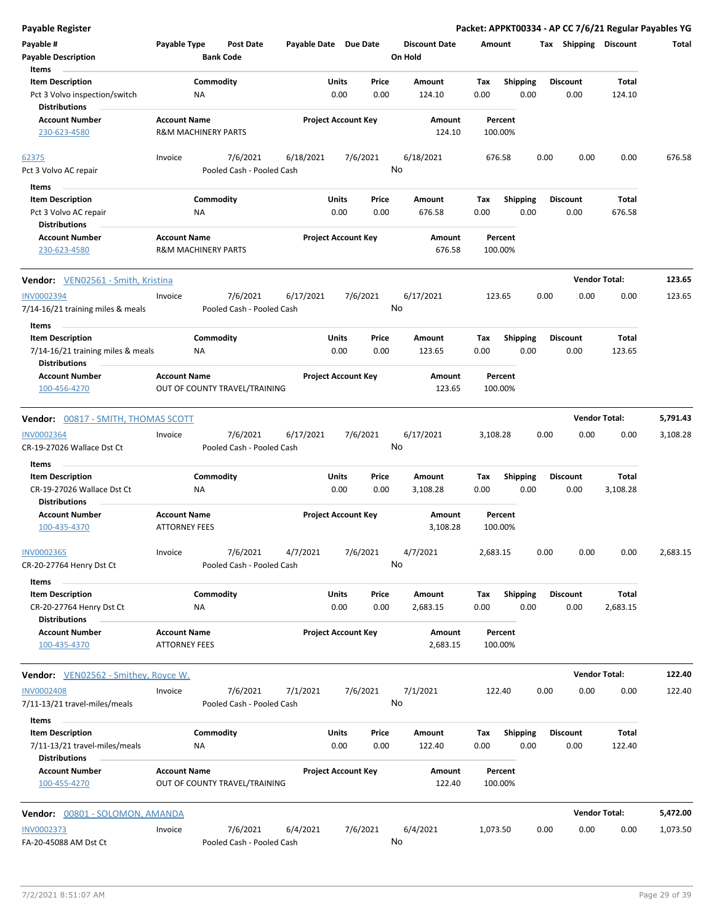| <b>Payable Register</b>                                                                       |                                                       |                                       |                       |                            |               |                                 |             |                         |      |                         | Packet: APPKT00334 - AP CC 7/6/21 Regular Payables YG |          |
|-----------------------------------------------------------------------------------------------|-------------------------------------------------------|---------------------------------------|-----------------------|----------------------------|---------------|---------------------------------|-------------|-------------------------|------|-------------------------|-------------------------------------------------------|----------|
| Payable #<br><b>Payable Description</b>                                                       | Payable Type                                          | <b>Post Date</b><br><b>Bank Code</b>  | Payable Date Due Date |                            |               | <b>Discount Date</b><br>On Hold | Amount      |                         |      | Tax Shipping Discount   |                                                       | Total    |
| Items<br><b>Item Description</b><br>Pct 3 Volvo inspection/switch<br><b>Distributions</b>     | Commodity<br>NA                                       |                                       |                       | Units<br>0.00              | Price<br>0.00 | Amount<br>124.10                | Tax<br>0.00 | <b>Shipping</b><br>0.00 |      | <b>Discount</b><br>0.00 | Total<br>124.10                                       |          |
| <b>Account Number</b><br>230-623-4580                                                         | <b>Account Name</b><br><b>R&amp;M MACHINERY PARTS</b> |                                       |                       | <b>Project Account Key</b> |               | Amount<br>124.10                |             | Percent<br>100.00%      |      |                         |                                                       |          |
| 62375<br>Pct 3 Volvo AC repair                                                                | Invoice                                               | 7/6/2021<br>Pooled Cash - Pooled Cash | 6/18/2021             | 7/6/2021                   | No            | 6/18/2021                       | 676.58      |                         | 0.00 | 0.00                    | 0.00                                                  | 676.58   |
| Items<br><b>Item Description</b><br>Pct 3 Volvo AC repair<br><b>Distributions</b>             | Commodity<br>ΝA                                       |                                       |                       | Units<br>0.00              | Price<br>0.00 | Amount<br>676.58                | Tax<br>0.00 | <b>Shipping</b><br>0.00 |      | <b>Discount</b><br>0.00 | Total<br>676.58                                       |          |
| <b>Account Number</b><br>230-623-4580                                                         | <b>Account Name</b><br><b>R&amp;M MACHINERY PARTS</b> |                                       |                       | <b>Project Account Key</b> |               | Amount<br>676.58                |             | Percent<br>100.00%      |      |                         |                                                       |          |
| <b>Vendor:</b> VEN02561 - Smith, Kristina                                                     |                                                       |                                       |                       |                            |               |                                 |             |                         |      | <b>Vendor Total:</b>    |                                                       | 123.65   |
| <b>INV0002394</b><br>7/14-16/21 training miles & meals                                        | Invoice                                               | 7/6/2021<br>Pooled Cash - Pooled Cash | 6/17/2021             | 7/6/2021                   | No            | 6/17/2021                       | 123.65      |                         | 0.00 | 0.00                    | 0.00                                                  | 123.65   |
| Items<br><b>Item Description</b><br>7/14-16/21 training miles & meals<br><b>Distributions</b> | Commodity<br>NA                                       |                                       |                       | Units<br>0.00              | Price<br>0.00 | Amount<br>123.65                | Tax<br>0.00 | Shipping<br>0.00        |      | <b>Discount</b><br>0.00 | Total<br>123.65                                       |          |
| <b>Account Number</b><br>100-456-4270                                                         | <b>Account Name</b>                                   | OUT OF COUNTY TRAVEL/TRAINING         |                       | <b>Project Account Key</b> |               | Amount<br>123.65                |             | Percent<br>100.00%      |      |                         |                                                       |          |
| Vendor: 00817 - SMITH, THOMAS SCOTT                                                           |                                                       |                                       |                       |                            |               |                                 |             |                         |      | <b>Vendor Total:</b>    |                                                       | 5,791.43 |
| <b>INV0002364</b><br>CR-19-27026 Wallace Dst Ct                                               | Invoice                                               | 7/6/2021<br>Pooled Cash - Pooled Cash | 6/17/2021             | 7/6/2021                   | No            | 6/17/2021                       | 3,108.28    |                         | 0.00 | 0.00                    | 0.00                                                  | 3,108.28 |
| Items<br><b>Item Description</b><br>CR-19-27026 Wallace Dst Ct<br><b>Distributions</b>        | Commodity<br>NA                                       |                                       |                       | Units<br>0.00              | Price<br>0.00 | Amount<br>3,108.28              | Tax<br>0.00 | <b>Shipping</b><br>0.00 |      | <b>Discount</b><br>0.00 | Total<br>3,108.28                                     |          |
| <b>Account Number</b><br>100-435-4370                                                         | <b>Account Name</b><br><b>ATTORNEY FEES</b>           |                                       |                       | <b>Project Account Key</b> |               | Amount<br>3,108.28              |             | Percent<br>100.00%      |      |                         |                                                       |          |
| <b>INV0002365</b><br>CR-20-27764 Henry Dst Ct                                                 | Invoice                                               | 7/6/2021<br>Pooled Cash - Pooled Cash | 4/7/2021              | 7/6/2021                   | No            | 4/7/2021                        | 2,683.15    |                         | 0.00 | 0.00                    | 0.00                                                  | 2,683.15 |
| Items<br><b>Item Description</b><br>CR-20-27764 Henry Dst Ct<br><b>Distributions</b>          | Commodity<br>ΝA                                       |                                       |                       | Units<br>0.00              | Price<br>0.00 | Amount<br>2,683.15              | Tax<br>0.00 | Shipping<br>0.00        |      | <b>Discount</b><br>0.00 | Total<br>2,683.15                                     |          |
| Account Number<br>100-435-4370                                                                | <b>Account Name</b><br><b>ATTORNEY FEES</b>           |                                       |                       | <b>Project Account Key</b> |               | Amount<br>2,683.15              |             | Percent<br>100.00%      |      |                         |                                                       |          |
| Vendor: VEN02562 - Smithey, Royce W.                                                          |                                                       |                                       |                       |                            |               |                                 |             |                         |      | <b>Vendor Total:</b>    |                                                       | 122.40   |
| <b>INV0002408</b><br>7/11-13/21 travel-miles/meals                                            | Invoice                                               | 7/6/2021<br>Pooled Cash - Pooled Cash | 7/1/2021              | 7/6/2021                   | No            | 7/1/2021                        | 122.40      |                         | 0.00 | 0.00                    | 0.00                                                  | 122.40   |
| Items<br><b>Item Description</b><br>7/11-13/21 travel-miles/meals<br><b>Distributions</b>     | Commodity<br>ΝA                                       |                                       |                       | Units<br>0.00              | Price<br>0.00 | Amount<br>122.40                | Tax<br>0.00 | <b>Shipping</b><br>0.00 |      | <b>Discount</b><br>0.00 | Total<br>122.40                                       |          |
| Account Number<br>100-455-4270                                                                | <b>Account Name</b>                                   | OUT OF COUNTY TRAVEL/TRAINING         |                       | <b>Project Account Key</b> |               | Amount<br>122.40                |             | Percent<br>100.00%      |      |                         |                                                       |          |
| Vendor: 00801 - SOLOMON, AMANDA                                                               |                                                       |                                       |                       |                            |               |                                 |             |                         |      | <b>Vendor Total:</b>    |                                                       | 5,472.00 |
| <b>INV0002373</b><br>FA-20-45088 AM Dst Ct                                                    | Invoice                                               | 7/6/2021<br>Pooled Cash - Pooled Cash | 6/4/2021              | 7/6/2021                   | No            | 6/4/2021                        | 1,073.50    |                         | 0.00 | 0.00                    | 0.00                                                  | 1,073.50 |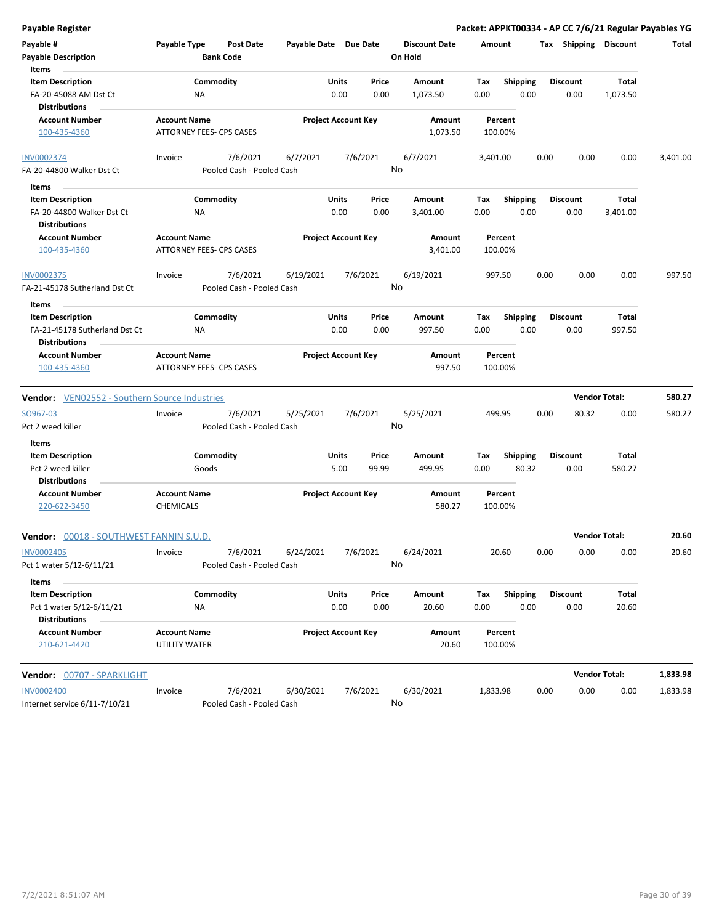| Payable Register                                     |                     |                           |                       |                            |               |                      |             |                         |      |                         | Packet: APPKT00334 - AP CC 7/6/21 Regular Payables YG |          |
|------------------------------------------------------|---------------------|---------------------------|-----------------------|----------------------------|---------------|----------------------|-------------|-------------------------|------|-------------------------|-------------------------------------------------------|----------|
| Payable #                                            | Payable Type        | <b>Post Date</b>          | Payable Date Due Date |                            |               | <b>Discount Date</b> | Amount      |                         |      | Tax Shipping Discount   |                                                       | Total    |
| <b>Payable Description</b>                           |                     | <b>Bank Code</b>          |                       |                            |               | On Hold              |             |                         |      |                         |                                                       |          |
| Items                                                |                     |                           |                       |                            |               |                      |             |                         |      |                         |                                                       |          |
| <b>Item Description</b>                              |                     | Commodity                 |                       | Units                      | Price         | Amount               | Tax         | <b>Shipping</b>         |      | <b>Discount</b>         | <b>Total</b>                                          |          |
| FA-20-45088 AM Dst Ct<br><b>Distributions</b>        |                     | <b>NA</b>                 |                       | 0.00                       | 0.00          | 1,073.50             | 0.00        | 0.00                    |      | 0.00                    | 1,073.50                                              |          |
| <b>Account Number</b>                                | <b>Account Name</b> |                           |                       | <b>Project Account Key</b> |               | Amount               |             | Percent                 |      |                         |                                                       |          |
| 100-435-4360                                         |                     | ATTORNEY FEES- CPS CASES  |                       |                            |               | 1,073.50             |             | 100.00%                 |      |                         |                                                       |          |
| <b>INV0002374</b>                                    | Invoice             | 7/6/2021                  | 6/7/2021              |                            | 7/6/2021      | 6/7/2021             | 3,401.00    |                         | 0.00 | 0.00                    | 0.00                                                  | 3,401.00 |
| FA-20-44800 Walker Dst Ct                            |                     | Pooled Cash - Pooled Cash |                       |                            |               | No                   |             |                         |      |                         |                                                       |          |
| Items                                                |                     |                           |                       |                            |               |                      |             |                         |      |                         |                                                       |          |
| <b>Item Description</b><br>FA-20-44800 Walker Dst Ct |                     | Commodity<br><b>NA</b>    |                       | Units<br>0.00              | Price<br>0.00 | Amount<br>3,401.00   | Tax<br>0.00 | <b>Shipping</b><br>0.00 |      | <b>Discount</b><br>0.00 | Total<br>3,401.00                                     |          |
| <b>Distributions</b>                                 |                     |                           |                       |                            |               |                      |             |                         |      |                         |                                                       |          |
| <b>Account Number</b>                                | <b>Account Name</b> |                           |                       | <b>Project Account Key</b> |               | Amount               |             | Percent                 |      |                         |                                                       |          |
| 100-435-4360                                         |                     | ATTORNEY FEES- CPS CASES  |                       |                            |               | 3,401.00             |             | 100.00%                 |      |                         |                                                       |          |
| <b>INV0002375</b>                                    | Invoice             | 7/6/2021                  | 6/19/2021             |                            | 7/6/2021      | 6/19/2021            |             | 997.50                  | 0.00 | 0.00                    | 0.00                                                  | 997.50   |
| FA-21-45178 Sutherland Dst Ct                        |                     | Pooled Cash - Pooled Cash |                       |                            |               | No                   |             |                         |      |                         |                                                       |          |
| Items                                                |                     |                           |                       |                            |               |                      |             |                         |      |                         |                                                       |          |
| <b>Item Description</b>                              |                     | Commodity                 |                       | Units                      | Price         | Amount               | Tax         | <b>Shipping</b>         |      | <b>Discount</b>         | Total                                                 |          |
| FA-21-45178 Sutherland Dst Ct                        |                     | ΝA                        |                       | 0.00                       | 0.00          | 997.50               | 0.00        | 0.00                    |      | 0.00                    | 997.50                                                |          |
| <b>Distributions</b>                                 |                     |                           |                       |                            |               |                      |             |                         |      |                         |                                                       |          |
| <b>Account Number</b>                                | <b>Account Name</b> |                           |                       | <b>Project Account Key</b> |               | Amount               |             | Percent                 |      |                         |                                                       |          |
| 100-435-4360                                         |                     | ATTORNEY FEES- CPS CASES  |                       |                            |               | 997.50               |             | 100.00%                 |      |                         |                                                       |          |
| <b>Vendor:</b> VEN02552 - Southern Source Industries |                     |                           |                       |                            |               |                      |             |                         |      |                         | <b>Vendor Total:</b>                                  | 580.27   |
| SO967-03                                             | Invoice             | 7/6/2021                  | 5/25/2021             |                            | 7/6/2021      | 5/25/2021            |             | 499.95                  | 0.00 | 80.32                   | 0.00                                                  | 580.27   |
| Pct 2 weed killer                                    |                     | Pooled Cash - Pooled Cash |                       |                            |               | No                   |             |                         |      |                         |                                                       |          |
| Items                                                |                     |                           |                       |                            |               |                      |             |                         |      |                         |                                                       |          |
| <b>Item Description</b>                              |                     | Commodity                 |                       | Units                      | Price         | Amount               | Tax         | <b>Shipping</b>         |      | <b>Discount</b>         | Total                                                 |          |
| Pct 2 weed killer                                    |                     | Goods                     |                       | 5.00                       | 99.99         | 499.95               | 0.00        | 80.32                   |      | 0.00                    | 580.27                                                |          |
| <b>Distributions</b>                                 |                     |                           |                       |                            |               |                      |             |                         |      |                         |                                                       |          |
| <b>Account Number</b>                                | <b>Account Name</b> |                           |                       | <b>Project Account Key</b> |               | Amount               |             | Percent                 |      |                         |                                                       |          |
| 220-622-3450                                         | <b>CHEMICALS</b>    |                           |                       |                            |               | 580.27               |             | 100.00%                 |      |                         |                                                       |          |
| <b>Vendor:</b> 00018 - SOUTHWEST FANNIN S.U.D.       |                     |                           |                       |                            |               |                      |             |                         |      |                         | <b>Vendor Total:</b>                                  | 20.60    |
| INV0002405                                           | Invoice             | 7/6/2021                  | 6/24/2021             |                            | 7/6/2021      | 6/24/2021            |             | 20.60                   | 0.00 | 0.00                    | 0.00                                                  | 20.60    |
| Pct 1 water 5/12-6/11/21                             |                     | Pooled Cash - Pooled Cash |                       |                            |               | No                   |             |                         |      |                         |                                                       |          |
| Items                                                |                     |                           |                       |                            |               |                      |             |                         |      |                         |                                                       |          |
| <b>Item Description</b>                              |                     | Commodity                 |                       | Units                      | Price         | Amount               | Tax         | Shipping                |      | <b>Discount</b>         | <b>Total</b>                                          |          |
| Pct 1 water 5/12-6/11/21                             |                     | ΝA                        |                       | 0.00                       | 0.00          | 20.60                | 0.00        | 0.00                    |      | 0.00                    | 20.60                                                 |          |
| <b>Distributions</b><br><b>Account Number</b>        | <b>Account Name</b> |                           |                       | <b>Project Account Key</b> |               | Amount               |             | Percent                 |      |                         |                                                       |          |
| 210-621-4420                                         | UTILITY WATER       |                           |                       |                            |               | 20.60                |             | 100.00%                 |      |                         |                                                       |          |
| Vendor: 00707 - SPARKLIGHT                           |                     |                           |                       |                            |               |                      |             |                         |      |                         | <b>Vendor Total:</b>                                  | 1,833.98 |
| <b>INV0002400</b>                                    |                     | 7/6/2021                  |                       |                            |               |                      |             |                         |      |                         |                                                       |          |
|                                                      | Invoice             |                           | 6/30/2021             |                            | 7/6/2021      | 6/30/2021            | 1,833.98    |                         | 0.00 | 0.00                    | 0.00                                                  | 1,833.98 |

Internet service 6/11-7/10/21 Pooled Cash - Pooled Cash

No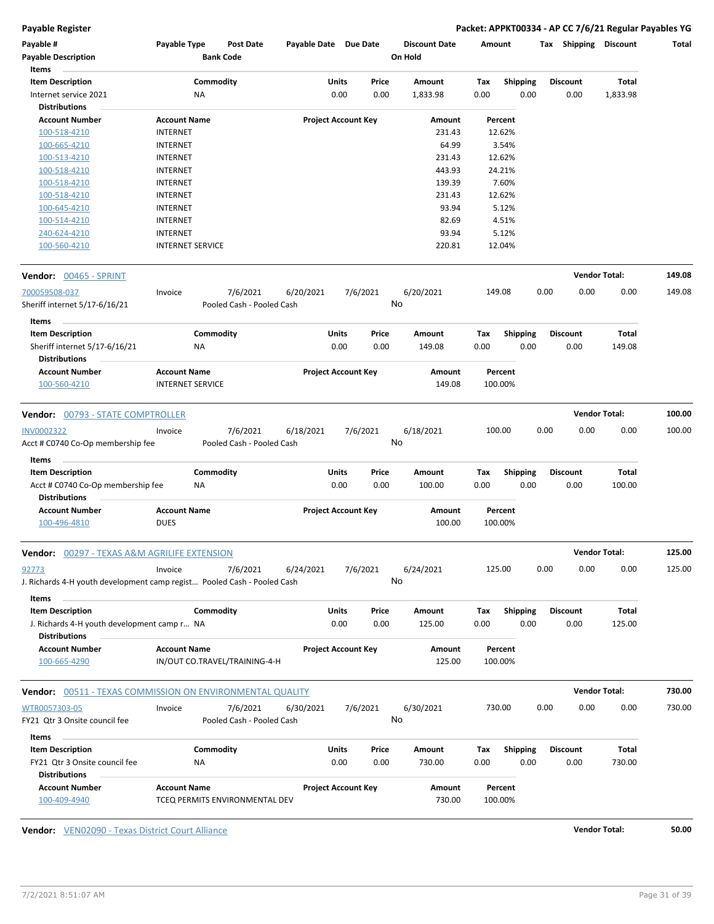**Payable Register Packet: APPKT00334 - AP CC 7/6/21 Regular Payables YG**

| Payable #<br><b>Payable Description</b><br>Items                                                                              | Payable Type                       | <b>Bank Code</b>              |           |                                | On Hold          |             |                         |                         |                      |                  |
|-------------------------------------------------------------------------------------------------------------------------------|------------------------------------|-------------------------------|-----------|--------------------------------|------------------|-------------|-------------------------|-------------------------|----------------------|------------------|
| <b>Item Description</b>                                                                                                       |                                    | Commodity                     | Units     | Price                          | Amount           | Tax         | <b>Shipping</b>         | <b>Discount</b>         | Total                |                  |
| Internet service 2021                                                                                                         | ΝA                                 |                               |           | 0.00<br>0.00                   | 1,833.98         | 0.00        | 0.00                    | 0.00                    | 1,833.98             |                  |
| <b>Distributions</b>                                                                                                          |                                    |                               |           |                                |                  |             |                         |                         |                      |                  |
| <b>Account Number</b>                                                                                                         | <b>Account Name</b>                |                               |           | <b>Project Account Key</b>     | Amount           |             | Percent                 |                         |                      |                  |
| 100-518-4210                                                                                                                  | <b>INTERNET</b>                    |                               |           |                                | 231.43           |             | 12.62%                  |                         |                      |                  |
| 100-665-4210                                                                                                                  | <b>INTERNET</b>                    |                               |           |                                | 64.99            |             | 3.54%                   |                         |                      |                  |
| 100-513-4210                                                                                                                  | <b>INTERNET</b>                    |                               |           |                                | 231.43           |             | 12.62%                  |                         |                      |                  |
| 100-518-4210                                                                                                                  | <b>INTERNET</b>                    |                               |           |                                | 443.93           |             | 24.21%                  |                         |                      |                  |
| 100-518-4210                                                                                                                  | <b>INTERNET</b>                    |                               |           |                                | 139.39           |             | 7.60%                   |                         |                      |                  |
| 100-518-4210                                                                                                                  | <b>INTERNET</b>                    |                               |           |                                | 231.43           |             | 12.62%                  |                         |                      |                  |
| 100-645-4210                                                                                                                  | <b>INTERNET</b>                    |                               |           |                                | 93.94            |             | 5.12%                   |                         |                      |                  |
| 100-514-4210<br>240-624-4210                                                                                                  | <b>INTERNET</b><br><b>INTERNET</b> |                               |           |                                | 82.69<br>93.94   |             | 4.51%<br>5.12%          |                         |                      |                  |
| 100-560-4210                                                                                                                  | <b>INTERNET SERVICE</b>            |                               |           |                                | 220.81           |             | 12.04%                  |                         |                      |                  |
| <b>Vendor:</b> 00465 - SPRINT                                                                                                 |                                    |                               |           |                                |                  |             |                         |                         | <b>Vendor Total:</b> | 149.08           |
| 700059508-037                                                                                                                 | Invoice                            | 7/6/2021                      | 6/20/2021 | 7/6/2021                       | 6/20/2021        |             | 149.08                  | 0.00                    | 0.00<br>0.00         | 149.08           |
| Sheriff internet 5/17-6/16/21                                                                                                 |                                    | Pooled Cash - Pooled Cash     |           |                                | No               |             |                         |                         |                      |                  |
| Items<br><b>Item Description</b>                                                                                              |                                    | Commodity                     | Units     | Price                          | Amount           | Tax         | <b>Shipping</b>         | <b>Discount</b>         | Total                |                  |
| Sheriff internet 5/17-6/16/21<br><b>Distributions</b>                                                                         | ΝA                                 |                               |           | 0.00<br>0.00                   | 149.08           | 0.00        | 0.00                    | 0.00                    | 149.08               |                  |
|                                                                                                                               | <b>Account Name</b>                |                               |           | <b>Project Account Key</b>     | Amount           |             | Percent<br>100.00%      |                         |                      |                  |
| <b>Account Number</b>                                                                                                         |                                    |                               |           |                                |                  |             |                         |                         |                      |                  |
| 100-560-4210                                                                                                                  | <b>INTERNET SERVICE</b>            |                               |           |                                | 149.08           |             |                         |                         |                      |                  |
| <b>Vendor:</b> 00793 - STATE COMPTROLLER                                                                                      |                                    |                               |           |                                |                  |             |                         |                         | <b>Vendor Total:</b> |                  |
|                                                                                                                               | Invoice                            | 7/6/2021                      | 6/18/2021 | 7/6/2021                       | 6/18/2021        |             | 100.00                  | 0.00                    | 0.00<br>0.00         | 100.00           |
| Acct # C0740 Co-Op membership fee<br>Items                                                                                    |                                    | Pooled Cash - Pooled Cash     |           |                                | No               |             |                         |                         |                      |                  |
| <b>Item Description</b>                                                                                                       |                                    | Commodity                     | Units     | Price                          | Amount           | Tax         | <b>Shipping</b>         | <b>Discount</b>         | Total                |                  |
| Acct # C0740 Co-Op membership fee<br><b>Distributions</b>                                                                     | ΝA                                 |                               |           | 0.00<br>0.00                   | 100.00           | 0.00        | 0.00                    | 0.00                    | 100.00               |                  |
| <b>Account Number</b><br>100-496-4810                                                                                         | <b>Account Name</b><br><b>DUES</b> |                               |           | <b>Project Account Key</b>     | Amount<br>100.00 |             | Percent<br>100.00%      |                         |                      | 100.00           |
| <b>Vendor:</b> 00297 - TEXAS A&M AGRILIFE EXTENSION                                                                           |                                    |                               |           |                                |                  |             |                         |                         | <b>Vendor Total:</b> | 125.00           |
|                                                                                                                               | Invoice                            | 7/6/2021                      | 6/24/2021 | 7/6/2021                       | 6/24/2021<br>No  |             | 125.00                  | 0.00                    | 0.00<br>0.00         | 125.00           |
| Items                                                                                                                         |                                    |                               |           |                                |                  |             |                         |                         |                      |                  |
| <b>Item Description</b><br>J. Richards 4-H youth development camp r NA                                                        |                                    | Commodity                     |           | Units<br>Price<br>0.00<br>0.00 | Amount<br>125.00 | Tax<br>0.00 | <b>Shipping</b><br>0.00 | <b>Discount</b><br>0.00 | Total<br>125.00      |                  |
| <b>INV0002322</b><br>92773<br>J. Richards 4-H youth development camp regist Pooled Cash - Pooled Cash<br><b>Distributions</b> |                                    |                               |           |                                |                  |             |                         |                         |                      |                  |
| <b>Account Number</b><br>100-665-4290                                                                                         | <b>Account Name</b>                | IN/OUT CO.TRAVEL/TRAINING-4-H |           | <b>Project Account Key</b>     | Amount<br>125.00 |             | Percent<br>100.00%      |                         |                      |                  |
| <b>Vendor:</b> 00511 - TEXAS COMMISSION ON ENVIRONMENTAL QUALITY                                                              |                                    |                               |           |                                |                  |             |                         |                         | <b>Vendor Total:</b> |                  |
|                                                                                                                               | Invoice                            | 7/6/2021                      | 6/30/2021 | 7/6/2021                       | 6/30/2021        |             | 730.00                  | 0.00                    | 0.00<br>0.00         |                  |
|                                                                                                                               |                                    | Pooled Cash - Pooled Cash     |           |                                | No               |             |                         |                         |                      |                  |
| Items                                                                                                                         |                                    |                               |           |                                |                  |             |                         |                         |                      |                  |
| <b>Item Description</b>                                                                                                       |                                    | Commodity                     |           | Units<br>Price                 | Amount           | Tax         | <b>Shipping</b>         | <b>Discount</b>         | Total                | 730.00<br>730.00 |
| WTR0057303-05<br>FY21 Qtr 3 Onsite council fee<br>FY21 Qtr 3 Onsite council fee<br><b>Distributions</b>                       | ΝA                                 |                               |           | 0.00<br>0.00                   | 730.00           | 0.00        | 0.00                    | 0.00                    | 730.00               |                  |

**Vendor:** VEN02090 - Texas District Court Alliance **Vendor Total: 50.00**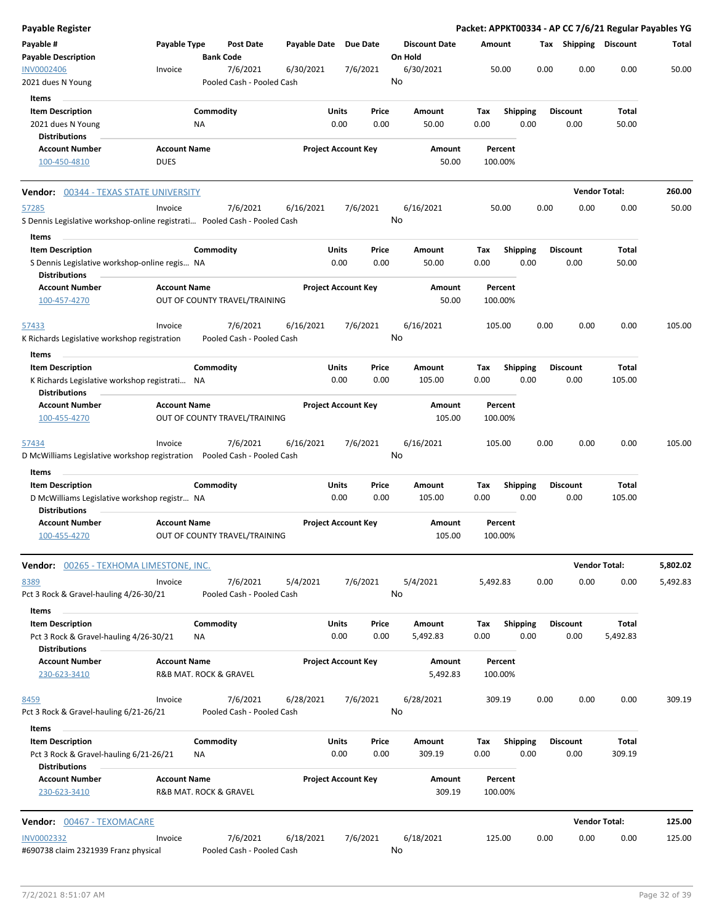| Payable Register                                                                                   |                     |                        |                                       |              |                            |               |                      |             |                         |      |                         | Packet: APPKT00334 - AP CC 7/6/21 Regular Payables YG |          |
|----------------------------------------------------------------------------------------------------|---------------------|------------------------|---------------------------------------|--------------|----------------------------|---------------|----------------------|-------------|-------------------------|------|-------------------------|-------------------------------------------------------|----------|
| Payable #                                                                                          | Payable Type        |                        | <b>Post Date</b>                      | Payable Date | Due Date                   |               | <b>Discount Date</b> | Amount      |                         |      | Tax Shipping Discount   |                                                       | Total    |
| <b>Payable Description</b>                                                                         |                     | <b>Bank Code</b>       |                                       |              |                            |               | On Hold              |             |                         |      |                         |                                                       |          |
| <b>INV0002406</b>                                                                                  | Invoice             |                        | 7/6/2021                              | 6/30/2021    | 7/6/2021                   |               | 6/30/2021            |             | 50.00                   | 0.00 | 0.00                    | 0.00                                                  | 50.00    |
| 2021 dues N Young                                                                                  |                     |                        | Pooled Cash - Pooled Cash             |              |                            |               | No                   |             |                         |      |                         |                                                       |          |
| Items                                                                                              |                     |                        |                                       |              |                            |               |                      |             |                         |      |                         |                                                       |          |
| <b>Item Description</b>                                                                            |                     | Commodity              |                                       |              | Units                      | Price         | Amount               | Tax         | <b>Shipping</b>         |      | Discount                | Total                                                 |          |
| 2021 dues N Young                                                                                  |                     | ΝA                     |                                       |              | 0.00                       | 0.00          | 50.00                | 0.00        | 0.00                    |      | 0.00                    | 50.00                                                 |          |
| <b>Distributions</b>                                                                               |                     |                        |                                       |              |                            |               |                      |             |                         |      |                         |                                                       |          |
| <b>Account Number</b>                                                                              | <b>Account Name</b> |                        |                                       |              | <b>Project Account Key</b> |               | Amount               |             | Percent                 |      |                         |                                                       |          |
| 100-450-4810                                                                                       | <b>DUES</b>         |                        |                                       |              |                            |               | 50.00                |             | 100.00%                 |      |                         |                                                       |          |
|                                                                                                    |                     |                        |                                       |              |                            |               |                      |             |                         |      |                         |                                                       |          |
| <b>Vendor:</b> 00344 - TEXAS STATE UNIVERSITY                                                      |                     |                        |                                       |              |                            |               |                      |             |                         |      |                         | <b>Vendor Total:</b>                                  | 260.00   |
| 57285                                                                                              | Invoice             |                        | 7/6/2021                              | 6/16/2021    | 7/6/2021                   |               | 6/16/2021            |             | 50.00                   | 0.00 | 0.00                    | 0.00                                                  | 50.00    |
| S Dennis Legislative workshop-online registrati Pooled Cash - Pooled Cash                          |                     |                        |                                       |              |                            |               | No                   |             |                         |      |                         |                                                       |          |
| Items                                                                                              |                     |                        |                                       |              |                            |               |                      |             |                         |      |                         |                                                       |          |
| <b>Item Description</b>                                                                            |                     | Commodity              |                                       |              | Units                      | Price         | Amount               | Tax         | <b>Shipping</b>         |      | <b>Discount</b>         | Total                                                 |          |
| S Dennis Legislative workshop-online regis NA                                                      |                     |                        |                                       |              | 0.00                       | 0.00          | 50.00                | 0.00        | 0.00                    |      | 0.00                    | 50.00                                                 |          |
| <b>Distributions</b>                                                                               |                     |                        |                                       |              |                            |               |                      |             |                         |      |                         |                                                       |          |
| <b>Account Number</b><br>100-457-4270                                                              | <b>Account Name</b> |                        | OUT OF COUNTY TRAVEL/TRAINING         |              | <b>Project Account Key</b> |               | Amount<br>50.00      |             | Percent<br>100.00%      |      |                         |                                                       |          |
|                                                                                                    |                     |                        |                                       |              |                            |               |                      |             |                         |      |                         |                                                       |          |
| 57433                                                                                              | Invoice             |                        | 7/6/2021                              | 6/16/2021    | 7/6/2021                   |               | 6/16/2021<br>No      |             | 105.00                  | 0.00 | 0.00                    | 0.00                                                  | 105.00   |
| K Richards Legislative workshop registration                                                       |                     |                        | Pooled Cash - Pooled Cash             |              |                            |               |                      |             |                         |      |                         |                                                       |          |
| Items                                                                                              |                     |                        |                                       |              |                            |               |                      |             |                         |      |                         |                                                       |          |
| <b>Item Description</b>                                                                            |                     | Commodity              |                                       |              | Units                      | Price         | Amount               | Tax         | <b>Shipping</b>         |      | <b>Discount</b>         | Total                                                 |          |
| K Richards Legislative workshop registrati NA                                                      |                     |                        |                                       |              | 0.00                       | 0.00          | 105.00               | 0.00        | 0.00                    |      | 0.00                    | 105.00                                                |          |
| <b>Distributions</b><br><b>Account Number</b>                                                      | <b>Account Name</b> |                        |                                       |              |                            |               |                      |             |                         |      |                         |                                                       |          |
| 100-455-4270                                                                                       |                     |                        | OUT OF COUNTY TRAVEL/TRAINING         |              | <b>Project Account Key</b> |               | Amount<br>105.00     |             | Percent<br>100.00%      |      |                         |                                                       |          |
|                                                                                                    |                     |                        |                                       |              |                            |               |                      |             |                         |      |                         |                                                       |          |
| <u>57434</u><br>D McWilliams Legislative workshop registration  Pooled Cash - Pooled Cash<br>Items | Invoice             |                        | 7/6/2021                              | 6/16/2021    | 7/6/2021                   |               | 6/16/2021<br>No      |             | 105.00                  | 0.00 | 0.00                    | 0.00                                                  | 105.00   |
| <b>Item Description</b>                                                                            |                     | Commodity              |                                       |              | Units                      | Price         | Amount               | Tax         | <b>Shipping</b>         |      | <b>Discount</b>         | Total                                                 |          |
| D McWilliams Legislative workshop registr NA<br><b>Distributions</b>                               |                     |                        |                                       |              | 0.00                       | 0.00          | 105.00               | 0.00        | 0.00                    |      | 0.00                    | 105.00                                                |          |
| <b>Account Number</b>                                                                              | <b>Account Name</b> |                        |                                       |              | <b>Project Account Key</b> |               | Amount               |             | Percent                 |      |                         |                                                       |          |
| 100-455-4270                                                                                       |                     |                        | OUT OF COUNTY TRAVEL/TRAINING         |              |                            |               | 105.00               |             | 100.00%                 |      |                         |                                                       |          |
| Vendor: 00265 - TEXHOMA LIMESTONE, INC.                                                            |                     |                        |                                       |              |                            |               |                      |             |                         |      |                         | <b>Vendor Total:</b>                                  | 5,802.02 |
| 8389                                                                                               | Invoice             |                        | 7/6/2021                              | 5/4/2021     | 7/6/2021                   |               | 5/4/2021             | 5,492.83    |                         | 0.00 | 0.00                    | 0.00                                                  | 5,492.83 |
| Pct 3 Rock & Gravel-hauling 4/26-30/21                                                             |                     |                        | Pooled Cash - Pooled Cash             |              |                            |               | No                   |             |                         |      |                         |                                                       |          |
| Items                                                                                              |                     |                        |                                       |              |                            |               |                      |             |                         |      |                         |                                                       |          |
| <b>Item Description</b>                                                                            |                     | Commodity              |                                       |              | Units                      | Price         | Amount               | Tax         | <b>Shipping</b>         |      | <b>Discount</b>         | Total                                                 |          |
| Pct 3 Rock & Gravel-hauling 4/26-30/21                                                             |                     | ΝA                     |                                       |              | 0.00                       | 0.00          | 5,492.83             | 0.00        | 0.00                    |      | 0.00                    | 5,492.83                                              |          |
| <b>Distributions</b><br><b>Account Number</b>                                                      | <b>Account Name</b> |                        |                                       |              | <b>Project Account Key</b> |               | Amount               |             | Percent                 |      |                         |                                                       |          |
| 230-623-3410                                                                                       |                     | R&B MAT. ROCK & GRAVEL |                                       |              |                            |               | 5,492.83             |             | 100.00%                 |      |                         |                                                       |          |
| 8459<br>Pct 3 Rock & Gravel-hauling 6/21-26/21                                                     | Invoice             |                        | 7/6/2021<br>Pooled Cash - Pooled Cash | 6/28/2021    | 7/6/2021                   |               | 6/28/2021<br>No      |             | 309.19                  | 0.00 | 0.00                    | 0.00                                                  | 309.19   |
| Items                                                                                              |                     |                        |                                       |              |                            |               |                      |             |                         |      |                         |                                                       |          |
| <b>Item Description</b><br>Pct 3 Rock & Gravel-hauling 6/21-26/21                                  |                     | Commodity<br>ΝA        |                                       |              | Units<br>0.00              | Price<br>0.00 | Amount<br>309.19     | Tax<br>0.00 | <b>Shipping</b><br>0.00 |      | <b>Discount</b><br>0.00 | Total<br>309.19                                       |          |
| <b>Distributions</b><br><b>Account Number</b>                                                      | <b>Account Name</b> |                        |                                       |              | <b>Project Account Key</b> |               | Amount               |             | Percent                 |      |                         |                                                       |          |
| 230-623-3410                                                                                       |                     | R&B MAT. ROCK & GRAVEL |                                       |              |                            |               | 309.19               |             | 100.00%                 |      |                         |                                                       |          |
|                                                                                                    |                     |                        |                                       |              |                            |               |                      |             |                         |      |                         |                                                       |          |
| Vendor: 00467 - TEXOMACARE                                                                         |                     |                        |                                       |              |                            |               |                      |             |                         |      |                         | <b>Vendor Total:</b>                                  | 125.00   |
| <b>INV0002332</b>                                                                                  | Invoice             |                        | 7/6/2021                              | 6/18/2021    | 7/6/2021                   |               | 6/18/2021            |             | 125.00                  | 0.00 | 0.00                    | 0.00                                                  | 125.00   |
| #690738 claim 2321939 Franz physical                                                               |                     |                        | Pooled Cash - Pooled Cash             |              |                            |               | No                   |             |                         |      |                         |                                                       |          |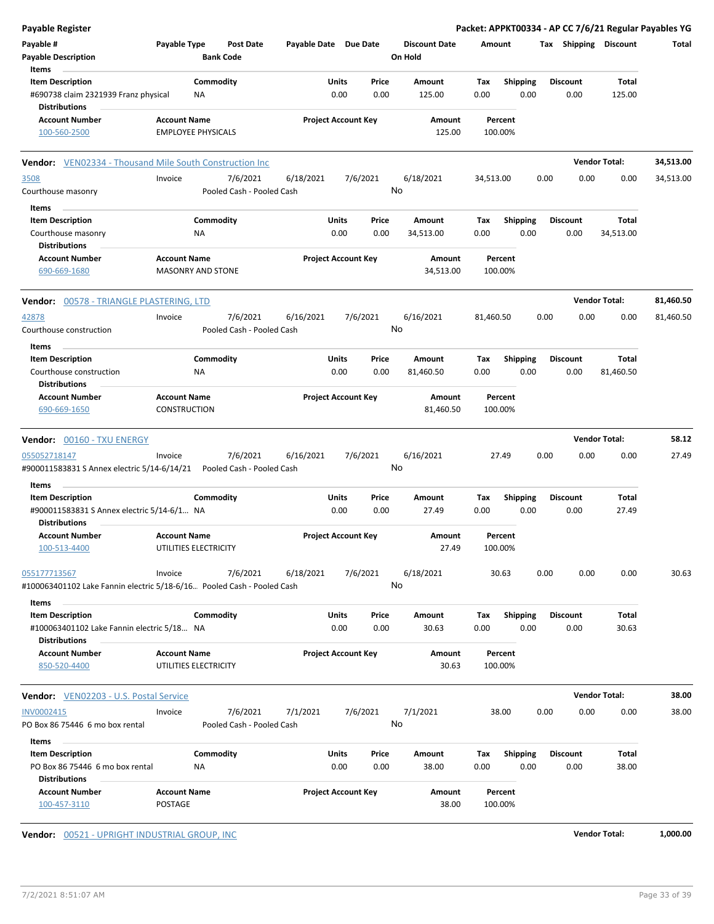| <b>Payable Register</b>                                                                |                     |                           |                           |                       |                            |       |                      |                    |                 |                 | Packet: APPKT00334 - AP CC 7/6/21 Regular Payables YG |           |
|----------------------------------------------------------------------------------------|---------------------|---------------------------|---------------------------|-----------------------|----------------------------|-------|----------------------|--------------------|-----------------|-----------------|-------------------------------------------------------|-----------|
| Payable #                                                                              | Payable Type        |                           | <b>Post Date</b>          | Payable Date Due Date |                            |       | <b>Discount Date</b> | Amount             |                 |                 | Tax Shipping Discount                                 | Total     |
| <b>Payable Description</b>                                                             |                     | <b>Bank Code</b>          |                           |                       |                            |       | On Hold              |                    |                 |                 |                                                       |           |
| Items                                                                                  |                     |                           |                           |                       |                            |       |                      |                    |                 |                 |                                                       |           |
| <b>Item Description</b>                                                                |                     | Commodity                 |                           |                       | Units                      | Price | Amount               | Tax                | <b>Shipping</b> | <b>Discount</b> | Total                                                 |           |
| #690738 claim 2321939 Franz physical<br><b>Distributions</b>                           |                     | ΝA                        |                           |                       | 0.00                       | 0.00  | 125.00               | 0.00               | 0.00            | 0.00            | 125.00                                                |           |
| <b>Account Number</b>                                                                  | <b>Account Name</b> |                           |                           |                       | <b>Project Account Key</b> |       | Amount               | Percent            |                 |                 |                                                       |           |
| 100-560-2500                                                                           |                     | <b>EMPLOYEE PHYSICALS</b> |                           |                       |                            |       | 125.00               | 100.00%            |                 |                 |                                                       |           |
| Vendor: VEN02334 - Thousand Mile South Construction Inc                                |                     |                           |                           |                       |                            |       |                      |                    |                 |                 | <b>Vendor Total:</b>                                  | 34,513.00 |
|                                                                                        |                     |                           | 7/6/2021                  |                       |                            |       | 6/18/2021            |                    |                 | 0.00            | 0.00                                                  |           |
| 3508<br>Courthouse masonry                                                             | Invoice             |                           | Pooled Cash - Pooled Cash | 6/18/2021             | 7/6/2021                   |       | No                   | 34,513.00          |                 |                 | 0.00                                                  | 34,513.00 |
|                                                                                        |                     |                           |                           |                       |                            |       |                      |                    |                 |                 |                                                       |           |
| Items                                                                                  |                     |                           |                           |                       |                            |       |                      |                    |                 |                 |                                                       |           |
| <b>Item Description</b>                                                                |                     | Commodity                 |                           |                       | Units                      | Price | Amount               | Tax                | <b>Shipping</b> | <b>Discount</b> | Total                                                 |           |
| Courthouse masonry<br><b>Distributions</b>                                             |                     | ΝA                        |                           |                       | 0.00                       | 0.00  | 34,513.00            | 0.00               | 0.00            | 0.00            | 34,513.00                                             |           |
| <b>Account Number</b>                                                                  | <b>Account Name</b> |                           |                           |                       | <b>Project Account Key</b> |       | Amount               | Percent            |                 |                 |                                                       |           |
| 690-669-1680                                                                           |                     | <b>MASONRY AND STONE</b>  |                           |                       |                            |       | 34,513.00            | 100.00%            |                 |                 |                                                       |           |
| Vendor: 00578 - TRIANGLE PLASTERING, LTD                                               |                     |                           |                           |                       |                            |       |                      |                    |                 |                 | <b>Vendor Total:</b>                                  | 81,460.50 |
| 42878                                                                                  | Invoice             |                           | 7/6/2021                  | 6/16/2021             | 7/6/2021                   |       | 6/16/2021            | 81,460.50          |                 | 0.00            | 0.00<br>0.00                                          | 81,460.50 |
| Courthouse construction                                                                |                     |                           | Pooled Cash - Pooled Cash |                       |                            |       | No                   |                    |                 |                 |                                                       |           |
| Items                                                                                  |                     |                           |                           |                       |                            |       |                      |                    |                 |                 |                                                       |           |
| <b>Item Description</b>                                                                |                     | Commodity                 |                           |                       | Units                      | Price | Amount               | Tax                | <b>Shipping</b> | <b>Discount</b> | Total                                                 |           |
| Courthouse construction                                                                |                     | ΝA                        |                           |                       | 0.00                       | 0.00  | 81,460.50            | 0.00               | 0.00            | 0.00            | 81,460.50                                             |           |
| <b>Distributions</b>                                                                   |                     |                           |                           |                       |                            |       |                      |                    |                 |                 |                                                       |           |
| <b>Account Number</b>                                                                  | <b>Account Name</b> |                           |                           |                       | <b>Project Account Key</b> |       | Amount               | Percent            |                 |                 |                                                       |           |
| 690-669-1650                                                                           | <b>CONSTRUCTION</b> |                           |                           |                       |                            |       | 81,460.50            | 100.00%            |                 |                 |                                                       |           |
| <b>Vendor: 00160 - TXU ENERGY</b>                                                      |                     |                           |                           |                       |                            |       |                      |                    |                 |                 | <b>Vendor Total:</b>                                  | 58.12     |
| 055052718147                                                                           | Invoice             |                           | 7/6/2021                  | 6/16/2021             | 7/6/2021                   |       | 6/16/2021            | 27.49              |                 | 0.00            | 0.00<br>0.00                                          | 27.49     |
| #900011583831 S Annex electric 5/14-6/14/21                                            |                     |                           | Pooled Cash - Pooled Cash |                       |                            |       | No                   |                    |                 |                 |                                                       |           |
| Items                                                                                  |                     |                           |                           |                       |                            |       |                      |                    |                 |                 |                                                       |           |
| <b>Item Description</b>                                                                |                     | Commodity                 |                           |                       | Units                      | Price | Amount               | Tax                | <b>Shipping</b> | <b>Discount</b> | Total                                                 |           |
| #900011583831 S Annex electric 5/14-6/1 NA                                             |                     |                           |                           |                       | 0.00                       | 0.00  | 27.49                | 0.00               | 0.00            | 0.00            | 27.49                                                 |           |
| <b>Distributions</b>                                                                   |                     |                           |                           |                       |                            |       |                      |                    |                 |                 |                                                       |           |
| <b>Account Number</b><br>100-513-4400                                                  | <b>Account Name</b> | UTILITIES ELECTRICITY     |                           |                       | <b>Project Account Key</b> |       | Amount<br>27.49      | Percent<br>100.00% |                 |                 |                                                       |           |
|                                                                                        |                     |                           |                           |                       |                            |       |                      |                    |                 |                 |                                                       |           |
| 055177713567<br>#100063401102 Lake Fannin electric 5/18-6/16 Pooled Cash - Pooled Cash | Invoice             |                           | 7/6/2021                  | 6/18/2021             | 7/6/2021                   |       | 6/18/2021<br>No      | 30.63              |                 | 0.00            | 0.00<br>0.00                                          | 30.63     |
| Items                                                                                  |                     |                           |                           |                       |                            |       |                      |                    |                 |                 |                                                       |           |
| <b>Item Description</b>                                                                |                     | Commodity                 |                           |                       | Units                      | Price | Amount               | Tax                | <b>Shipping</b> | <b>Discount</b> | Total                                                 |           |
| #100063401102 Lake Fannin electric 5/18 NA                                             |                     |                           |                           |                       | 0.00                       | 0.00  | 30.63                | 0.00               | 0.00            | 0.00            | 30.63                                                 |           |
| <b>Distributions</b><br><b>Account Number</b>                                          | <b>Account Name</b> |                           |                           |                       | <b>Project Account Key</b> |       | Amount               | Percent            |                 |                 |                                                       |           |
| 850-520-4400                                                                           |                     | UTILITIES ELECTRICITY     |                           |                       |                            |       | 30.63                | 100.00%            |                 |                 |                                                       |           |
| <b>Vendor:</b> VEN02203 - U.S. Postal Service                                          |                     |                           |                           |                       |                            |       |                      |                    |                 |                 | <b>Vendor Total:</b>                                  | 38.00     |
| INV0002415                                                                             | Invoice             |                           | 7/6/2021                  | 7/1/2021              | 7/6/2021                   |       | 7/1/2021             | 38.00              |                 | 0.00            | 0.00<br>0.00                                          | 38.00     |
| PO Box 86 75446 6 mo box rental                                                        |                     |                           | Pooled Cash - Pooled Cash |                       |                            |       | No                   |                    |                 |                 |                                                       |           |
| Items                                                                                  |                     |                           |                           |                       |                            |       |                      |                    |                 |                 |                                                       |           |
| <b>Item Description</b>                                                                |                     | Commodity                 |                           |                       | Units                      | Price | Amount               | Тах                | <b>Shipping</b> | <b>Discount</b> | Total                                                 |           |
| PO Box 86 75446 6 mo box rental                                                        |                     | ΝA                        |                           |                       | 0.00                       | 0.00  | 38.00                | 0.00               | 0.00            | 0.00            | 38.00                                                 |           |
| <b>Distributions</b>                                                                   |                     |                           |                           |                       |                            |       |                      |                    |                 |                 |                                                       |           |
| <b>Account Number</b>                                                                  | <b>Account Name</b> |                           |                           |                       | <b>Project Account Key</b> |       | Amount               | Percent            |                 |                 |                                                       |           |
| 100-457-3110                                                                           | POSTAGE             |                           |                           |                       |                            |       | 38.00                | 100.00%            |                 |                 |                                                       |           |
|                                                                                        |                     |                           |                           |                       |                            |       |                      |                    |                 |                 |                                                       |           |
| Vendor: 00521 - UPRIGHT INDUSTRIAL GROUP, INC                                          |                     |                           |                           |                       |                            |       |                      |                    |                 |                 | <b>Vendor Total:</b>                                  | 1,000.00  |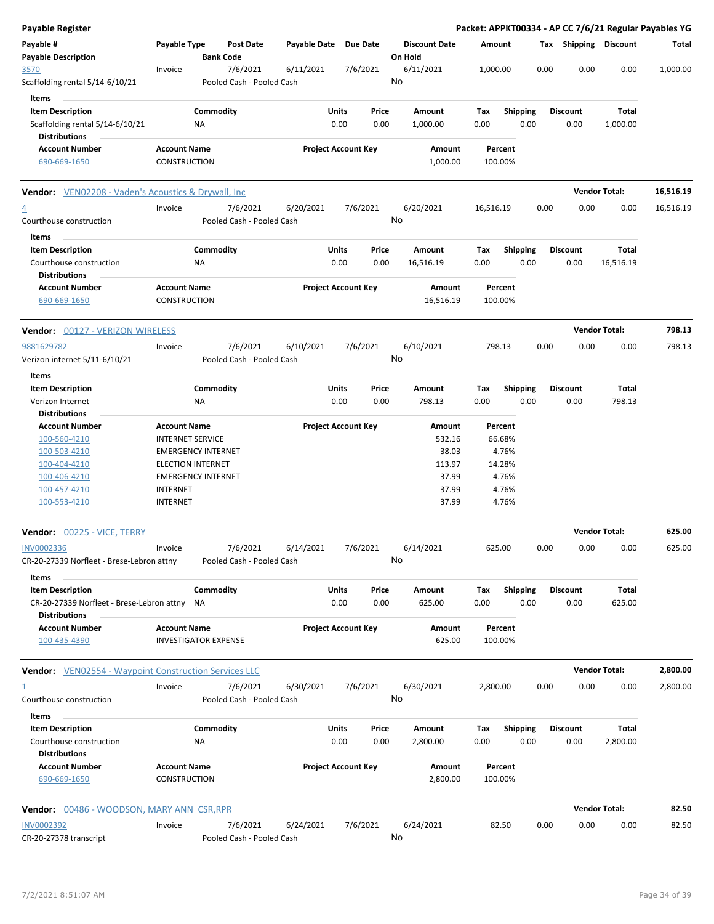| <b>Payable Register</b>                                                                         |                                                    |                        |                                       |                       |                            |               |                                 |             |                         |      |                         |                      | Packet: APPKT00334 - AP CC 7/6/21 Regular Payables YG |
|-------------------------------------------------------------------------------------------------|----------------------------------------------------|------------------------|---------------------------------------|-----------------------|----------------------------|---------------|---------------------------------|-------------|-------------------------|------|-------------------------|----------------------|-------------------------------------------------------|
| Payable #<br><b>Payable Description</b>                                                         | Payable Type                                       | <b>Bank Code</b>       | <b>Post Date</b>                      | Payable Date Due Date |                            |               | <b>Discount Date</b><br>On Hold | Amount      |                         |      | Tax Shipping Discount   |                      | Total                                                 |
| 3570<br>Scaffolding rental 5/14-6/10/21                                                         | Invoice                                            |                        | 7/6/2021<br>Pooled Cash - Pooled Cash | 6/11/2021             |                            | 7/6/2021      | 6/11/2021<br>No                 | 1,000.00    |                         | 0.00 | 0.00                    | 0.00                 | 1,000.00                                              |
| Items                                                                                           |                                                    |                        |                                       |                       |                            |               |                                 |             |                         |      |                         |                      |                                                       |
| <b>Item Description</b><br>Scaffolding rental 5/14-6/10/21<br><b>Distributions</b>              |                                                    | Commodity<br><b>NA</b> |                                       |                       | Units<br>0.00              | Price<br>0.00 | Amount<br>1,000.00              | Tax<br>0.00 | <b>Shipping</b><br>0.00 |      | <b>Discount</b><br>0.00 | Total<br>1,000.00    |                                                       |
| <b>Account Number</b>                                                                           | <b>Account Name</b>                                |                        |                                       |                       | <b>Project Account Key</b> |               | Amount                          |             | Percent                 |      |                         |                      |                                                       |
| 690-669-1650                                                                                    | <b>CONSTRUCTION</b>                                |                        |                                       |                       |                            |               | 1,000.00                        | 100.00%     |                         |      |                         |                      |                                                       |
| <b>Vendor:</b> VEN02208 - Vaden's Acoustics & Drywall, Inc                                      |                                                    |                        |                                       |                       |                            |               |                                 |             |                         |      |                         | <b>Vendor Total:</b> | 16,516.19                                             |
| $\overline{4}$                                                                                  | Invoice                                            |                        | 7/6/2021                              | 6/20/2021             |                            | 7/6/2021      | 6/20/2021                       | 16,516.19   |                         | 0.00 | 0.00                    | 0.00                 | 16,516.19                                             |
| Courthouse construction                                                                         |                                                    |                        | Pooled Cash - Pooled Cash             |                       |                            |               | No                              |             |                         |      |                         |                      |                                                       |
| Items                                                                                           |                                                    |                        |                                       |                       |                            |               |                                 |             |                         |      |                         |                      |                                                       |
| <b>Item Description</b><br>Courthouse construction<br><b>Distributions</b>                      |                                                    | Commodity<br>ΝA        |                                       |                       | Units<br>0.00              | Price<br>0.00 | Amount<br>16,516.19             | Tax<br>0.00 | <b>Shipping</b><br>0.00 |      | <b>Discount</b><br>0.00 | Total<br>16,516.19   |                                                       |
| <b>Account Number</b><br>690-669-1650                                                           | <b>Account Name</b><br><b>CONSTRUCTION</b>         |                        |                                       |                       | <b>Project Account Key</b> |               | Amount<br>16,516.19             | 100.00%     | Percent                 |      |                         |                      |                                                       |
| <b>Vendor: 00127 - VERIZON WIRELESS</b>                                                         |                                                    |                        |                                       |                       |                            |               |                                 |             |                         |      |                         | <b>Vendor Total:</b> | 798.13                                                |
| 9881629782<br>Verizon internet 5/11-6/10/21                                                     | Invoice                                            |                        | 7/6/2021<br>Pooled Cash - Pooled Cash | 6/10/2021             |                            | 7/6/2021      | 6/10/2021<br>No                 | 798.13      |                         | 0.00 | 0.00                    | 0.00                 | 798.13                                                |
| Items                                                                                           |                                                    |                        |                                       |                       |                            |               |                                 |             |                         |      |                         |                      |                                                       |
| <b>Item Description</b><br>Verizon Internet<br><b>Distributions</b>                             |                                                    | Commodity<br><b>NA</b> |                                       |                       | Units<br>0.00              | Price<br>0.00 | Amount<br>798.13                | Tax<br>0.00 | <b>Shipping</b><br>0.00 |      | <b>Discount</b><br>0.00 | Total<br>798.13      |                                                       |
| <b>Account Number</b>                                                                           | <b>Account Name</b>                                |                        |                                       |                       | <b>Project Account Key</b> |               | Amount                          |             | Percent                 |      |                         |                      |                                                       |
| 100-560-4210                                                                                    | <b>INTERNET SERVICE</b>                            |                        |                                       |                       |                            |               | 532.16                          |             | 66.68%                  |      |                         |                      |                                                       |
| 100-503-4210                                                                                    | <b>EMERGENCY INTERNET</b>                          |                        |                                       |                       |                            |               | 38.03                           |             | 4.76%                   |      |                         |                      |                                                       |
| 100-404-4210                                                                                    | <b>ELECTION INTERNET</b>                           |                        |                                       |                       |                            |               | 113.97                          |             | 14.28%                  |      |                         |                      |                                                       |
| 100-406-4210                                                                                    | <b>EMERGENCY INTERNET</b>                          |                        |                                       |                       |                            |               | 37.99                           |             | 4.76%                   |      |                         |                      |                                                       |
| 100-457-4210                                                                                    | <b>INTERNET</b>                                    |                        |                                       |                       |                            |               | 37.99                           |             | 4.76%                   |      |                         |                      |                                                       |
| 100-553-4210                                                                                    | <b>INTERNET</b>                                    |                        |                                       |                       |                            |               | 37.99                           |             | 4.76%                   |      |                         |                      |                                                       |
| Vendor: 00225 - VICE, TERRY                                                                     |                                                    |                        |                                       |                       |                            |               |                                 |             |                         |      |                         | <b>Vendor Total:</b> | 625.00                                                |
| <u>INV0002336</u><br>CR-20-27339 Norfleet - Brese-Lebron attny                                  | Invoice                                            |                        | 7/6/2021<br>Pooled Cash - Pooled Cash | 6/14/2021             |                            | 7/6/2021      | 6/14/2021<br>No                 | 625.00      |                         | 0.00 | 0.00                    | 0.00                 | 625.00                                                |
| Items                                                                                           |                                                    |                        |                                       |                       |                            |               |                                 |             |                         |      |                         |                      |                                                       |
| <b>Item Description</b><br>CR-20-27339 Norfleet - Brese-Lebron attny NA<br><b>Distributions</b> |                                                    | Commodity              |                                       |                       | Units<br>0.00              | Price<br>0.00 | Amount<br>625.00                | Tax<br>0.00 | Shipping<br>0.00        |      | <b>Discount</b><br>0.00 | Total<br>625.00      |                                                       |
| <b>Account Number</b><br>100-435-4390                                                           | <b>Account Name</b><br><b>INVESTIGATOR EXPENSE</b> |                        |                                       |                       | <b>Project Account Key</b> |               | Amount<br>625.00                | 100.00%     | Percent                 |      |                         |                      |                                                       |
| <b>Vendor:</b> VEN02554 - Waypoint Construction Services LLC                                    |                                                    |                        |                                       |                       |                            |               |                                 |             |                         |      |                         | <b>Vendor Total:</b> | 2,800.00                                              |
| $\overline{\mathbf{1}}$                                                                         | Invoice                                            |                        | 7/6/2021                              | 6/30/2021             |                            | 7/6/2021      | 6/30/2021                       | 2,800.00    |                         | 0.00 | 0.00                    | 0.00                 | 2,800.00                                              |
| Courthouse construction<br>Items                                                                |                                                    |                        | Pooled Cash - Pooled Cash             |                       |                            |               | No                              |             |                         |      |                         |                      |                                                       |
| <b>Item Description</b>                                                                         |                                                    | Commodity              |                                       |                       | Units                      | Price         | Amount                          | Tax         | <b>Shipping</b>         |      | <b>Discount</b>         | Total                |                                                       |
| Courthouse construction<br><b>Distributions</b>                                                 |                                                    | NA                     |                                       |                       | 0.00                       | 0.00          | 2,800.00                        | 0.00        | 0.00                    |      | 0.00                    | 2,800.00             |                                                       |
| <b>Account Number</b><br>690-669-1650                                                           | <b>Account Name</b><br>CONSTRUCTION                |                        |                                       |                       | <b>Project Account Key</b> |               | Amount<br>2,800.00              | 100.00%     | Percent                 |      |                         |                      |                                                       |
| <b>Vendor:</b> 00486 - WOODSON, MARY ANN CSR, RPR                                               |                                                    |                        |                                       |                       |                            |               |                                 |             |                         |      |                         | <b>Vendor Total:</b> | 82.50                                                 |
| INV0002392                                                                                      | Invoice                                            |                        | 7/6/2021                              | 6/24/2021             |                            | 7/6/2021      | 6/24/2021                       |             | 82.50                   | 0.00 | 0.00                    | 0.00                 | 82.50                                                 |
| CR-20-27378 transcript                                                                          |                                                    |                        | Pooled Cash - Pooled Cash             |                       |                            |               | No                              |             |                         |      |                         |                      |                                                       |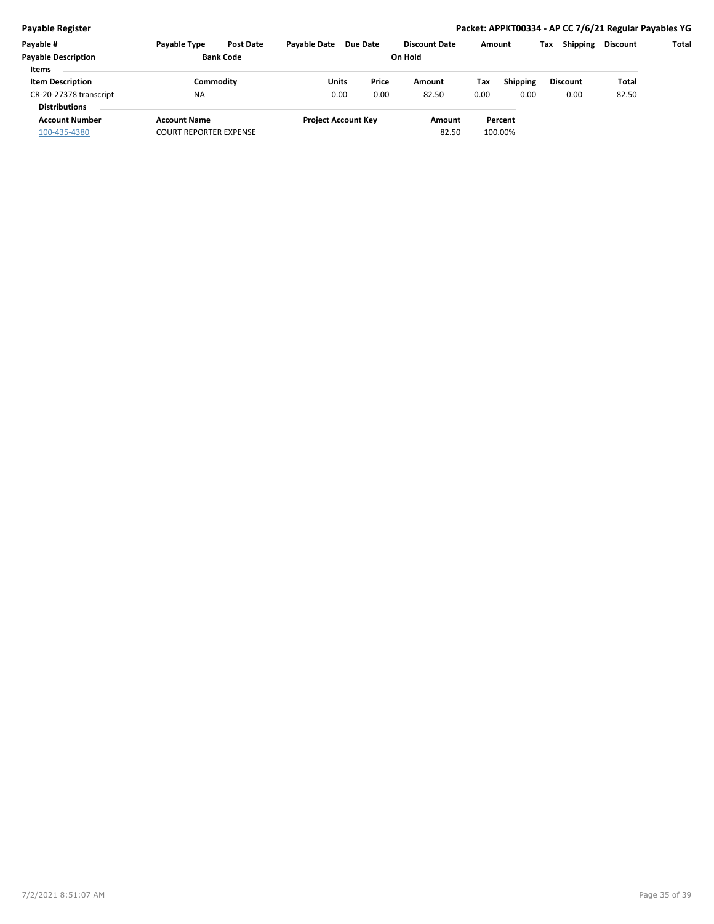#### **Payable Register Packet: APPKT00334 - AP CC 7/6/21 Regular Payables YG**

| Payable #                  | <b>Payable Type</b>           | <b>Pavable Date</b><br><b>Post Date</b> | Due Date                   |       | <b>Discount Date</b> | Amount |                 | Tax | <b>Shipping</b> | Discount | Total |
|----------------------------|-------------------------------|-----------------------------------------|----------------------------|-------|----------------------|--------|-----------------|-----|-----------------|----------|-------|
| <b>Payable Description</b> | <b>Bank Code</b>              |                                         |                            |       | On Hold              |        |                 |     |                 |          |       |
| <b>Items</b>               |                               |                                         |                            |       |                      |        |                 |     |                 |          |       |
| <b>Item Description</b>    | Commodity                     |                                         | Units                      | Price | Amount               | Tax    | <b>Shipping</b> |     | <b>Discount</b> | Total    |       |
| CR-20-27378 transcript     | <b>NA</b>                     |                                         | 0.00                       | 0.00  | 82.50                | 0.00   | 0.00            |     | 0.00            | 82.50    |       |
| <b>Distributions</b>       |                               |                                         |                            |       |                      |        |                 |     |                 |          |       |
| <b>Account Number</b>      | <b>Account Name</b>           |                                         | <b>Project Account Key</b> |       | Amount               |        | Percent         |     |                 |          |       |
| 100-435-4380               | <b>COURT REPORTER EXPENSE</b> |                                         |                            |       | 82.50                |        | 100.00%         |     |                 |          |       |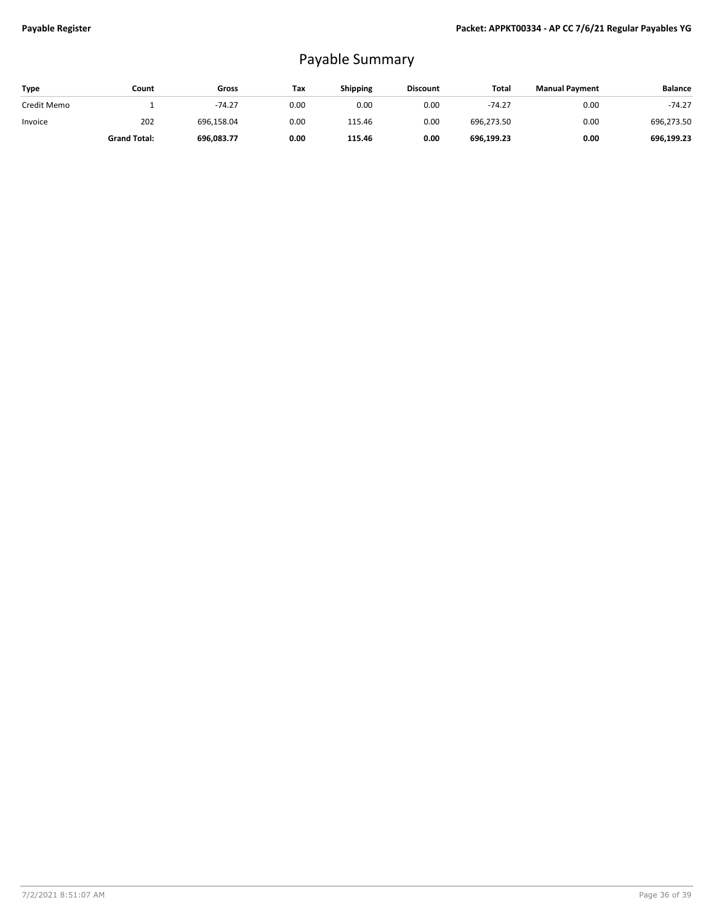# Payable Summary

| <b>Type</b> | Count               | Gross      | Tax  | Shipping | <b>Discount</b> | Total      | <b>Manual Payment</b> | <b>Balance</b> |
|-------------|---------------------|------------|------|----------|-----------------|------------|-----------------------|----------------|
| Credit Memo |                     | $-74.27$   | 0.00 | 0.00     | 0.00            | $-74.27$   | 0.00                  | $-74.27$       |
| Invoice     | 202                 | 696.158.04 | 0.00 | 115.46   | 0.00            | 696.273.50 | 0.00                  | 696,273.50     |
|             | <b>Grand Total:</b> | 696,083.77 | 0.00 | 115.46   | 0.00            | 696,199.23 | 0.00                  | 696.199.23     |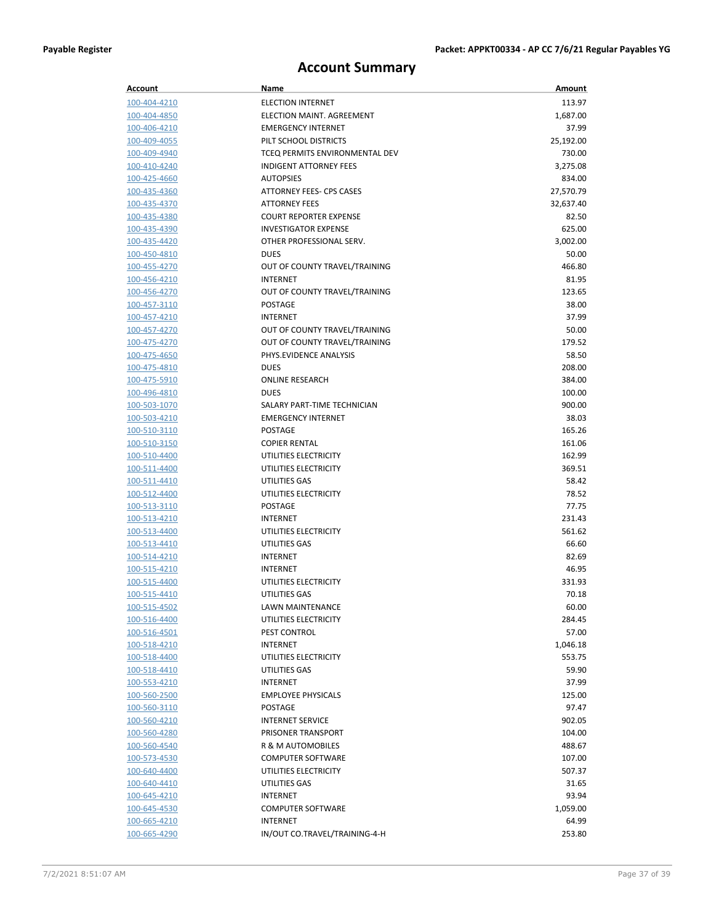# **Account Summary**

| Account                      | Name                                       | Amount           |
|------------------------------|--------------------------------------------|------------------|
| 100-404-4210                 | <b>ELECTION INTERNET</b>                   | 113.97           |
| 100-404-4850                 | ELECTION MAINT, AGREEMENT                  | 1,687.00         |
| 100-406-4210                 | <b>EMERGENCY INTERNET</b>                  | 37.99            |
| 100-409-4055                 | PILT SCHOOL DISTRICTS                      | 25,192.00        |
| 100-409-4940                 | TCEQ PERMITS ENVIRONMENTAL DEV             | 730.00           |
| 100-410-4240                 | <b>INDIGENT ATTORNEY FEES</b>              | 3,275.08         |
| 100-425-4660                 | <b>AUTOPSIES</b>                           | 834.00           |
| 100-435-4360                 | ATTORNEY FEES- CPS CASES                   | 27,570.79        |
| 100-435-4370                 | <b>ATTORNEY FEES</b>                       | 32,637.40        |
| 100-435-4380                 | <b>COURT REPORTER EXPENSE</b>              | 82.50            |
| 100-435-4390                 | <b>INVESTIGATOR EXPENSE</b>                | 625.00           |
| 100-435-4420                 | OTHER PROFESSIONAL SERV.                   | 3,002.00         |
| 100-450-4810                 | <b>DUES</b>                                | 50.00            |
| 100-455-4270                 | OUT OF COUNTY TRAVEL/TRAINING              | 466.80           |
| 100-456-4210                 | <b>INTERNET</b>                            | 81.95            |
| 100-456-4270                 | OUT OF COUNTY TRAVEL/TRAINING              | 123.65           |
| 100-457-3110                 | <b>POSTAGE</b>                             | 38.00            |
| 100-457-4210                 | <b>INTERNET</b>                            | 37.99            |
| 100-457-4270                 | OUT OF COUNTY TRAVEL/TRAINING              | 50.00            |
| 100-475-4270                 | OUT OF COUNTY TRAVEL/TRAINING              | 179.52           |
| 100-475-4650                 | PHYS.EVIDENCE ANALYSIS                     | 58.50            |
| 100-475-4810                 | <b>DUES</b>                                | 208.00           |
| 100-475-5910<br>100-496-4810 | <b>ONLINE RESEARCH</b>                     | 384.00           |
| 100-503-1070                 | <b>DUES</b><br>SALARY PART-TIME TECHNICIAN | 100.00<br>900.00 |
| 100-503-4210                 | <b>EMERGENCY INTERNET</b>                  | 38.03            |
| 100-510-3110                 | <b>POSTAGE</b>                             | 165.26           |
| 100-510-3150                 | <b>COPIER RENTAL</b>                       | 161.06           |
| 100-510-4400                 | UTILITIES ELECTRICITY                      | 162.99           |
| 100-511-4400                 | UTILITIES ELECTRICITY                      | 369.51           |
| 100-511-4410                 | UTILITIES GAS                              | 58.42            |
| 100-512-4400                 | UTILITIES ELECTRICITY                      | 78.52            |
| <u>100-513-3110</u>          | <b>POSTAGE</b>                             | 77.75            |
| 100-513-4210                 | <b>INTERNET</b>                            | 231.43           |
| 100-513-4400                 | UTILITIES ELECTRICITY                      | 561.62           |
| 100-513-4410                 | UTILITIES GAS                              | 66.60            |
| 100-514-4210                 | INTERNET                                   | 82.69            |
| 100-515-4210                 | INTERNET                                   | 46.95            |
| 100-515-4400                 | UTILITIES ELECTRICITY                      | 331.93           |
| 100-515-4410                 | UTILITIES GAS                              | 70.18            |
| 100-515-4502                 | LAWN MAINTENANCE                           | 60.00            |
| 100-516-4400                 | UTILITIES ELECTRICITY                      | 284.45           |
| 100-516-4501                 | PEST CONTROL                               | 57.00            |
| 100-518-4210                 | INTERNET                                   | 1,046.18         |
| 100-518-4400                 | UTILITIES ELECTRICITY                      | 553.75           |
| 100-518-4410                 | UTILITIES GAS                              | 59.90            |
| 100-553-4210                 | INTERNET                                   | 37.99            |
| 100-560-2500                 | <b>EMPLOYEE PHYSICALS</b>                  | 125.00           |
| 100-560-3110                 | POSTAGE                                    | 97.47            |
| 100-560-4210                 | <b>INTERNET SERVICE</b>                    | 902.05           |
| 100-560-4280                 | PRISONER TRANSPORT                         | 104.00           |
| 100-560-4540                 | R & M AUTOMOBILES                          | 488.67           |
| 100-573-4530                 | <b>COMPUTER SOFTWARE</b>                   | 107.00           |
| 100-640-4400                 | UTILITIES ELECTRICITY                      | 507.37           |
| <u>100-640-4410</u>          | UTILITIES GAS                              | 31.65            |
| <u>100-645-4210</u>          | INTERNET                                   | 93.94            |
| 100-645-4530                 | <b>COMPUTER SOFTWARE</b>                   | 1,059.00         |
| 100-665-4210<br>100-665-4290 | INTERNET<br>IN/OUT CO.TRAVEL/TRAINING-4-H  | 64.99<br>253.80  |
|                              |                                            |                  |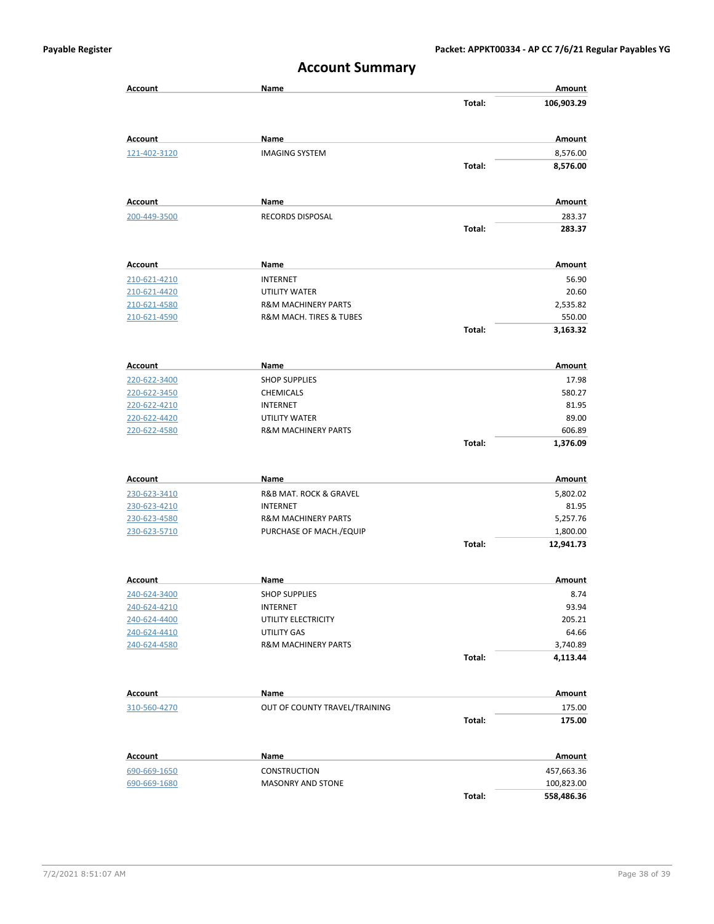|                              | ACCOMIIL JUITIITIUI Y                           |        |                          |
|------------------------------|-------------------------------------------------|--------|--------------------------|
| <b>Account</b>               | Name                                            | Total: | Amount<br>106,903.29     |
|                              |                                                 |        |                          |
| <b>Account</b>               | Name                                            |        | Amount                   |
| 121-402-3120                 | <b>IMAGING SYSTEM</b>                           |        | 8,576.00                 |
|                              |                                                 | Total: | 8,576.00                 |
| <b>Account</b>               | Name                                            |        | Amount                   |
| 200-449-3500                 | <b>RECORDS DISPOSAL</b>                         |        | 283.37                   |
|                              |                                                 | Total: | 283.37                   |
|                              |                                                 |        |                          |
| Account                      | Name                                            |        | Amount                   |
| 210-621-4210                 | <b>INTERNET</b>                                 |        | 56.90                    |
| 210-621-4420                 | UTILITY WATER<br><b>R&amp;M MACHINERY PARTS</b> |        | 20.60                    |
| 210-621-4580                 | <b>R&amp;M MACH. TIRES &amp; TUBES</b>          |        | 2,535.82<br>550.00       |
| 210-621-4590                 |                                                 | Total: | 3,163.32                 |
|                              |                                                 |        |                          |
| <b>Account</b>               | Name                                            |        | Amount                   |
| 220-622-3400                 | <b>SHOP SUPPLIES</b>                            |        | 17.98                    |
| 220-622-3450                 | <b>CHEMICALS</b>                                |        | 580.27                   |
| 220-622-4210                 | <b>INTERNET</b>                                 |        | 81.95                    |
| 220-622-4420                 | UTILITY WATER                                   |        | 89.00                    |
| 220-622-4580                 | <b>R&amp;M MACHINERY PARTS</b>                  |        | 606.89                   |
|                              |                                                 | Total: | 1,376.09                 |
| <b>Account</b>               | Name                                            |        | Amount                   |
| 230-623-3410                 | R&B MAT. ROCK & GRAVEL                          |        | 5,802.02                 |
| 230-623-4210                 | <b>INTERNET</b>                                 |        | 81.95                    |
| 230-623-4580                 | <b>R&amp;M MACHINERY PARTS</b>                  |        | 5,257.76                 |
| 230-623-5710                 | PURCHASE OF MACH./EQUIP                         |        | 1,800.00                 |
|                              |                                                 | Total: | 12,941.73                |
| Account                      | Name                                            |        | Amount                   |
| 240-624-3400                 | <b>SHOP SUPPLIES</b>                            |        | 8.74                     |
| 240-624-4210                 | <b>INTERNET</b>                                 |        | 93.94                    |
| 240-624-4400                 | UTILITY ELECTRICITY                             |        | 205.21                   |
| 240-624-4410                 | <b>UTILITY GAS</b>                              |        | 64.66                    |
| 240-624-4580                 | <b>R&amp;M MACHINERY PARTS</b>                  |        | 3,740.89                 |
|                              |                                                 | Total: | 4,113.44                 |
| <b>Account</b>               | Name                                            |        | Amount                   |
| 310-560-4270                 | OUT OF COUNTY TRAVEL/TRAINING                   |        | 175.00                   |
|                              |                                                 | Total: | 175.00                   |
| <b>Account</b>               | Name                                            |        | Amount                   |
|                              |                                                 |        |                          |
| 690-669-1650<br>690-669-1680 | CONSTRUCTION<br>MASONRY AND STONE               |        | 457,663.36<br>100,823.00 |
|                              |                                                 |        |                          |

### **Account Summary**

**Total: 558,486.36**